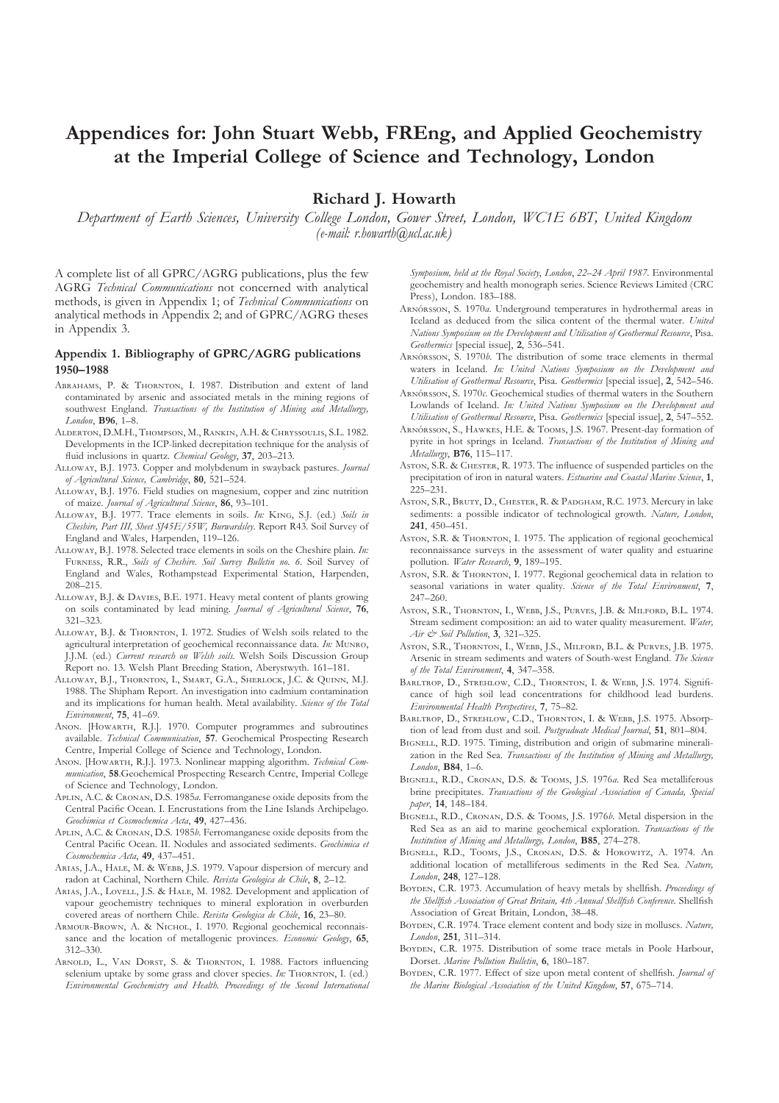# **Appendices for: John Stuart Webb, FREng, and Applied Geochemistry at the Imperial College of Science and Technology, London**

**Richard J. Howarth**

*Department of Earth Sciences, University College London, Gower Street, London, WC1E 6BT, United Kingdom (e-mail: r.howarth@ucl.ac.uk)*

A complete list of all GPRC/AGRG publications, plus the few AGRG *Technical Communications* not concerned with analytical methods, is given in Appendix 1; of *Technical Communications* on analytical methods in Appendix 2; and of GPRC/AGRG theses in Appendix 3.

## **Appendix 1. Bibliography of GPRC/AGRG publications 1950–1988**

- ABRAHAMS, P. & THORNTON, I. 1987. Distribution and extent of land contaminated by arsenic and associated metals in the mining regions of southwest England. *Transactions of the Institution of Mining and Metallurgy, London*, **B96**, 1–8.
- ALDERTON, D.M.H., THOMPSON, M., RANKIN, A.H. & CHRYSSOULIS, S.L. 1982. Developments in the ICP-linked decrepitation technique for the analysis of fluid inclusions in quartz. *Chemical Geology*, **37**, 203–213.
- ALLOWAY, B.J. 1973. Copper and molybdenum in swayback pastures. *Journal of Agricultural Science, Cambridge*, **80**, 521–524.
- ALLOWAY, B.J. 1976. Field studies on magnesium, copper and zinc nutrition of maize. *Journal of Agricultural Science*, **86**, 93–101.
- ALLOWAY, B.J. 1977. Trace elements in soils. *In:* KING, S.J. (ed.) Soils in *Cheshire, Part III, Sheet SJ45E/55W, Burwardsley*. Report R43. Soil Survey of England and Wales, Harpenden, 119–126.
- ALLOWAY, B.J. 1978. Selected trace elements in soils on the Cheshire plain. *In*: FURNESS, R.R., Soils of Cheshire. Soil Survey Bulletin no. 6. Soil Survey of England and Wales, Rothampstead Experimental Station, Harpenden, 208–215.
- ALLOWAY, B.J. & DAVIES, B.E. 1971. Heavy metal content of plants growing on soils contaminated by lead mining. *Journal of Agricultural Science*, **76**, 321–323.
- ALLOWAY, B.J. & THORNTON, I. 1972. Studies of Welsh soils related to the agricultural interpretation of geochemical reconnaissance data. *In*: MUNRO, J.J.M. (ed.) *Current research on Welsh soils*. Welsh Soils Discussion Group Report no. 13. Welsh Plant Breeding Station, Aberystwyth. 161–181.
- ALLOWAY, B.J., THORNTON, I., SMART, G.A., SHERLOCK, J.C. & QUINN, M.J. 1988. The Shipham Report. An investigation into cadmium contamination and its implications for human health. Metal availability. *Science of the Total Environment*, **75**, 41–69.
- ANON. [HOWARTH, R.J.]. 1970. Computer programmes and subroutines available. *Technical Communication*, **57**. Geochemical Prospecting Research Centre, Imperial College of Science and Technology, London.
- ANON. [HOWARTH, R.J.]. 1973. Nonlinear mapping algorithm. *Technical Communication*, **58**.Geochemical Prospecting Research Centre, Imperial College of Science and Technology, London.
- APLIN, A.C. & CRONAN, D.S. 1985*a*. Ferromanganese oxide deposits from the Central Pacific Ocean. I. Encrustations from the Line Islands Archipelago. *Geochimica et Cosmochemica Acta*, **49**, 427–436.
- APLIN, A.C. & CRONAN, D.S. 1985*b*. Ferromanganese oxide deposits from the Central Pacific Ocean. II. Nodules and associated sediments. *Geochimica et Cosmochemica Acta*, **49**, 437–451.
- ARIAS, J.A., HALE, M. & WEBB, J.S. 1979. Vapour dispersion of mercury and radon at Cachinal, Northern Chile. *Revista Geologica de Chile*, **8**, 2–12.
- ARIAS, J.A., LOVELL, J.S. & HALE, M. 1982. Development and application of vapour geochemistry techniques to mineral exploration in overburden covered areas of northern Chile. *Revista Geologica de Chile*, **16**, 23–80.
- ARMOUR-BROWN, A. & NICHOL, I. 1970. Regional geochemical reconnaissance and the location of metallogenic provinces. *Economic Geology*, **65**, 312–330.
- ARNOLD, L., VAN DORST, S. & THORNTON, I. 1988. Factors influencing selenium uptake by some grass and clover species. *In*: THORNTON, I. (ed.) *Environmental Geochemistry and Health. Proceedings of the Second International*

*Symposium, held at the Royal Society*, *London*, *22–24 April 1987*. Environmental geochemistry and health monograph series. Science Reviews Limited (CRC Press), London. 183–188.

- ARNÓRSSON, S. 1970*a*. Underground temperatures in hydrothermal areas in Iceland as deduced from the silica content of the thermal water. *United Nations Symposium on the Development and Utilisation of Geothermal Resource*, Pisa. *Geothermics* [special issue], **2**, 536–541.
- ARNÓRSSON, S. 1970*b*. The distribution of some trace elements in thermal waters in Iceland. *In: United Nations Symposium on the Development and Utilisation of Geothermal Resource*, Pisa. *Geothermics* [special issue], **2**, 542–546.
- ARNÓRSSON, S. 1970*c*. Geochemical studies of thermal waters in the Southern Lowlands of Iceland. *In: United Nations Symposium on the Development and Utilisation of Geothermal Resource*, Pisa. *Geothermics* [special issue], **2**, 547–552.
- ARNÓRSSON, S., HAWKES, H.E. & TOOMS, J.S. 1967. Present-day formation of pyrite in hot springs in Iceland. *Transactions of the Institution of Mining and Metallurgy*, **B76**, 115–117.
- Asron, S.R. & CHESTER, R. 1973. The influence of suspended particles on the precipitation of iron in natural waters. *Estuarine and Coastal Marine Science*, **1**, 225–231.
- ASTON, S.R., BRUTY, D., CHESTER, R. & PADGHAM, R.C. 1973. Mercury in lake sediments: a possible indicator of technological growth. *Nature, London*, **241**, 450–451.
- Asron, S.R. & THORNTON, I. 1975. The application of regional geochemical reconnaissance surveys in the assessment of water quality and estuarine pollution. *Water Research*, **9**, 189–195.
- Aston, S.R. & THORNTON, I. 1977. Regional geochemical data in relation to seasonal variations in water quality. *Science of the Total Environment*, **7**, 247–260.
- ASTON, S.R., THORNTON, I., WEBB, J.S., PURVES, J.B. & MILFORD, B.L. 1974. Stream sediment composition: an aid to water quality measurement. *Water, Air & Soil Pollution*, **3**, 321–325.
- ASTON, S.R., THORNTON, I., WEBB, J.S., MILFORD, B.L. & PURVES, J.B. 1975. Arsenic in stream sediments and waters of South-west England. *The Science of the Total Environment*, **4**, 347–358.
- BARLTROP, D., STREHLOW, C.D., THORNTON, I. & WEBB, J.S. 1974. Significance of high soil lead concentrations for childhood lead burdens. *Environmental Health Perspectives*, **7**, 75–82.
- BARLTROP, D., STREHLOW, C.D., THORNTON, I. & WEBB, J.S. 1975. Absorption of lead from dust and soil. *Postgraduate Medical Journal*, **51**, 801–804.
- BIGNELL, R.D. 1975. Timing, distribution and origin of submarine mineralization in the Red Sea. *Transactions of the Institution of Mining and Metallurgy, London*, **B84**, 1–6.
- BIGNELL, R.D., CRONAN, D.S. & TOOMS, J.S. 1976a. Red Sea metalliferous brine precipitates. *Transactions of the Geological Association of Canada, Special paper*, **14**, 148–184.
- BIGNELL, R.D., CRONAN, D.S. & TOOMS, J.S. 1976*b*. Metal dispersion in the Red Sea as an aid to marine geochemical exploration. *Transactions of the Institution of Mining and Metallurgy, London*, **B85**, 274–278.
- BIGNELL, R.D., TOOMS, J.S., CRONAN, D.S. & HOROWITZ, A. 1974. An additional location of metalliferous sediments in the Red Sea. *Nature, London*, **248**, 127–128.
- BOYDEN, C.R. 1973. Accumulation of heavy metals by shellfish. *Proceedings of the Shellfish Association of Great Britain, 4th Annual Shellfish Conference.* Shellfish Association of Great Britain, London, 38–48.
- BOYDEN, C.R. 1974. Trace element content and body size in molluscs. Nature, *London*, **251**, 311–314.
- BOYDEN, C.R. 1975. Distribution of some trace metals in Poole Harbour, Dorset. *Marine Pollution Bulletin*, **6**, 180–187.
- BOYDEN, C.R. 1977. Effect of size upon metal content of shellfish. *Journal of the Marine Biological Association of the United Kingdom*, **57**, 675–714.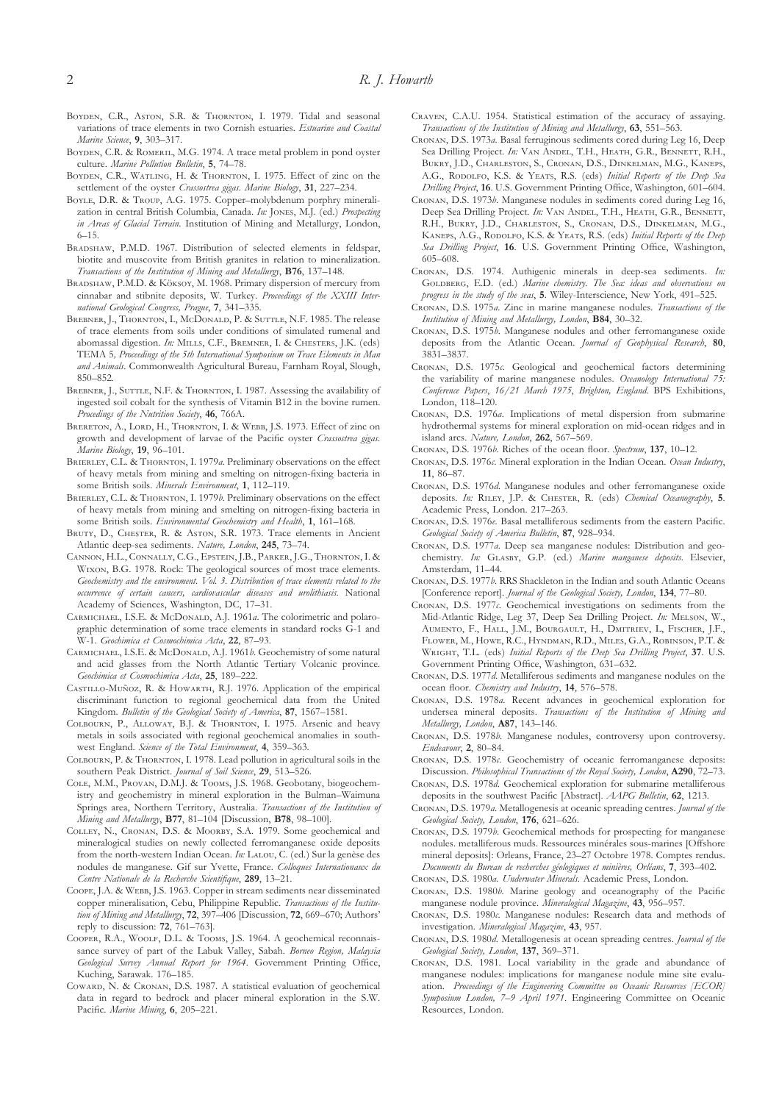- BOYDEN, C.R., ASTON, S.R. & THORNTON, I. 1979. Tidal and seasonal variations of trace elements in two Cornish estuaries. *Estuarine and Coastal Marine Science*, **9**, 303–317.
- BOYDEN, C.R. & ROMERIL, M.G. 1974. A trace metal problem in pond oyster culture. *Marine Pollution Bulletin*, **5**, 74–78.
- BOYDEN, C.R., WATLING, H. & THORNTON, I. 1975. Effect of zinc on the settlement of the oyster *Crassostrea gigas*. *Marine Biology*, **31**, 227–234.
- BOYLE, D.R. & TROUP, A.G. 1975. Copper-molybdenum porphry mineralization in central British Columbia, Canada. *In:* JONES, M.J. (ed.) *Prospecting in Areas of Glacial Terrain*. Institution of Mining and Metallurgy, London, 6–15.
- BRADSHAW, P.M.D. 1967. Distribution of selected elements in feldspar, biotite and muscovite from British granites in relation to mineralization. *Transactions of the Institution of Mining and Metallurgy*, **B76**, 137–148.
- BRADSHAW, P.M.D. & Köksov, M. 1968. Primary dispersion of mercury from cinnabar and stibnite deposits, W. Turkey. *Proceedings of the XXIII International Geological Congress, Prague*, **7**, 341–335.
- BREBNER, J., THORNTON, I., McDONALD, P. & SUTTLE, N.F. 1985. The release of trace elements from soils under conditions of simulated rumenal and abomassal digestion. *In*: MILLS, C.F., BREMNER, I. & CHESTERS, J.K. (eds) TEMA 5*, Proceedings of the 5th International Symposium on Trace Elements in Man and Animals*. Commonwealth Agricultural Bureau, Farnham Royal, Slough, 850–852.
- BREBNER, J., SUTTLE, N.F. & THORNTON, I. 1987. Assessing the availability of ingested soil cobalt for the synthesis of Vitamin B12 in the bovine rumen. *Procedings of the Nutrition Society*, **46**, 766A.
- BRERETON, A., LORD, H., THORNTON, I. & WEBB, J.S. 1973. Effect of zinc on growth and development of larvae of the Pacific oyster *Crassostrea gigas*. *Marine Biology*, **19**, 96–101.
- BRIERLEY, C.L. & THORNTON, I. 1979*a*. Preliminary observations on the effect of heavy metals from mining and smelting on nitrogen-fixing bacteria in some British soils. *Minerals Environment*, **1**, 112–119.
- BRIERLEY, C.L. & THORNTON, I. 1979*b*. Preliminary observations on the effect of heavy metals from mining and smelting on nitrogen-fixing bacteria in some British soils. *Environmental Geochemistry and Health*, **1**, 161–168.
- BRUTY, D., CHESTER, R. & Aston, S.R. 1973. Trace elements in Ancient Atlantic deep-sea sediments. *Nature, London*, **245**, 73–74.
- CANNON, H.L., CONNALLY, C.G., EPSTEIN, J.B., PARKER, J.G., THORNTON, I. & WIXON, B.G. 1978. Rock: The geological sources of most trace elements. *Geochemistry and the environment. Vol. 3. Distribution of trace elements related to the occurrence of certain cancers, cardiovascular diseases and urolithiasis*. National Academy of Sciences, Washington, DC, 17–31.
- CARMICHAEL, I.S.E. & McDONALD, A.J. 1961a. The colorimetric and polarographic determination of some trace elements in standard rocks G-1 and W-1. *Geochimica et Cosmochimica Acta*, **22**, 87–93.
- CARMICHAEL, I.S.E. & McDONALD, A.J. 1961*b*. Geochemistry of some natural and acid glasses from the North Atlantic Tertiary Volcanic province. *Geochimica et Cosmochimica Acta*, **25**, 189–222.
- CASTILLO-MUÑOZ, R. & HOWARTH, R.J. 1976. Application of the empirical discriminant function to regional geochemical data from the United Kingdom. *Bulletin of the Geological Society of America*, **87**, 1567–1581.
- COLBOURN, P., ALLOWAY, B.J. & THORNTON, I. 1975. Arsenic and heavy metals in soils associated with regional geochemical anomalies in southwest England. *Science of the Total Environment*, **4**, 359–363.
- COLBOURN, P. & THORNTON, I. 1978. Lead pollution in agricultural soils in the southern Peak District. *Journal of Soil Science*, **29**, 513–526.
- COLE, M.M., PROVAN, D.M.J. & Tooms, J.S. 1968. Geobotany, biogeochemistry and geochemistry in mineral exploration in the Bulman–Waimuna Springs area, Northern Territory, Australia. *Transactions of the Institution of Mining and Metallurgy*, **B77**, 81–104 [Discussion, **B78**, 98–100].
- COLLEY, N., CRONAN, D.S. & MOORBY, S.A. 1979. Some geochemical and mineralogical studies on newly collected ferromanganese oxide deposits from the north-western Indian Ocean. *In*: LALOU, C. (ed.) Sur la genèse des nodules de manganese. Gif sur Yvette, France. *Colloques Internationaux du Centre Nationale de la Recherche Scientifique*, **289**, 13–21.
- COOPE, J.A. & WEBB, J.S. 1963. Copper in stream sediments near disseminated copper mineralisation, Cebu, Philippine Republic. *Transactions of the Institution of Mining and Metallurgy*, **72**, 397–406 [Discussion, **72**, 669–670; Authors' reply to discussion: **72**, 761–763].
- COOPER, R.A., WOOLF, D.L. & TOOMS, J.S. 1964. A geochemical reconnaissance survey of part of the Labuk Valley, Sabah. *Borneo Region, Malaysia Geological Survey Annual Report for 1964*. Government Printing Office, Kuching, Sarawak. 176–185.
- COWARD, N. & CRONAN, D.S. 1987. A statistical evaluation of geochemical data in regard to bedrock and placer mineral exploration in the S.W. Pacific. *Marine Mining*, **6**, 205–221.
- CRAVEN, C.A.U. 1954. Statistical estimation of the accuracy of assaying. *Transactions of the Institution of Mining and Metallurgy*, **63**, 551–563.
- CRONAN, D.S. 1973*a*. Basal ferruginous sediments cored during Leg 16, Deep Sea Drilling Project. *In:* VAN ANDEL, T.H., HEATH, G.R., BENNETT, R.H., BUKRY, J.D., CHARLESTON, S., CRONAN, D.S., DINKELMAN, M.G., KANEPS, A.G., RODOLFO, K.S. & YEATS, R.S. (eds) *Initial Reports of the Deep Sea Drilling Project*, **16**. U.S. Government Printing Office, Washington, 601–604.
- CRONAN, D.S. 1973*b*. Manganese nodules in sediments cored during Leg 16, Deep Sea Drilling Project. *In*: VAN ANDEL, T.H., HEATH, G.R., BENNETT, R.H., BUKRY, J.D., CHARLESTON, S., CRONAN, D.S., DINKELMAN, M.G., KANEPS, A.G., RODOLFO, K.S. & YEATS, R.S. (eds) *Initial Reports of the Deep Sea Drilling Project*, **16**. U.S. Government Printing Office, Washington, 605–608.
- CRONAN, D.S. 1974. Authigenic minerals in deep-sea sediments. *In*: GOLDBERG, E.D. (ed.) *Marine chemistry. The Sea: ideas and observations on progress in the study of the seas*, **5**. Wiley-Interscience, New York, 491–525.
- CRONAN, D.S. 1975*a*. Zinc in marine manganese nodules. *Transactions of the Institution of Mining and Metallurgy, London*, **B84**, 30–32.
- CRONAN, D.S. 1975*b*. Manganese nodules and other ferromanganese oxide deposits from the Atlantic Ocean. *Journal of Geophysical Research*, **80**, 3831–3837.
- CRONAN, D.S. 1975 $c$ . Geological and geochemical factors determining the variability of marine manganese nodules. *Oceanology International 75: Conference Papers*, *16/21 March 1975*, *Brighton, England*. BPS Exhibitions, London, 118–120.
- CRONAN, D.S. 1976*a*. Implications of metal dispersion from submarine hydrothermal systems for mineral exploration on mid-ocean ridges and in island arcs. *Nature, London*, **262**, 567–569.
- C, D.S. 1976*b*. Riches of the ocean floor. *Spectrum*, **137**, 10–12.
- CRONAN, D.S. 1976c. Mineral exploration in the Indian Ocean. Ocean Industry, **11**, 86–87.
- CRONAN, D.S. 1976*d*. Manganese nodules and other ferromanganese oxide deposits. In: RILEY, J.P. & CHESTER, R. (eds) *Chemical Oceanography*, 5. Academic Press, London. 217–263.
- CRONAN, D.S. 1976*e*. Basal metalliferous sediments from the eastern Pacific. *Geological Society of America Bulletin*, **87**, 928–934.
- CRONAN, D.S. 1977*a*. Deep sea manganese nodules: Distribution and geochemistry. *In:* GLASBY, G.P. (ed.) *Marine manganese deposits*. Elsevier, Amsterdam, 11–44.
- CRONAN, D.S. 1977*b*. RRS Shackleton in the Indian and south Atlantic Oceans [Conference report]. *Journal of the Geological Society, London*, **134**, 77–80.
- CRONAN, D.S. 1977*c*. Geochemical investigations on sediments from the Mid-Atlantic Ridge, Leg 37, Deep Sea Drilling Project. In: MELSON, W., AUMENTO, F., HALL, J.M., BOURGAULT, H., DMITRIEV, L, FISCHER, J.F., FLOWER, M., HOWE, R.C., HYNDMAN, R.D., MILES, G.A., ROBINSON, P.T. & W, T.L. (eds) *Initial Reports of the Deep Sea Drilling Project*, **37**. U.S. Government Printing Office, Washington, 631–632.
- CRONAN, D.S. 1977*d*. Metalliferous sediments and manganese nodules on the ocean floor. *Chemistry and Industry*, **14**, 576–578.
- CRONAN, D.S. 1978*a*. Recent advances in geochemical exploration for undersea mineral deposits. *Transactions of the Institution of Mining and Metallurgy, London*, **A87**, 143–146.
- CRONAN, D.S. 1978*b*. Manganese nodules, controversy upon controversy. *Endeavour*, **2**, 80–84.
- CRONAN, D.S. 1978 $\epsilon$ . Geochemistry of oceanic ferromanganese deposits: Discussion. *Philosophical Transactions of the Royal Society, London*, **A290**, 72–73.
- CRONAN, D.S. 1978*d*. Geochemical exploration for submarine metalliferous deposits in the southwest Pacific [Abstract]. *AAPG Bulletin*, **62**, 1213.
- CRONAN, D.S. 1979*a*. Metallogenesis at oceanic spreading centres. *Journal of the Geological Society, London*, **176**, 621–626.
- CRONAN, D.S. 1979*b*. Geochemical methods for prospecting for manganese nodules. metalliferous muds. Ressources minérales sous-marines [Offshore mineral deposits]: Orleans, France, 23–27 Octobre 1978. Comptes rendus. *Documents du Bureau de recherches géologiques et minières, Orléans*, **7**, 393–402.
- CRONAN, D.S. 1980*a. Underwater Minerals*. Academic Press, London.
- CRONAN, D.S. 1980*b*. Marine geology and oceanography of the Pacific manganese nodule province. *Mineralogical Magazine*, **43**, 956–957.
- CRONAN, D.S. 1980 $\epsilon$ . Manganese nodules: Research data and methods of investigation. *Mineralogical Magazine*, **43**, 957.
- CRONAN, D.S. 1980*d*. Metallogenesis at ocean spreading centres. *Journal of the Geological Society, London*, **137**, 369–371.
- CRONAN, D.S. 1981. Local variability in the grade and abundance of manganese nodules: implications for manganese nodule mine site evaluation. *Proceedings of the Engineering Committee on Oceanic Resources [ECOR] Symposium London, 7–9 April 1971*. Engineering Committee on Oceanic Resources, London.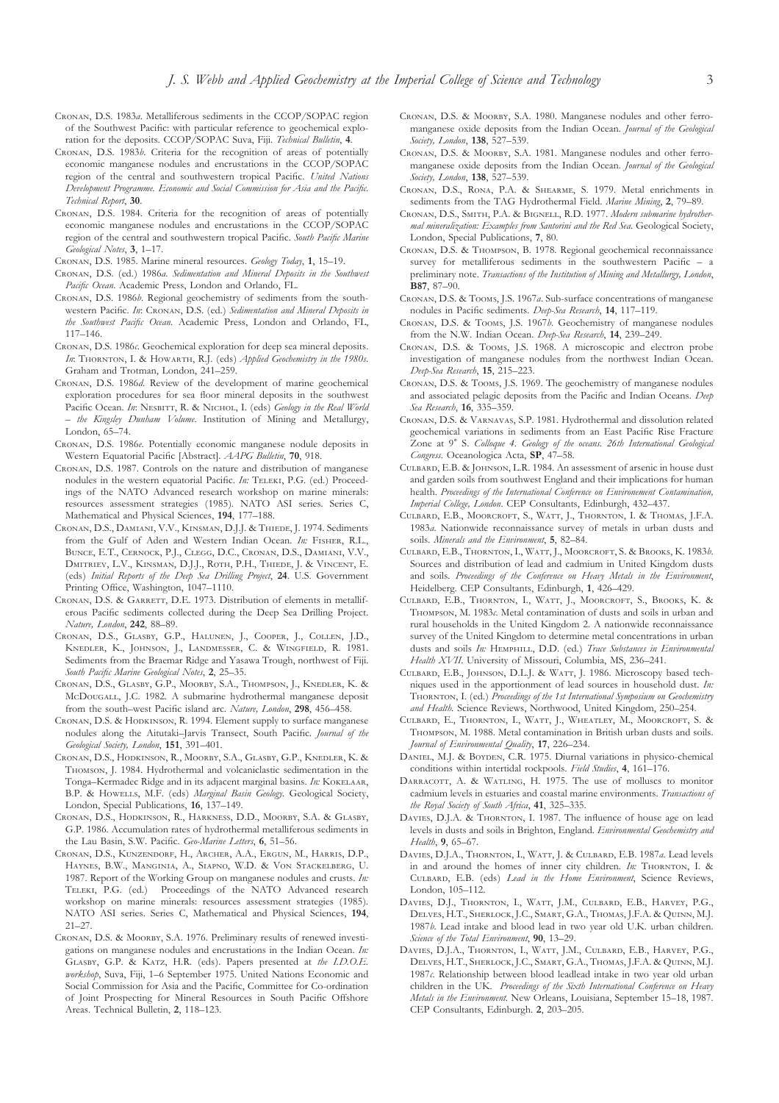- CRONAN, D.S. 1983*a*. Metalliferous sediments in the CCOP/SOPAC region of the Southwest Pacific: with particular reference to geochemical exploration for the deposits. CCOP/SOPAC Suva, Fiji. *Technical Bulletin*, **4**.
- CRONAN, D.S. 1983*b*. Criteria for the recognition of areas of potentially economic manganese nodules and encrustations in the CCOP/SOPAC region of the central and southwestern tropical Pacific. *United Nations Development Programme. Economic and Social Commission for Asia and the Pacific. Technical Report*, **30**.
- CRONAN, D.S. 1984. Criteria for the recognition of areas of potentially economic manganese nodules and encrustations in the CCOP/SOPAC region of the central and southwestern tropical Pacific. *South Pacific Marine Geological Notes*, **3**, 1–17.
- CRONAN, D.S. 1985. Marine mineral resources. *Geology Today*, 1, 15-19.
- CRONAN, D.S. (ed.) 1986*a*. *Sedimentation and Mineral Deposits in the Southwest Pacific Ocean*. Academic Press, London and Orlando, FL.
- CRONAN, D.S. 1986*b*. Regional geochemistry of sediments from the southwestern Pacific. *In*: CRONAN, D.S. (ed.) *Sedimentation and Mineral Deposits in the Southwest Pacific Ocean*. Academic Press, London and Orlando, FL, 117–146.
- CRONAN, D.S. 1986 $\epsilon$ . Geochemical exploration for deep sea mineral deposits. In: THORNTON, I. & HOWARTH, R.J. (eds) *Applied Geochemistry in the 1980s*. Graham and Trotman, London, 241–259.
- CRONAN, D.S. 1986*d*. Review of the development of marine geochemical exploration procedures for sea floor mineral deposits in the southwest Pacific Ocean. In: NESBITT, R. & NICHOL, I. (eds) *Geology in the Real World – the Kingsley Dunham Volume*. Institution of Mining and Metallurgy, London, 65–74.
- CRONAN, D.S. 1986*e*. Potentially economic manganese nodule deposits in Western Equatorial Pacific [Abstract]. *AAPG Bulletin*, **70**, 918.
- CRONAN, D.S. 1987. Controls on the nature and distribution of manganese nodules in the western equatorial Pacific. *In*: TELEKI, P.G. (ed.) Proceedings of the NATO Advanced research workshop on marine minerals: resources assessment strategies (1985)*.* NATO ASI series. Series C, Mathematical and Physical Sciences, **194**, 177–188.
- CRONAN, D.S., DAMIANI, V.V., KINSMAN, D.J.J. & THIEDE, J. 1974. Sediments from the Gulf of Aden and Western Indian Ocean. *In*: FISHER, R.L., BUNCE, E.T., CERNOCK, P.J., CLEGG, D.C., CRONAN, D.S., DAMIANI, V.V., DMITRIEV, L.V., KINSMAN, D.J.J., ROTH, P.H., THIEDE, J. & VINCENT, E. (eds) *Initial Reports of the Deep Sea Drilling Project*, **24**. U.S. Government Printing Office, Washington, 1047–1110.
- CRONAN, D.S. & GARRETT, D.E. 1973. Distribution of elements in metalliferous Pacific sediments collected during the Deep Sea Drilling Project. *Nature, London*, **242**, 88–89.
- CRONAN, D.S., GLASBY, G.P., HALUNEN, J., COOPER, J., COLLEN, J.D., KNEDLER, K., JOHNSON, J., LANDMESSER, C. & WINGFIELD, R. 1981. Sediments from the Braemar Ridge and Yasawa Trough, northwest of Fiji. *South Pacific Marine Geological Notes*, **2**, 25–35.
- CRONAN, D.S., GLASBY, G.P., MOORBY, S.A., THOMPSON, J., KNEDLER, K. & McDouGALL, J.C. 1982. A submarine hydrothermal manganese deposit from the south–west Pacific island arc. *Nature, London*, **298**, 456–458.
- CRONAN, D.S. & HODKINSON, R. 1994. Element supply to surface manganese nodules along the Aitutaki–Jarvis Transect, South Pacific. *Journal of the Geological Society, London*, **151**, 391–401.
- CRONAN, D.S., HODKINSON, R., MOORBY, S.A., GLASBY, G.P., KNEDLER, K. & THOMSON, J. 1984. Hydrothermal and volcaniclastic sedimentation in the Tonga-Kermadec Ridge and in its adjacent marginal basins. *In*: KOKELAAR, B.P. & HoweLLS, M.F. (eds) *Marginal Basin Geology*. Geological Society, London, Special Publications, **16**, 137–149.
- CRONAN, D.S., HODKINSON, R., HARKNESS, D.D., MOORBY, S.A. & GLASBY. G.P. 1986. Accumulation rates of hydrothermal metalliferous sediments in the Lau Basin, S.W. Pacific. *Geo-Marine Letters*, **6**, 51–56.
- CRONAN, D.S., KUNZENDORF, H., ARCHER, A.A., ERGUN, M., HARRIS, D.P., HAYNES, B.W., MANGINIA, A., SIAPNO, W.D. & VON STACKELBERG, U. 1987. Report of the Working Group on manganese nodules and crusts. *In:* TELEKI, P.G. (ed.) Proceedings of the NATO Advanced research workshop on marine minerals: resources assessment strategies (1985)*.* NATO ASI series. Series C, Mathematical and Physical Sciences, **194**, 21–27.
- CRONAN, D.S. & MOORBY, S.A. 1976. Preliminary results of renewed investigations on manganese nodules and encrustations in the Indian Ocean. *In:* GLASBY, G.P. & KATZ, H.R. (eds). Papers presented at the I.D.O.E. *workshop*, Suva, Fiji, 1–6 September 1975. United Nations Economic and Social Commission for Asia and the Pacific, Committee for Co-ordination of Joint Prospecting for Mineral Resources in South Pacific Offshore Areas. Technical Bulletin, **2**, 118–123.
- CRONAN, D.S. & MOORBY, S.A. 1980. Manganese nodules and other ferromanganese oxide deposits from the Indian Ocean. *Journal of the Geological Society, London*, **138**, 527–539.
- CRONAN, D.S. & MOORBY, S.A. 1981. Manganese nodules and other ferromanganese oxide deposits from the Indian Ocean. *Journal of the Geological Society, London*, **138**, 527–539.
- CRONAN, D.S., RONA, P.A. & SHEARME, S. 1979. Metal enrichments in sediments from the TAG Hydrothermal Field. *Marine Mining*, **2**, 79–89.
- CRONAN, D.S., SMITH, P.A. & BIGNELL, R.D. 1977. Modern submarine hydrother*mal mineralization: Examples from Santorini and the Red Sea*. Geological Society, London, Special Publications, **7**, 80.
- CRONAN, D.S. & THOMPSON, B. 1978. Regional geochemical reconnaissance survey for metalliferous sediments in the southwestern Pacific – a preliminary note. *Transactions of the Institution of Mining and Metallurgy, London*, **B87**, 87–90.
- CRONAN, D.S. & TOOMS, J.S. 1967*a*. Sub-surface concentrations of manganese nodules in Pacific sediments. *Deep-Sea Research*, **14**, 117–119.
- CRONAN, D.S. & TOOMS, J.S. 1967*b*. Geochemistry of manganese nodules from the N.W. Indian Ocean. *Deep-Sea Research*, **14**, 239–249.
- CRONAN, D.S. & TOOMS, J.S. 1968. A microscopic and electron probe investigation of manganese nodules from the northwest Indian Ocean. *Deep-Sea Research*, **15**, 215–223.
- CRONAN, D.S. & TOOMS, J.S. 1969. The geochemistry of manganese nodules and associated pelagic deposits from the Pacific and Indian Oceans. *Deep Sea Research*, **16**, 335–359.
- CRONAN, D.S. & VARNAVAS, S.P. 1981. Hydrothermal and dissolution related geochemical variations in sediments from an East Pacific Rise Fracture Zone at 9° S. *Colloque 4. Geology of the oceans. 26th International Geological Congress.* Oceanologica Acta, **SP**, 47–58.
- CULBARD, E.B. & JOHNSON, L.R. 1984. An assessment of arsenic in house dust and garden soils from southwest England and their implications for human health. *Proceedings of the International Conference on Environement Contamination, Imperial College, London*. CEP Consultants, Edinburgh, 432–437.
- CULBARD, E.B., MOORCROFT, S., WATT, J., THORNTON, I. & THOMAS, J.F.A. 1983*a*. Nationwide reconnaissance survey of metals in urban dusts and soils. *Minerals and the Environment*, **5**, 82–84.
- CULBARD, E.B., THORNTON, I., WATT, J., MOORCROFT, S. & BROOKS, K. 1983*b.* Sources and distribution of lead and cadmium in United Kingdom dusts and soils. *Proceedings of the Conference on Heavy Metals in the Environment*, Heidelberg. CEP Consultants, Edinburgh, **1**, 426–429.
- CULBARD, E.B., THORNTON, I., WATT, J., MOORCROFT, S., BROOKS, K. & THOMPSON, M. 1983c. Metal contamination of dusts and soils in urban and rural households in the United Kingdom 2. A nationwide reconnaissance survey of the United Kingdom to determine metal concentrations in urban dusts and soils *In*: HEMPHILL, D.D. (ed.) *Trace Substances in Environmental Health XVII*. University of Missouri, Columbia, MS, 236–241.
- CULBARD, E.B., JOHNSON, D.L.J. & WATT, J. 1986. Microscopy based techniques used in the apportionment of lead sources in household dust. *In:* THORNTON, I. (ed.) Proceedings of the 1st International Symposium on Geochemistry *and Health.* Science Reviews, Northwood, United Kingdom, 250–254.
- CULBARD, E., THORNTON, I., WATT, J., WHEATLEY, M., MOORCROFT, S. & THOMPSON, M. 1988. Metal contamination in British urban dusts and soils. *Journal of Environmental Quality*, **17**, 226–234.
- DANIEL, M.J. & BOYDEN, C.R. 1975. Diurnal variations in physico-chemical conditions within intertidal rockpools. *Field Studies*, **4**, 161–176.
- DARRACOTT, A. & WATLING, H. 1975. The use of molluscs to monitor cadmium levels in estuaries and coastal marine environments. *Transactions of the Royal Society of South Africa*, **41**, 325–335.
- DAVIES, D.J.A. & THORNTON, I. 1987. The influence of house age on lead levels in dusts and soils in Brighton, England. *Environmental Geochemistry and Health*, **9**, 65–67.
- DAVIES, D.J.A., THORNTON, I., WATT, J. & CULBARD, E.B. 1987*a*. Lead levels in and around the homes of inner city children. *In*: THORNTON, I. & CULBARD, E.B. (eds) *Lead in the Home Environment*, Science Reviews, London, 105–112.
- DAVIES, D.J., THORNTON, I., WATT, J.M., CULBARD, E.B., HARVEY, P.G., DELVES, H.T., SHERLOCK, J.C., SMART, G.A., THOMAS, J.F.A. & QUINN, M.J. 1987*b*. Lead intake and blood lead in two year old U.K. urban children. *Science of the Total Environment*, **90**, 13–29.
- DAVIES, D.J.A., THORNTON, I., WATT, J.M., CULBARD, E.B., HARVEY, P.G., DELVES, H.T., SHERLOCK, J.C., SMART, G.A., THOMAS, J.F.A. & QUINN, M.J. 1987*c*. Relationship between blood leadlead intake in two year old urban children in the UK. *Proceedings of the Sixth International Conference on Heavy Metals in the Environment.* New Orleans, Louisiana, September 15–18, 1987. CEP Consultants, Edinburgh. **2**, 203–205.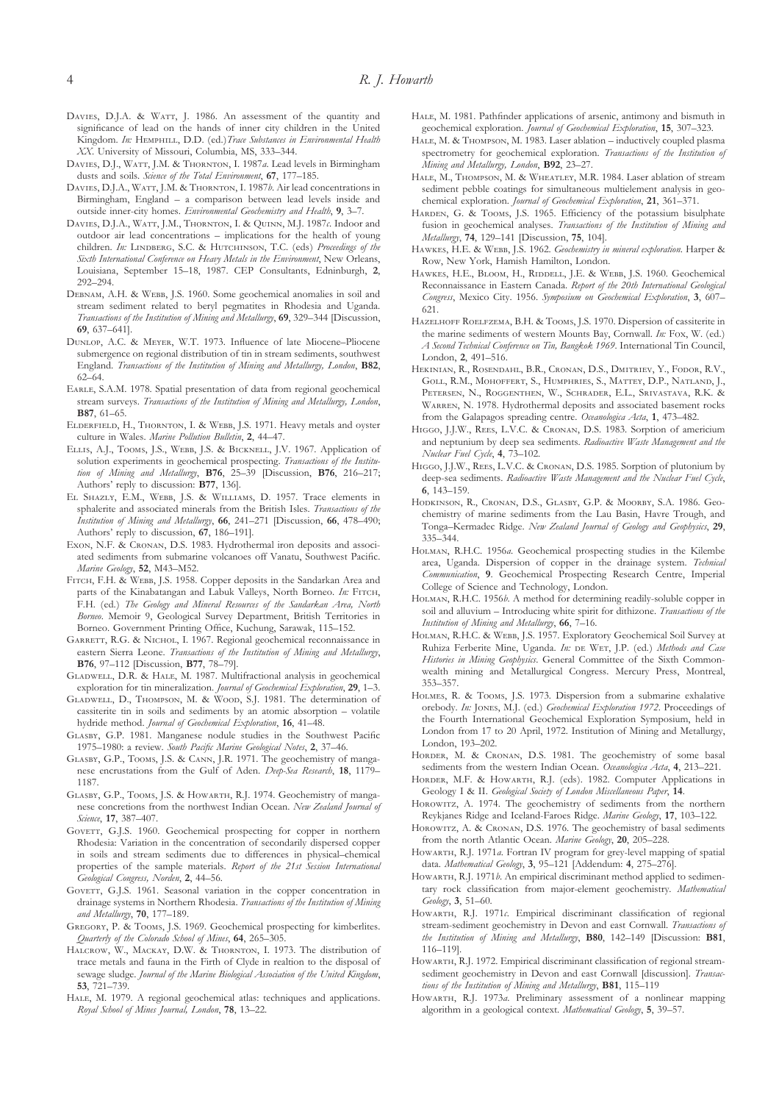- DAVIES, D.J.A. & WATT, J. 1986. An assessment of the quantity and significance of lead on the hands of inner city children in the United Kingdom. *In:* HEMPHILL, D.D. (ed.)*Trace Substances in Environmental Health XX*. University of Missouri, Columbia, MS, 333–344.
- DAVIES, D.J., WATT, J.M. & THORNTON, I. 1987a. Lead levels in Birmingham dusts and soils. *Science of the Total Environment*, **67**, 177–185.
- DAVIES, D.J.A., WATT, J.M. & THORNTON, I. 1987*b*. Air lead concentrations in Birmingham, England – a comparison between lead levels inside and outside inner-city homes. *Environmental Geochemistry and Health*, **9**, 3–7.
- DAVIES, D.J.A., WATT, J.M., THORNTON, I. & QUINN, M.J. 1987*c*. Indoor and outdoor air lead concentrations – implications for the health of young children. *In:* LINDBERG, S.C. & HUTCHINSON, T.C. (eds) *Proceedings of the Sixth International Conference on Heavy Metals in the Environment*, New Orleans, Louisiana, September 15–18, 1987. CEP Consultants, Edninburgh, **2**, 292–294.
- DEBNAM, A.H. & WEBB, J.S. 1960. Some geochemical anomalies in soil and stream sediment related to beryl pegmatites in Rhodesia and Uganda. *Transactions of the Institution of Mining and Metallurgy*, **69**, 329–344 [Discussion, **69**, 637–641].
- DUNLOP, A.C. & MEYER, W.T. 1973. Influence of late Miocene–Pliocene submergence on regional distribution of tin in stream sediments, southwest England. *Transactions of the Institution of Mining and Metallurgy, London*, **B82**, 62–64.
- EARLE, S.A.M. 1978. Spatial presentation of data from regional geochemical stream surveys. *Transactions of the Institution of Mining and Metallurgy, London*, **B87**, 61–65.
- ELDERFIELD, H., THORNTON, I. & WEBB, J.S. 1971. Heavy metals and oyster culture in Wales. *Marine Pollution Bulletin*, **2**, 44–47.
- ELLIS, A.J., TOOMS, J.S., WEBB, J.S. & BICKNELL, J.V. 1967. Application of solution experiments in geochemical prospecting. *Transactions of the Institution of Mining and Metallurgy*, **B76**, 25–39 [Discussion, **B76**, 216–217; Authors' reply to discussion: **B77**, 136].
- EL SHAZLY, E.M., WEBB, J.S. & WILLIAMS, D. 1957. Trace elements in sphalerite and associated minerals from the British Isles. *Transactions of the Institution of Mining and Metallurgy*, **66**, 241–271 [Discussion, **66**, 478–490; Authors' reply to discussion, **67**, 186–191].
- EXON, N.F. & CRONAN, D.S. 1983. Hydrothermal iron deposits and associated sediments from submarine volcanoes off Vanatu, Southwest Pacific. *Marine Geology*, **52**, M43–M52.
- FITCH, F.H. & WEBB, J.S. 1958. Copper deposits in the Sandarkan Area and parts of the Kinabatangan and Labuk Valleys, North Borneo. *In*: FITCH, F.H. (ed.) *The Geology and Mineral Resources of the Sandarkan Area, North Borneo*. Memoir 9, Geological Survey Department, British Territories in Borneo. Government Printing Office, Kuchung, Sarawak, 115–152.
- GARRETT, R.G. & NICHOL, I. 1967. Regional geochemical reconnaissance in eastern Sierra Leone. *Transactions of the Institution of Mining and Metallurgy*, **B76**, 97–112 [Discussion, **B77**, 78–79].
- GLADWELL, D.R. & HALE, M. 1987. Multifractional analysis in geochemical exploration for tin mineralization. *Journal of Geochemical Exploration*, **29**, 1–3.
- GLADWELL, D., THOMPSON, M. & WOOD, S.J. 1981. The determination of cassiterite tin in soils and sediments by an atomic absorption – volatile hydride method. *Journal of Geochemical Exploration*, **16**, 41–48.
- GLASBY, G.P. 1981. Manganese nodule studies in the Southwest Pacific 1975–1980: a review. *South Pacific Marine Geological Notes*, **2**, 37–46.
- GLASBY, G.P., TOOMS, J.S. & CANN, J.R. 1971. The geochemistry of manganese encrustations from the Gulf of Aden. *Deep-Sea Research*, **18**, 1179– 1187.
- GLASBY, G.P., TOOMS, J.S. & HOWARTH, R.J. 1974. Geochemistry of manganese concretions from the northwest Indian Ocean. *New Zealand Journal of Science*, **17**, 387–407.
- GOVETT, G.J.S. 1960. Geochemical prospecting for copper in northern Rhodesia: Variation in the concentration of secondarily dispersed copper in soils and stream sediments due to differences in physical–chemical properties of the sample materials. *Report of the 21st Session International Geological Congress, Norden*, **2**, 44–56.
- GOVETT, G.J.S. 1961. Seasonal variation in the copper concentration in drainage systems in Northern Rhodesia. *Transactions of the Institution of Mining and Metallurgy*, **70**, 177–189.
- GREGORY, P. & TOOMS, J.S. 1969. Geochemical prospecting for kimberlites. *Quarterly of the Colorado School of Mines*, **64**, 265–305.
- HALCROW, W., MACKAY, D.W. & THORNTON, I. 1973. The distribution of trace metals and fauna in the Firth of Clyde in realtion to the disposal of sewage sludge. *Journal of the Marine Biological Association of the United Kingdom*, **53**, 721–739.
- HALE, M. 1979. A regional geochemical atlas: techniques and applications. *Royal School of Mines Journal, London*, **78**, 13–22.

HALE, M. 1981. Pathfinder applications of arsenic, antimony and bismuth in geochemical exploration. *Journal of Geochemical Exploration*, **15**, 307–323.

- HALE, M. & THOMPSON, M. 1983. Laser ablation inductively coupled plasma spectrometry for geochemical exploration. *Transactions of the Institution of Mining and Metallurgy, London*, **B92**, 23–27.
- HALE, M., THOMPSON, M. & WHEATLEY, M.R. 1984. Laser ablation of stream sediment pebble coatings for simultaneous multielement analysis in geochemical exploration. *Journal of Geochemical Exploration*, **21**, 361–371.
- HARDEN, G. & TOOMS, J.S. 1965. Efficiency of the potassium bisulphate fusion in geochemical analyses. *Transactions of the Institution of Mining and Metallurgy*, **74**, 129–141 [Discussion, **75**, 104].
- HAWKES, H.E. & WEBB, J.S. 1962. *Geochemistry in mineral exploration*. Harper & Row, New York, Hamish Hamilton, London.
- HAWKES, H.E., BLOOM, H., RIDDELL, J.E. & WEBB, J.S. 1960. Geochemical Reconnaissance in Eastern Canada. *Report of the 20th International Geological Congress*, Mexico City. 1956. *Symposium on Geochemical Exploration*, **3**, 607– 621.
- HAZELHOFF ROELFZEMA, B.H. & TOOMS, J.S. 1970. Dispersion of cassiterite in the marine sediments of western Mounts Bay, Cornwall. *In*: Fox, W. (ed.) *A Second Technical Conference on Tin, Bangkok 1969*. International Tin Council, London, **2**, 491–516.
- HEKINIAN, R., ROSENDAHL, B.R., CRONAN, D.S., DMITRIEV, Y., FODOR, R.V., GOLL, R.M., MOHOFFERT, S., HUMPHRIES, S., MATTEY, D.P., NATLAND, J., PETERSEN, N., ROGGENTHEN, W., SCHRADER, E.L., SRIVASTAVA, R.K. & WARREN, N. 1978. Hydrothermal deposits and associated basement rocks from the Galapagos spreading centre. *Oceanologica Acta*, **1**, 473–482.
- HIGGO, J.J.W., REES, L.V.C. & CRONAN, D.S. 1983. Sorption of americium and neptunium by deep sea sediments. *Radioactive Waste Management and the Nuclear Fuel Cycle*, **4**, 73–102.
- HIGGO, J.J.W., REES, L.V.C. & CRONAN, D.S. 1985. Sorption of plutonium by deep-sea sediments. *Radioactive Waste Management and the Nuclear Fuel Cycle*, **6**, 143–159.
- HODKINSON, R., CRONAN, D.S., GLASBY, G.P. & MOORBY, S.A. 1986. Geochemistry of marine sediments from the Lau Basin, Havre Trough, and Tonga–Kermadec Ridge. *New Zealand Journal of Geology and Geophysics*, **29**, 335–344.
- HOLMAN, R.H.C. 1956*a*. Geochemical prospecting studies in the Kilembe area, Uganda. Dispersion of copper in the drainage system. *Technical Communication*, **9**. Geochemical Prospecting Research Centre, Imperial College of Science and Technology, London.
- HOLMAN, R.H.C. 1956*b*. A method for determining readily-soluble copper in soil and alluvium – Introducing white spirit for dithizone. *Transactions of the Institution of Mining and Metallurgy*, **66**, 7–16.
- HOLMAN, R.H.C. & WEBB, J.S. 1957. Exploratory Geochemical Soil Survey at Ruhiza Ferberite Mine, Uganda. *In:* DE WET, J.P. (ed.) *Methods and Case Histories in Mining Geophysics*. General Committee of the Sixth Commonwealth mining and Metallurgical Congress. Mercury Press, Montreal, 353–357.
- HOLMES, R. & TOOMS, J.S. 1973. Dispersion from a submarine exhalative orebody. In: JONES, M.J. (ed.) *Geochemical Exploration 1972*. Proceedings of the Fourth International Geochemical Exploration Symposium, held in London from 17 to 20 April, 1972. Institution of Mining and Metallurgy, London, 193–202.
- HORDER, M. & CRONAN, D.S. 1981. The geochemistry of some basal sediments from the western Indian Ocean. *Oceanologica Acta*, **4**, 213–221.
- HORDER, M.F. & HOWARTH, R.J. (eds). 1982. Computer Applications in Geology I & II. *Geological Society of London Miscellaneous Paper*, **14**.
- HOROWITZ, A. 1974. The geochemistry of sediments from the northern Reykjanes Ridge and Iceland-Faroes Ridge. *Marine Geology*, **17**, 103–122.
- HOROWITZ, A. & CRONAN, D.S. 1976. The geochemistry of basal sediments from the north Atlantic Ocean. *Marine Geology*, **20**, 205–228.
- HOWARTH, R.J. 1971*a*. Fortran IV program for grey-level mapping of spatial data. *Mathematical Geology*, **3**, 95–121 [Addendum: **4**, 275–276].
- HOWARTH, R.J. 1971*b*. An empirical discriminant method applied to sedimentary rock classification from major-element geochemistry. *Mathematical Geology*, **3**, 51–60.
- HowARTH, R.J. 1971c. Empirical discriminant classification of regional stream-sediment geochemistry in Devon and east Cornwall. *Transactions of the Institution of Mining and Metallurgy*, **B80**, 142–149 [Discussion: **B81**, 116–119].
- HOWARTH, R.J. 1972. Empirical discriminant classification of regional streamsediment geochemistry in Devon and east Cornwall [discussion]. *Transactions of the Institution of Mining and Metallurgy*, **B81**, 115–119
- HOWARTH, R.J. 1973*a*. Preliminary assessment of a nonlinear mapping algorithm in a geological context. *Mathematical Geology*, **5**, 39–57.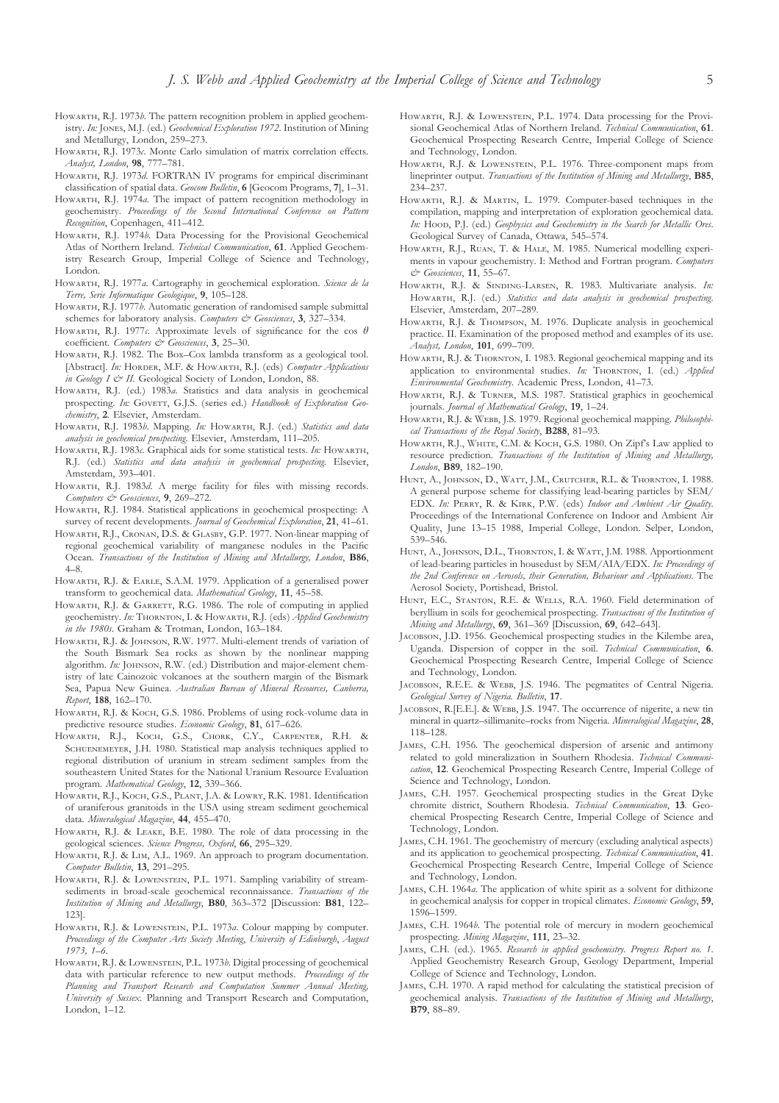- HOWARTH, R.J. 1973*b*. The pattern recognition problem in applied geochemistry. *In:* Jones, M.J. (ed.) *Geochemical Exploration 1972*. Institution of Mining and Metallurgy, London, 259–273.
- HowARTH, R.J. 1973 $c$ . Monte Carlo simulation of matrix correlation effects. *Analyst, London*, **98**, 777–781.
- HOWARTH, R.J. 1973*d*. FORTRAN IV programs for empirical discriminant classification of spatial data. *Geocom Bulletin*, **6** [Geocom Programs, **7**], 1–31.
- HOWARTH, R.J. 1974*a*. The impact of pattern recognition methodology in geochemistry. *Proceedings of the Second International Conference on Pattern Recognition*, Copenhagen, 411–412.
- HOWARTH, R.J. 1974*b*. Data Processing for the Provisional Geochemical Atlas of Northern Ireland. *Technical Communication*, **61**. Applied Geochemistry Research Group, Imperial College of Science and Technology, London.
- HOWARTH, R.J. 1977*a*. Cartography in geochemical exploration. Science de la *Terre, Serie Informatique Geologique*, **9**, 105–128.
- HOWARTH, R.J. 1977*b*. Automatic generation of randomised sample submittal schemes for laboratory analysis. *Computers & Geosciences*, 3, 327-334.
- HOWARTH, R.J. 1977*c*. Approximate levels of significance for the cos  $\theta$ coefficient. *Computers & Geosciences*, **3**, 25–30.
- HOWARTH, R.J. 1982. The Box–Cox lambda transform as a geological tool. [Abstract]. In: HORDER, M.F. & HOWARTH, R.J. (eds) *Computer Applications in Geology I & II*. Geological Society of London, London, 88.
- HOWARTH, R.J. (ed.) 1983a. Statistics and data analysis in geochemical prospecting. In: GOVETT, G.J.S. (series ed.) Handbook of Exploration Geo*chemistry*, **2**. Elsevier, Amsterdam.
- HOWARTH, R.J. 1983*b*. Mapping. In: HOWARTH, R.J. (ed.) Statistics and data *analysis in geochemical prospecting*. Elsevier, Amsterdam, 111–205.
- HOWARTH, R.J. 1983 $c$ . Graphical aids for some statistical tests. *In*: HOWARTH, R.J. (ed.) *Statistics and data analysis in geochemical prospecting*. Elsevier, Amsterdam, 393–401.
- HOWARTH, R.J. 1983*d*. A merge facility for files with missing records. *Computers & Geosciences*, **9**, 269–272.
- HOWARTH, R.J. 1984. Statistical applications in geochemical prospecting: A survey of recent developments. *Journal of Geochemical Exploration*, **21**, 41–61.
- HOWARTH, R.J., CRONAN, D.S. & GLASBY, G.P. 1977. Non-linear mapping of regional geochemical variability of manganese nodules in the Pacific Ocean. *Transactions of the Institution of Mining and Metallurgy, London*, **B86**, 4–8.
- HOWARTH, R.J. & EARLE, S.A.M. 1979. Application of a generalised power transform to geochemical data. *Mathematical Geology*, **11**, 45–58.
- HOWARTH, R.J. & GARRETT, R.G. 1986. The role of computing in applied geochemistry. In: THORNTON, I. & HOWARTH, R.J. (eds) *Applied Geochemistry in the 1980s*. Graham & Trotman, London, 163–184.
- HOWARTH, R.J. & JOHNSON, R.W. 1977. Multi-element trends of variation of the South Bismark Sea rocks as shown by the nonlinear mapping algorithm. *In*: JOHNSON, R.W. (ed.) Distribution and major-element chemistry of late Cainozoic volcanoes at the southern margin of the Bismark Sea, Papua New Guinea. *Australian Bureau of Mineral Resources, Canberra, Report*, **188**, 162–170.
- HOWARTH, R.J. & KOCH, G.S. 1986. Problems of using rock-volume data in predictive resource studies. *Economic Geology*, **81**, 617–626.
- HOWARTH, R.J., KOCH, G.S., CHORK, C.Y., CARPENTER, R.H. & SCHUENEMEYER, J.H. 1980. Statistical map analysis techniques applied to regional distribution of uranium in stream sediment samples from the southeastern United States for the National Uranium Resource Evaluation program. *Mathematical Geology*, **12**, 339–366.
- HOWARTH, R.J., KOCH, G.S., PLANT, J.A. & LOWRY, R.K. 1981. Identification of uraniferous granitoids in the USA using stream sediment geochemical data. *Mineralogical Magazine*, **44**, 455–470.
- HOWARTH, R.J. & LEAKE, B.E. 1980. The role of data processing in the geological sciences. *Science Progress, Oxford*, **66**, 295–329.
- HOWARTH, R.J. & LIM, A.L. 1969. An approach to program documentation. *Computer Bulletin*, **13**, 291–295.
- HOWARTH, R.J. & LOWENSTEIN, P.L. 1971. Sampling variability of streamsediments in broad-scale geochemical reconnaissance. *Transactions of the Institution of Mining and Metallurgy*, **B80**, 363–372 [Discussion: **B81**, 122– 123].
- HOWARTH, R.J. & LOWENSTEIN, P.L. 1973*a*. Colour mapping by computer. *Proceedings of the Computer Arts Society Meeting*, *University of Edinburgh*, *August 1973, 1–6*.
- HOWARTH, R.J. & LOWENSTEIN, P.L. 1973*b*. Digital processing of geochemical data with particular reference to new output methods. *Proceedings of the Planning and Transport Research and Computation Summer Annual Meeting, University of Sussex*. Planning and Transport Research and Computation, London, 1–12.
- HOWARTH, R.J. & LOWENSTEIN, P.L. 1974. Data processing for the Provisional Geochemical Atlas of Northern Ireland. *Technical Communication*, **61**. Geochemical Prospecting Research Centre, Imperial College of Science and Technology, London.
- HOWARTH, R.J. & LOWENSTEIN, P.L. 1976. Three-component maps from lineprinter output. *Transactions of the Institution of Mining and Metallurgy*, **B85**, 234–237.
- HOWARTH, R.J. & MARTIN, L. 1979. Computer-based techniques in the compilation, mapping and interpretation of exploration geochemical data. *In:* HOOD, P.J. (ed.) *Geophysics and Geochemistry in the Search for Metallic Ores.* Geological Survey of Canada, Ottawa, 545–574.
- HOWARTH, R.J., RUAN, T. & HALE, M. 1985. Numerical modelling experiments in vapour geochemistry. I: Method and Fortran program. *Computers & Geosciences*, **11**, 55–67.
- HOWARTH, R.J. & SINDING-LARSEN, R. 1983. Multivariate analysis. In: HOWARTH, R.J. (ed.) *Statistics and data analysis in geochemical prospecting*. Elsevier, Amsterdam, 207–289.
- HOWARTH, R.J. & THOMPSON, M. 1976. Duplicate analysis in geochemical practice. II. Examination of the proposed method and examples of its use. *Analyst, London*, **101**, 699–709.
- HOWARTH, R.J. & THORNTON, I. 1983. Regional geochemical mapping and its application to environmental studies. *In:* THORNTON, I. (ed.) *Applied Environmental Geochemistry*. Academic Press, London, 41–73.
- HOWARTH, R.J. & TURNER, M.S. 1987. Statistical graphics in geochemical journals. *Journal of Mathematical Geology*, **19**, 1–24.
- HOWARTH, R.J. & WEBB, J.S. 1979. Regional geochemical mapping. *Philosophical Transactions of the Royal Society*, **B288**, 81–93.
- HOWARTH, R.J., WHITE, C.M. & KOCH, G.S. 1980. On Zipf's Law applied to resource prediction. *Transactions of the Institution of Mining and Metallurgy, London*, **B89**, 182–190.
- HUNT, A., JOHNSON, D., WATT, J.M., CRUTCHER, R.L. & THORNTON, I. 1988. A general purpose scheme for classifying lead-bearing particles by SEM/ EDX. In: PERRY, R. & KIRK, P.W. (eds) Indoor and Ambient Air Quality. Proceedings of the International Conference on Indoor and Ambient Air Quality, June 13–15 1988, Imperial College, London. Selper, London, 539–546.
- HUNT, A., JOHNSON, D.L., THORNTON, I. & WATT, J.M. 1988. Apportionment of lead-bearing particles in housedust by SEM/AIA/EDX. *In: Proceedings of the 2nd Conference on Aerosols, their Generation, Behaviour and Applications*. The Aerosol Society, Portishead, Bristol.
- HUNT, E.C., STANTON, R.E. & WELLS, R.A. 1960. Field determination of beryllium in soils for geochemical prospecting. *Transactions of the Institution of Mining and Metallurgy*, **69**, 361–369 [Discussion, **69**, 642–643].
- JACOBSON, J.D. 1956. Geochemical prospecting studies in the Kilembe area, Uganda. Dispersion of copper in the soil. *Technical Communication*, **6**. Geochemical Prospecting Research Centre, Imperial College of Science and Technology, London.
- JACOBSON, R.E.E. & WEBB, J.S. 1946. The pegmatites of Central Nigeria. *Geological Survey of Nigeria. Bulletin*, **17**.
- JACOBSON, R.[E.E.]. & WEBB, J.S. 1947. The occurrence of nigerite, a new tin mineral in quartz–sillimanite–rocks from Nigeria. *Mineralogical Magazine*, **28**, 118–128.
- JAMES, C.H. 1956. The geochemical dispersion of arsenic and antimony related to gold mineralization in Southern Rhodesia. Technical Communi *cation*, **12**. Geochemical Prospecting Research Centre, Imperial College of Science and Technology, London.
- JAMES, C.H. 1957. Geochemical prospecting studies in the Great Dyke chromite district, Southern Rhodesia. *Technical Communication*, **13**. Geochemical Prospecting Research Centre, Imperial College of Science and Technology, London.
- JAMES, C.H. 1961. The geochemistry of mercury (excluding analytical aspects) and its application to geochemical prospecting. *Technical Communication*, **41**. Geochemical Prospecting Research Centre, Imperial College of Science and Technology, London.
- JAMES, C.H. 1964*a*. The application of white spirit as a solvent for dithizone in geochemical analysis for copper in tropical climates. *Economic Geology*, **59**, 1596–1599.
- JAMES, C.H. 1964*b*. The potential role of mercury in modern geochemical prospecting. *Mining Magazine*, **111**, 23–32.
- JAMES, C.H. (ed.). 1965. *Research in applied geochemistry. Progress Report no. 1*. Applied Geochemistry Research Group, Geology Department, Imperial College of Science and Technology, London.
- J, C.H. 1970. A rapid method for calculating the statistical precision of geochemical analysis. *Transactions of the Institution of Mining and Metallurgy*, **B79**, 88–89.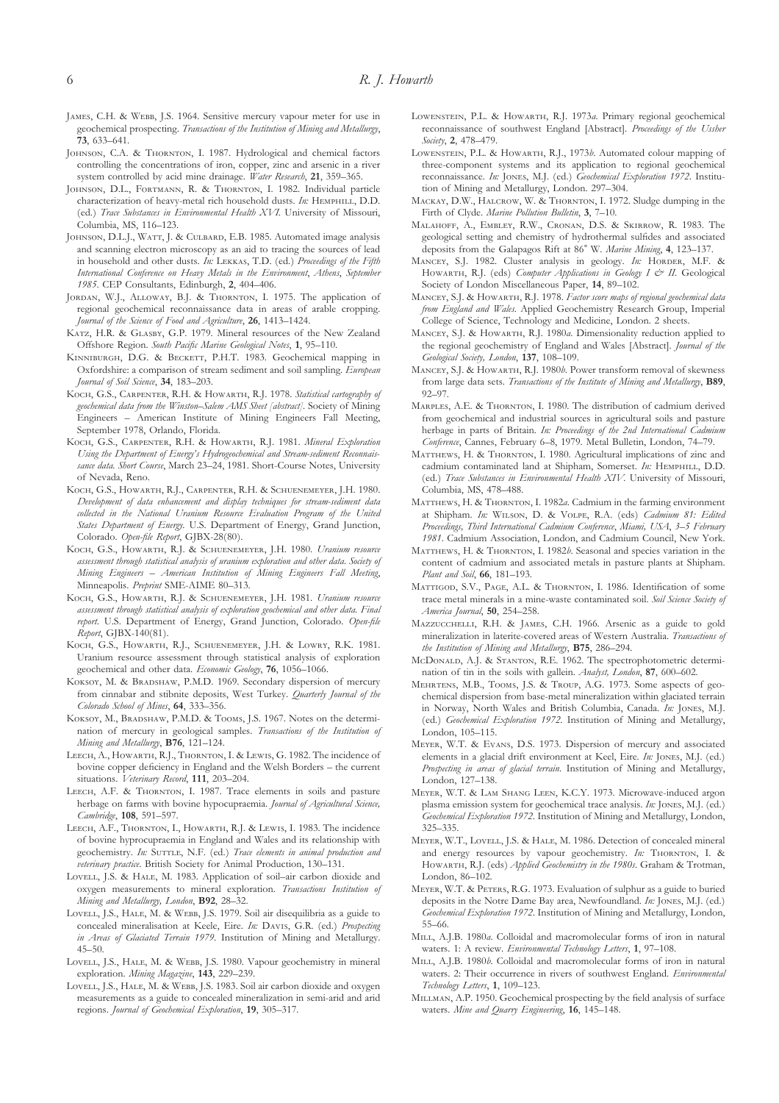- JAMES, C.H. & WEBB, J.S. 1964. Sensitive mercury vapour meter for use in geochemical prospecting. *Transactions of the Institution of Mining and Metallurgy*, **73**, 633–641.
- JOHNSON, C.A. & THORNTON, I. 1987. Hydrological and chemical factors controlling the concentrations of iron, copper, zinc and arsenic in a river system controlled by acid mine drainage. *Water Research*, **21**, 359–365.
- JOHNSON, D.L., FORTMANN, R. & THORNTON, I. 1982. Individual particle characterization of heavy-metal rich household dusts. *In*: HEMPHILL, D.D. (ed.) *Trace Substances in Environmental Health XVI*. University of Missouri, Columbia, MS, 116–123.
- JOHNSON, D.L.J., WATT, J. & CULBARD, E.B. 1985. Automated image analysis and scanning electron microscopy as an aid to tracing the sources of lead in household and other dusts. *In*: LEKKAS, T.D. (ed.) *Proceedings of the Fifth International Conference on Heavy Metals in the Environment*, *Athens*, *September 1985*. CEP Consultants, Edinburgh, **2**, 404–406.
- JORDAN, W.J., ALLOWAY, B.J. & THORNTON, I. 1975. The application of regional geochemical reconnaissance data in areas of arable cropping. *Journal of the Science of Food and Agriculture*, **26**, 1413–1424.
- KATZ, H.R. & GLASBY, G.P. 1979. Mineral resources of the New Zealand Offshore Region. *South Pacific Marine Geological Notes*, **1**, 95–110.
- KINNIBURGH, D.G. & BECKETT, P.H.T. 1983. Geochemical mapping in Oxfordshire: a comparison of stream sediment and soil sampling. *European Journal of Soil Science*, **34**, 183–203.
- KOCH, G.S., CARPENTER, R.H. & HOWARTH, R.J. 1978. Statistical cartography of *geochemical data from the Winston–Salem AMS Sheet [abstract]*. Society of Mining Engineers – American Institute of Mining Engineers Fall Meeting, September 1978, Orlando, Florida.
- KOCH, G.S., CARPENTER, R.H. & HOWARTH, R.J. 1981. *Mineral Exploration Using the Department of Energy's Hydrogeochemical and Stream-sediment Reconnaissance data. Short Course*, March 23–24, 1981. Short-Course Notes, University of Nevada, Reno.
- KOCH, G.S., HOWARTH, R.J., CARPENTER, R.H. & SCHUENEMEYER, J.H. 1980. *Development of data enhancement and display techniques for stream-sediment data collected in the National Uranium Resource Evaluation Program of the United States Department of Energy.* U.S. Department of Energy, Grand Junction, Colorado. *Open-file Report*, GJBX-28(80).
- Косн, G.S., Ноwактн, R.J. & SCHUENEMEYER, J.H. 1980. *Uranium resource assessment through statistical analysis of uranium exploration and other data*. *Society of Mining Engineers – American Institution of Mining Engineers Fall Meeting*, Minneapolis. *Preprint* SME-AIME 80–313.
- Косн, G.S., Ноwактн, R.J. & SCHUENEMEYER, J.H. 1981. *Uranium resource assessment through statistical analysis of exploration geochemical and other data. Final report*. U.S. Department of Energy, Grand Junction, Colorado. *Open-file Report*, GJBX-140(81).
- KOCH, G.S., HOWARTH, R.J., SCHUENEMEYER, J.H. & LOWRY, R.K. 1981. Uranium resource assessment through statistical analysis of exploration geochemical and other data. *Economic Geology*, **76**, 1056–1066.
- KOKSOY, M. & BRADSHAW, P.M.D. 1969. Secondary dispersion of mercury from cinnabar and stibnite deposits, West Turkey. *Quarterly Journal of the Colorado School of Mines*, **64**, 333–356.
- KOKSOY, M., BRADSHAW, P.M.D. & TOOMS, J.S. 1967. Notes on the determination of mercury in geological samples. *Transactions of the Institution of Mining and Metallurgy*, **B76**, 121–124.
- LEECH, A., HOWARTH, R.J., THORNTON, I. & LEWIS, G. 1982. The incidence of bovine copper deficiency in England and the Welsh Borders – the current situations. *Veterinary Record*, **111**, 203–204.
- LEECH, A.F. & THORNTON, I. 1987. Trace elements in soils and pasture herbage on farms with bovine hypocupraemia. *Journal of Agricultural Science, Cambridge*, **108**, 591–597.
- LEECH, A.F., THORNTON, I., HOWARTH, R.J. & LEWIS, I. 1983. The incidence of bovine hyprocupraemia in England and Wales and its relationship with geochemistry. In: SUTTLE, N.F. (ed.) *Trace elements in animal production and veterinary practice*. British Society for Animal Production, 130–131.
- LOVELL, J.S. & HALE, M. 1983. Application of soil-air carbon dioxide and oxygen measurements to mineral exploration. *Transactions Institution of Mining and Metallurgy, London*, **B92**, 28–32.
- LOVELL, J.S., HALE, M. & WEBB, J.S. 1979. Soil air disequilibria as a guide to concealed mineralisation at Keele, Eire. *In*: DAVIS, G.R. (ed.) *Prospecting in Areas of Glaciated Terrain 1979*. Institution of Mining and Metallurgy. 45–50.
- LOVELL, J.S., HALE, M. & WEBB, J.S. 1980. Vapour geochemistry in mineral exploration. *Mining Magazine*, **143**, 229–239.
- LOVELL, J.S., HALE, M. & WEBB, J.S. 1983. Soil air carbon dioxide and oxygen measurements as a guide to concealed mineralization in semi-arid and arid regions. *Journal of Geochemical Exploration*, **19**, 305–317.
- LOWENSTEIN, P.L. & HOWARTH, R.J. 1973a. Primary regional geochemical reconnaissance of southwest England [Abstract]. *Proceedings of the Ussher Society*, **2**, 478–479.
- LOWENSTEIN, P.L. & HOWARTH, R.J., 1973*b*. Automated colour mapping of three-component systems and its application to regional geochemical reconnaissance. *In:* JONES, M.J. (ed.) *Geochemical Exploration 1972*. Institution of Mining and Metallurgy, London. 297–304.
- MACKAY, D.W., HALCROW, W. & THORNTON, I. 1972. Sludge dumping in the Firth of Clyde. *Marine Pollution Bulletin*, **3**, 7–10.
- MALAHOFF, A., EMBLEY, R.W., CRONAN, D.S. & SKIRROW, R. 1983. The geological setting and chemistry of hydrothermal sulfides and associated deposits from the Galapagos Rift at 86° W. Marine Mining, 4, 123-137.
- MANCEY, S.J. 1982. Cluster analysis in geology. In: HORDER, M.F. & HOWARTH, R.J. (eds) *Computer Applications in Geology I & II*. Geological Society of London Miscellaneous Paper, **14**, 89–102.
- MANCEY, S.J. & HOWARTH, R.J. 1978. *Factor score maps of regional geochemical data from England and Wales*. Applied Geochemistry Research Group, Imperial College of Science, Technology and Medicine, London. 2 sheets.
- MANCEY, S.J. & HOWARTH, R.J. 1980*a*. Dimensionality reduction applied to the regional geochemistry of England and Wales [Abstract]. *Journal of the Geological Society, London*, **137**, 108–109.
- MANCEY, S.J. & HOWARTH, R.J. 1980*b*. Power transform removal of skewness from large data sets. *Transactions of the Institute of Mining and Metallurgy*, **B89**, 92–97.
- MARPLES, A.E. & THORNTON, I. 1980. The distribution of cadmium derived from geochemical and industrial sources in agricultural soils and pasture herbage in parts of Britain. *In: Proceedings of the 2nd International Cadmium Conference*, Cannes, February 6–8, 1979. Metal Bulletin, London, 74–79.
- MATTHEWS, H. & THORNTON, I. 1980. Agricultural implications of zinc and cadmium contaminated land at Shipham, Somerset. *In*: HEMPHILL, D.D. (ed.) *Trace Substances in Environmental Health XIV*. University of Missouri, Columbia, MS, 478–488.
- MATTHEWS, H. & THORNTON, I. 1982a. Cadmium in the farming environment at Shipham. *In:* WILSON, D. & VOLPE, R.A. (eds) *Cadmium 81: Edited Proceedings, Third International Cadmium Conference*, *Miami, USA*, *3–5 February 1981*. Cadmium Association, London, and Cadmium Council, New York.
- MATTHEWS, H. & THORNTON, I. 1982*b*. Seasonal and species variation in the content of cadmium and associated metals in pasture plants at Shipham. *Plant and Soil*, **66**, 181–193.
- MATTIGOD, S.V., PAGE, A.L. & THORNTON, I. 1986. Identification of some trace metal minerals in a mine-waste contaminated soil. *Soil Science Society of America Journal*, **50**, 254–258.
- MAZZUCCHELLI, R.H. & JAMES, C.H. 1966. Arsenic as a guide to gold mineralization in laterite-covered areas of Western Australia. *Transactions of the Institution of Mining and Metallurgy*, **B75**, 286–294.
- McDONALD, A.J. & STANTON, R.E. 1962. The spectrophotometric determination of tin in the soils with gallein. *Analyst, London*, **87**, 600–602.
- MEHRTENS, M.B., TOOMS, J.S. & TROUP, A.G. 1973. Some aspects of geochemical dispersion from base-metal mineralization within glaciated terrain in Norway, North Wales and British Columbia, Canada. *In:* JONES, M.J. (ed.) *Geochemical Exploration 1972*. Institution of Mining and Metallurgy, London, 105–115.
- MEYER, W.T. & EVANS, D.S. 1973. Dispersion of mercury and associated elements in a glacial drift environment at Keel, Eire. *In*: JONES, M.J. (ed.) *Prospecting in areas of glacial terrain*. Institution of Mining and Metallurgy, London, 127–138.
- MEYER, W.T. & LAM SHANG LEEN, K.C.Y. 1973. Microwave-induced argon plasma emission system for geochemical trace analysis. *In*: JONES, M.J. (ed.) *Geochemical Exploration 1972*. Institution of Mining and Metallurgy, London, 325–335.
- MEYER, W.T., LOVELL, J.S. & HALE, M. 1986. Detection of concealed mineral and energy resources by vapour geochemistry. *In*: THORNTON, I. & H, R.J. (eds) *Applied Geochemistry in the 1980s*. Graham & Trotman, London, 86–102.
- MEYER, W.T. & PETERS, R.G. 1973. Evaluation of sulphur as a guide to buried deposits in the Notre Dame Bay area, Newfoundland. *In*: JONES, M.J. (ed.) *Geochemical Exploration 1972*. Institution of Mining and Metallurgy, London, 55–66.
- MILL, A.J.B. 1980*a*. Colloidal and macromolecular forms of iron in natural waters. 1: A review. *Environmental Technology Letters*, **1**, 97–108.
- M<sub>ILL</sub>, A.J.B. 1980*b*. Colloidal and macromolecular forms of iron in natural waters. 2: Their occurrence in rivers of southwest England. *Environmental Technology Letters*, **1**, 109–123.
- MILLMAN, A.P. 1950. Geochemical prospecting by the field analysis of surface waters. *Mine and Quarry Engineering*, **16**, 145–148.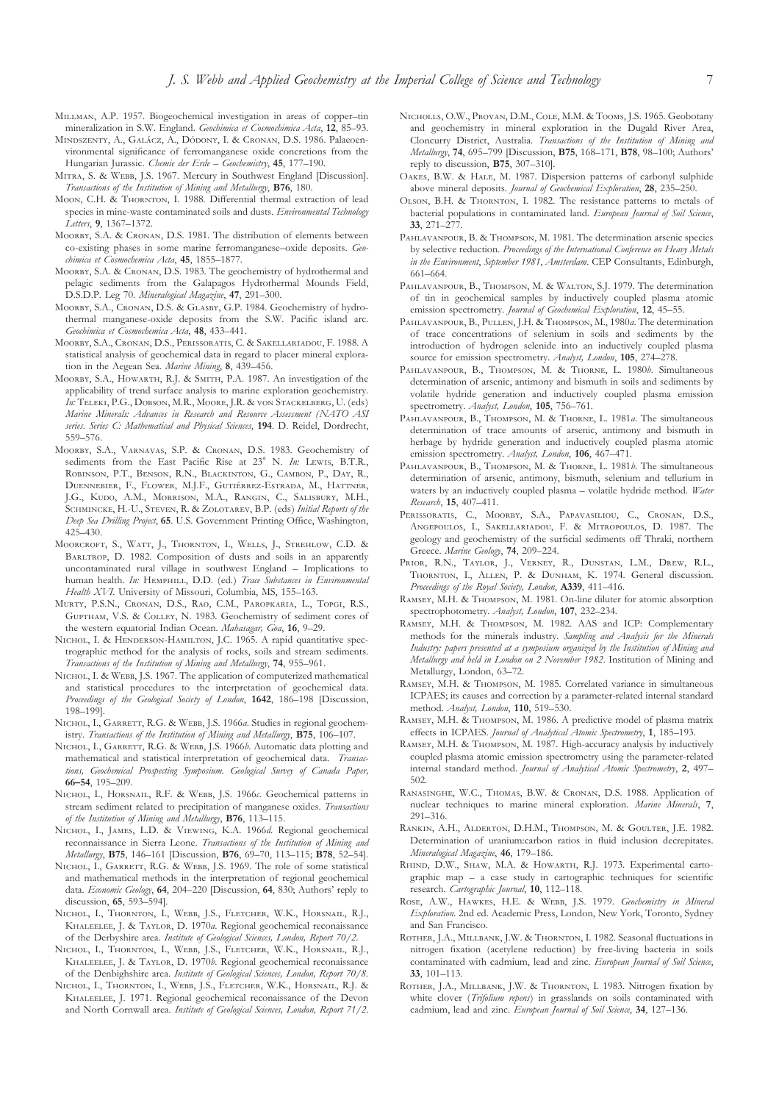- MILLMAN, A.P. 1957. Biogeochemical investigation in areas of copper-tin mineralization in S.W. England. *Geochimica et Cosmochimica Acta*, **12**, 85–93.
- MINDSZENTY, A., GALÁCZ, A., DÓDONY, I. & CRONAN, D.S. 1986. Palaeoenvironmental significance of ferromanganese oxide concretions from the Hungarian Jurassic. *Chemie der Erde – Geochemistry*, **45**, 177–190.
- MITRA, S. & WEBB, J.S. 1967. Mercury in Southwest England [Discussion]. *Transactions of the Institution of Mining and Metallurgy*, **B76**, 180.
- MOON, C.H. & THORNTON, I. 1988. Differential thermal extraction of lead species in mine-waste contaminated soils and dusts. *Environmental Technology Letters*, **9**, 1367–1372.
- MOORBY, S.A. & CRONAN, D.S. 1981. The distribution of elements between co-existing phases in some marine ferromanganese–oxide deposits. *Geochimica et Cosmochemica Acta*, **45**, 1855–1877.
- MOORBY, S.A. & CRONAN, D.S. 1983. The geochemistry of hydrothermal and pelagic sediments from the Galapagos Hydrothermal Mounds Field, D.S.D.P. Leg 70. *Mineralogical Magazine*, **47**, 291–300.
- MOORBY, S.A., CRONAN, D.S. & GLASBY, G.P. 1984. Geochemistry of hydrothermal manganese-oxide deposits from the S.W. Pacific island arc. *Geochimica et Cosmochemica Acta*, **48**, 433–441.
- MOORBY, S.A., CRONAN, D.S., PERISSORATIS, C. & SAKELLARIADOU, F. 1988. A statistical analysis of geochemical data in regard to placer mineral exploration in the Aegean Sea. *Marine Mining*, **8**, 439–456.
- MOORBY, S.A., HOWARTH, R.J. & SMITH, P.A. 1987. An investigation of the applicability of trend surface analysis to marine exploration geochemistry. In: TELEKI, P.G., DOBSON, M.R., MOORE, J.R. & VON STACKELBERG, U. (eds) *Marine Minerals: Advances in Research and Resource Assessment (NATO ASI series. Series C: Mathematical and Physical Sciences*, **194**. D. Reidel, Dordrecht, 559–576.
- MOORBY, S.A., VARNAVAS, S.P. & CRONAN, D.S. 1983. Geochemistry of sediments from the East Pacific Rise at 23° N. *In*: LEWIS, B.T.R., ROBINSON, P.T., BENSON, R.N., BLACKINTON, G., CAMBON, P., DAY, R., DUENNEBIER, F., FLOWER, M.J.F., GUTIÉRREZ-ESTRADA, M., HATTNER, J.G., KUDO, A.M., MORRISON, M.A., RANGIN, C., SALISBURY, M.H., SCHMINCKE, H.-U., STEVEN, R. & ZOLOTAREV, B.P. (eds) *Initial Reports of the Deep Sea Drilling Project*, **65**. U.S. Government Printing Office, Washington, 425–430.
- MOORCROFT, S., WATT, J., THORNTON, I., WELLS, J., STREHLOW, C.D. & BARLTROP, D. 1982. Composition of dusts and soils in an apparently uncontaminated rural village in southwest England – Implications to human health. *In*: HEMPHILL, D.D. (ed.) *Trace Substances in Environmental Health XVI*. University of Missouri, Columbia, MS, 155–163.
- MURTY, P.S.N., CRONAN, D.S., RAO, C.M., PAROPKARIA, L., TOPGI, R.S., GUPTHAM, V.S. & COLLEY, N. 1983. Geochemistry of sediment cores of the western equatorial Indian Ocean. *Mahasagar, Goa*, **16**, 9–29.
- NICHOL, I. & HENDERSON-HAMILTON, J.C. 1965. A rapid quantitative spectrographic method for the analysis of rocks, soils and stream sediments. *Transactions of the Institution of Mining and Metallurgy*, **74**, 955–961.
- NICHOL, I. & WEBB, J.S. 1967. The application of computerized mathematical and statistical procedures to the interpretation of geochemical data. *Proceedings of the Geological Society of London*, **1642**, 186–198 [Discussion, 198–199].
- NICHOL, I., GARRETT, R.G. & WEBB, J.S. 1966a. Studies in regional geochemistry. *Transactions of the Institution of Mining and Metallurgy*, **B75**, 106–107.
- NICHOL, I., GARRETT, R.G. & WEBB, J.S. 1966b. Automatic data plotting and mathematical and statistical interpretation of geochemical data. *Transactions, Geochemical Prospecting Symposium*. *Geological Survey of Canada Paper,* **66–54**, 195–209.
- NICHOL, I., HORSNAIL, R.F. & WEBB, J.S. 1966c. Geochemical patterns in stream sediment related to precipitation of manganese oxides. *Transactions of the Institution of Mining and Metallurgy*, **B76**, 113–115.
- NICHOL, I., JAMES, L.D. & VIEWING, K.A. 1966d. Regional geochemical reconnaissance in Sierra Leone. *Transactions of the Institution of Mining and Metallurgy*, **B75**, 146–161 [Discussion, **B76**, 69–70, 113–115; **B78**, 52–54].
- NICHOL, I., GARRETT, R.G. & WEBB, J.S. 1969. The role of some statistical and mathematical methods in the interpretation of regional geochemical data. *Economic Geology*, **64**, 204–220 [Discussion, **64**, 830; Authors' reply to discussion, **65**, 593–594].
- NICHOL, I., THORNTON, I., WEBB, J.S., FLETCHER, W.K., HORSNAIL, R.J., KHALEELEE, J. & TAYLOR, D. 1970*a*. Regional geochemical reconaissance of the Derbyshire area. *Institute of Geological Sciences, London, Report 70/2*.
- NICHOL, I., THORNTON, I., WEBB, J.S., FLETCHER, W.K., HORSNAIL, R.J., KHALEELEE, J. & TAYLOR, D. 1970*b*. Regional geochemical reconaissance of the Denbighshire area. *Institute of Geological Sciences, London, Report 70/8*.
- NICHOL, I., THORNTON, I., WEBB, J.S., FLETCHER, W.K., HORSNAIL, R.J. & KHALEELEE, J. 1971. Regional geochemical reconaissance of the Devon and North Cornwall area. *Institute of Geological Sciences, London, Report 71/2*.
- NICHOLLS, O.W., PROVAN, D.M., COLE, M.M. & TOOMS, J.S. 1965. Geobotany and geochemistry in mineral exploration in the Dugald River Area, Cloncurry District, Australia. *Transactions of the Institution of Mining and Metallurgy*, **74**, 695–799 [Discussion, **B75**, 168–171, **B78**, 98–100; Authors' reply to discussion, **B75**, 307–310].
- OAKES, B.W. & HALE, M. 1987. Dispersion patterns of carbonyl sulphide above mineral deposits. *Journal of Geochemical Exploration*, **28**, 235–250.
- OLSON, B.H. & THORNTON, I. 1982. The resistance patterns to metals of bacterial populations in contaminated land. *European Journal of Soil Science*, **33**, 271–277.
- PAHLAVANPOUR, B. & THOMPSON, M. 1981. The determination arsenic species by selective reduction. *Proceedings of the International Conference on Heavy Metals in the Environment*, *September 1981*, *Amsterdam*. CEP Consultants, Edinburgh, 661–664.
- PAHLAVANPOUR, B., THOMPSON, M. & WALTON, S.J. 1979. The determination of tin in geochemical samples by inductively coupled plasma atomic emission spectrometry. *Journal of Geochemical Exploration*, **12**, 45–55.
- PAHLAVANPOUR, B., PULLEN, J.H. & THOMPSON, M., 1980a. The determination of trace concentrations of selenium in soils and sediments by the introduction of hydrogen selenide into an inductively coupled plasma source for emission spectrometry. *Analyst, London*, **105**, 274–278.
- PAHLAVANPOUR, B., THOMPSON, M. & THORNE, L. 1980*b*. Simultaneous determination of arsenic, antimony and bismuth in soils and sediments by volatile hydride generation and inductively coupled plasma emission spectrometry. *Analyst, London*, **105**, 756–761.
- PAHLAVANPOUR, B., THOMPSON, M. & THORNE, L. 1981a. The simultaneous determination of trace amounts of arsenic, antimony and bismuth in herbage by hydride generation and inductively coupled plasma atomic emission spectrometry. *Analyst, London*, **106**, 467–471.
- PAHLAVANPOUR, B., THOMPSON, M. & THORNE, L. 1981*b*. The simultaneous determination of arsenic, antimony, bismuth, selenium and tellurium in waters by an inductively coupled plasma – volatile hydride method. *Water Research*, **15**, 407–411.
- PERISSORATIS, C., MOORBY, S.A., PAPAVASILIOU, C., CRONAN, D.S., ANGEPOULOS, I., SAKELLARIADOU, F. & MITROPOULOS, D. 1987. The geology and geochemistry of the surficial sediments off Thraki, northern Greece. *Marine Geology*, **74**, 209–224.
- PRIOR, R.N., TAYLOR, J., VERNEY, R., DUNSTAN, L.M., DREW, R.L., THORNTON, I., ALLEN, P. & DUNHAM, K. 1974. General discussion. *Proceedings of the Royal Society, London*, **A339**, 411–416.
- RAMSEY, M.H. & THOMPSON, M. 1981. On-line diluter for atomic absorption spectrophotometry. *Analyst, London*, **107**, 232–234.
- RAMSEY, M.H. & THOMPSON, M. 1982. AAS and ICP: Complementary methods for the minerals industry. *Sampling and Analysis for the Minerals Industry: papers presented at a symposium organized by the Institution of Mining and Metallurgy and held in London on 2 November 1982*. Institution of Mining and Metallurgy, London, 63–72.
- RAMSEY, M.H. & THOMPSON, M. 1985. Correlated variance in simultaneous ICPAES; its causes and correction by a parameter-related internal standard method. *Analyst, London*, **110**, 519–530.
- RAMSEY, M.H. & THOMPSON, M. 1986. A predictive model of plasma matrix effects in ICPAES. *Journal of Analytical Atomic Spectrometry*, **1**, 185–193.
- RAMSEY, M.H. & THOMPSON, M. 1987. High-accuracy analysis by inductively coupled plasma atomic emission spectrometry using the parameter-related internal standard method. *Journal of Analytical Atomic Spectrometry*, **2**, 497– 502.
- RANASINGHE, W.C., THOMAS, B.W. & CRONAN, D.S. 1988. Application of nuclear techniques to marine mineral exploration. *Marine Minerals*, **7**, 291–316.
- RANKIN, A.H., ALDERTON, D.H.M., THOMPSON, M. & GOULTER, J.E. 1982. Determination of uranium:carbon ratios in fluid inclusion decrepitates. *Mineralogical Magazine*, **46**, 179–186.
- RHIND, D.W., SHAW, M.A. & HOWARTH, R.J. 1973. Experimental cartographic map – a case study in cartographic techniques for scientific research. *Cartographic Journal*, **10**, 112–118.
- ROSE, A.W., HAWKES, H.E. & WEBB, J.S. 1979. *Geochemistry in Mineral Exploration*. 2nd ed. Academic Press, London, New York, Toronto, Sydney and San Francisco.
- ROTHER, J.A., MILLBANK, J.W. & THORNTON, I. 1982. Seasonal fluctuations in nitrogen fixation (acetylene reduction) by free-living bacteria in soils contaminated with cadmium, lead and zinc. *European Journal of Soil Science*, **33**, 101–113.
- ROTHER, J.A., MILLBANK, J.W. & THORNTON, I. 1983. Nitrogen fixation by white clover (*Trifolium repens*) in grasslands on soils contaminated with cadmium, lead and zinc. *European Journal of Soil Science*, **34**, 127–136.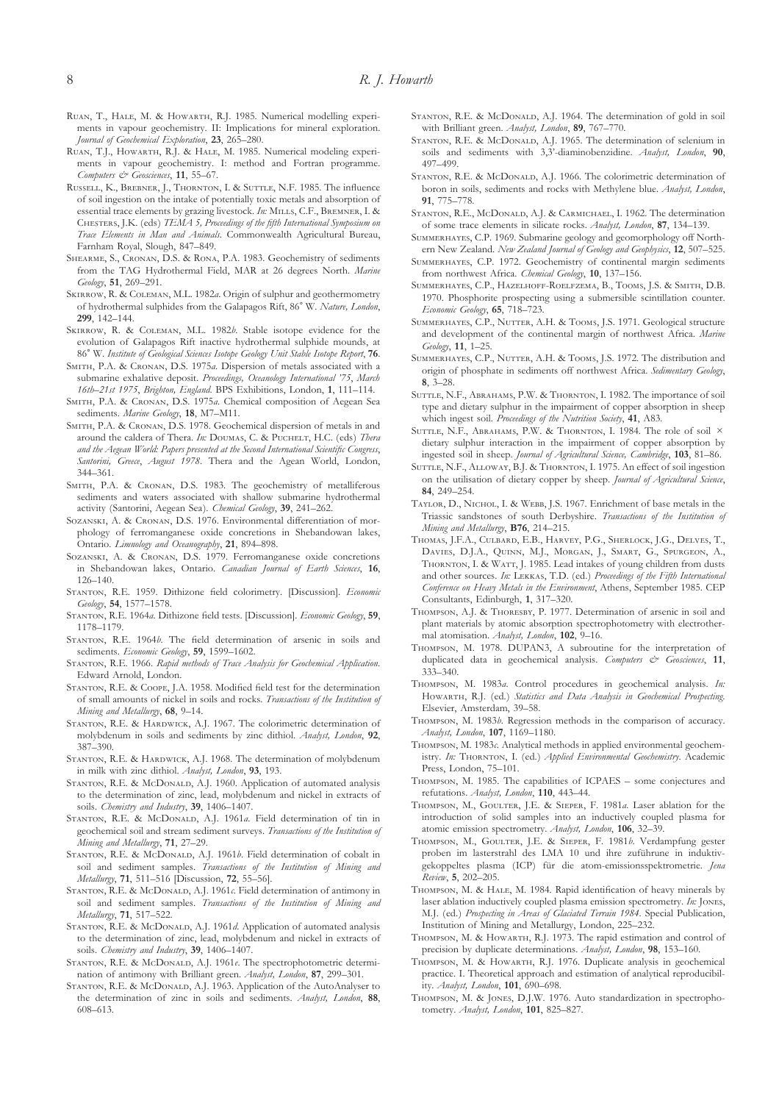- RUAN, T., HALE, M. & HOWARTH, R.J. 1985. Numerical modelling experiments in vapour geochemistry. II: Implications for mineral exploration. *Journal of Geochemical Exploration*, **23**, 265–280.
- RUAN, T.J., HOWARTH, R.J. & HALE, M. 1985. Numerical modeling experiments in vapour geochemistry. I: method and Fortran programme. *Computers & Geosciences*, **11**, 55–67.
- RUSSELL, K., BREBNER, J., THORNTON, I. & SUTTLE, N.F. 1985. The influence of soil ingestion on the intake of potentially toxic metals and absorption of essential trace elements by grazing livestock. *In*: MILLS, C.F., BREMNER, I. & CHESTERS, J.K. (eds) *TEMA 5, Proceedings of the fifth International Symposium on Trace Elements in Man and Animals.* Commonwealth Agricultural Bureau, Farnham Royal, Slough, 847–849.
- SHEARME, S., CRONAN, D.S. & RONA, P.A. 1983. Geochemistry of sediments from the TAG Hydrothermal Field, MAR at 26 degrees North. *Marine Geology*, **51**, 269–291.
- SKIRROW, R. & COLEMAN, M.L. 1982*a*. Origin of sulphur and geothermometry of hydrothermal sulphides from the Galapagos Rift, 86 W. *Nature, London*, **299**, 142–144.
- SKIRROW, R. & COLEMAN, M.L. 1982b. Stable isotope evidence for the evolution of Galapagos Rift inactive hydrothermal sulphide mounds, at 86 W. *Institute of Geological Sciences Isotope Geology Unit Stable Isotope Report*, **76**.
- SMITH, P.A. & CRONAN, D.S. 1975a. Dispersion of metals associated with a submarine exhalative deposit. *Proceedings, Oceanology International '75*, *March 16th–21st 1975*, *Brighton, England*. BPS Exhibitions, London, **1**, 111–114.
- SMITH, P.A. & CRONAN, D.S. 1975*a*. Chemical composition of Aegean Sea sediments. *Marine Geology*, **18**, M7–M11.
- SMITH, P.A. & CRONAN, D.S. 1978. Geochemical dispersion of metals in and around the caldera of Thera. *In*: DOUMAS, C. & PUCHELT, H.C. (eds) *Thera and the Aegean World: Papers presented at the Second International Scientific Congress*, *Santorini, Greece*, *August 1978*. Thera and the Agean World, London, 344–361.
- SMITH, P.A. & CRONAN, D.S. 1983. The geochemistry of metalliferous sediments and waters associated with shallow submarine hydrothermal activity (Santorini, Aegean Sea). *Chemical Geology*, **39**, 241–262.
- SOZANSKI, A. & CRONAN, D.S. 1976. Environmental differentiation of morphology of ferromanganese oxide concretions in Shebandowan lakes, Ontario. *Limnology and Oceanography*, **21**, 894–898.
- SOZANSKI, A. & CRONAN, D.S. 1979. Ferromanganese oxide concretions in Shebandowan lakes, Ontario. *Canadian Journal of Earth Sciences*, **16**, 126–140.
- STANTON, R.E. 1959. Dithizone field colorimetry. [Discussion]. *Economic Geology*, **54**, 1577–1578.
- STANTON, R.E. 1964*a*. Dithizone field tests. [Discussion]. *Economic Geology*, 59, 1178–1179.
- STANTON, R.E. 1964*b*. The field determination of arsenic in soils and sediments. *Economic Geology*, **59**, 1599–1602.
- STANTON, R.E. 1966. *Rapid methods of Trace Analysis for Geochemical Application*. Edward Arnold, London.
- STANTON, R.E. & COOPE, J.A. 1958. Modified field test for the determination of small amounts of nickel in soils and rocks. *Transactions of the Institution of Mining and Metallurgy*, **68**, 9–14.
- STANTON, R.E. & HARDWICK, A.J. 1967. The colorimetric determination of molybdenum in soils and sediments by zinc dithiol. *Analyst, London*, **92**, 387–390.
- STANTON, R.E. & HARDWICK, A.J. 1968. The determination of molybdenum in milk with zinc dithiol. *Analyst, London*, **93**, 193.
- STANTON, R.E. & McDONALD, A.J. 1960. Application of automated analysis to the determination of zinc, lead, molybdenum and nickel in extracts of soils. *Chemistry and Industry*, **39**, 1406–1407.
- STANTON, R.E. & McDONALD, A.J. 1961a. Field determination of tin in geochemical soil and stream sediment surveys. *Transactions of the Institution of Mining and Metallurgy*, **71**, 27–29.
- STANTON, R.E. & McDONALD, A.J. 1961*b*. Field determination of cobalt in soil and sediment samples. *Transactions of the Institution of Mining and Metallurgy*, **71**, 511–516 [Discussion, **72**, 55–56].
- STANTON, R.E. & McDONALD, A.J. 1961c. Field determination of antimony in soil and sediment samples. *Transactions of the Institution of Mining and Metallurgy*, **71**, 517–522.
- STANTON, R.E. & McDONALD, A.J. 1961*d*. Application of automated analysis to the determination of zinc, lead, molybdenum and nickel in extracts of soils. *Chemistry and Industry*, **39**, 1406–1407.
- STANTON, R.E. & McDONALD, A.J. 1961e. The spectrophotometric determination of antimony with Brilliant green. *Analyst, London*, **87**, 299–301.
- STANTON, R.E. & McDONALD, A.J. 1963. Application of the AutoAnalyser to the determination of zinc in soils and sediments. *Analyst, London*, **88**, 608–613.
- STANTON, R.E. & McDONALD, A.J. 1964. The determination of gold in soil with Brilliant green. *Analyst, London*, **89**, 767–770.
- STANTON, R.E. & McDONALD, A.J. 1965. The determination of selenium in soils and sediments with 3,3'-diaminobenzidine. *Analyst, London*, **90**, 497–499.
- STANTON, R.E. & McDONALD, A.J. 1966. The colorimetric determination of boron in soils, sediments and rocks with Methylene blue. *Analyst, London*, **91**, 775–778.
- STANTON, R.E., McDONALD, A.J. & CARMICHAEL, I. 1962. The determination of some trace elements in silicate rocks. *Analyst, London*, **87**, 134–139.
- SUMMERHAYES, C.P. 1969. Submarine geology and geomorphology off Northern New Zealand. *New Zealand Journal of Geology and Geophysics*, **12**, 507–525.
- SUMMERHAYES, C.P. 1972. Geochemistry of continental margin sediments from northwest Africa. *Chemical Geology*, **10**, 137–156.
- SUMMERHAYES, C.P., HAZELHOFF-ROELFZEMA, B., TOOMS, J.S. & SMITH, D.B. 1970. Phosphorite prospecting using a submersible scintillation counter. *Economic Geology*, **65**, 718–723.
- SUMMERHAYES, C.P., NUTTER, A.H. & TOOMS, J.S. 1971. Geological structure and development of the continental margin of northwest Africa. *Marine Geology*, **11**, 1–25.
- SUMMERHAYES, C.P., NUTTER, A.H. & TOOMS, J.S. 1972. The distribution and origin of phosphate in sediments off northwest Africa. *Sedimentary Geology*, **8**, 3–28.
- SUTTLE, N.F., ABRAHAMS, P.W. & THORNTON, I. 1982. The importance of soil type and dietary sulphur in the impairment of copper absorption in sheep which ingest soil. *Proceedings of the Nutrition Society*, **41**, A83.
- SUTTLE, N.F., ABRAHAMS, P.W. & THORNTON, I. 1984. The role of soil  $\times$ dietary sulphur interaction in the impairment of copper absorption by ingested soil in sheep. *Journal of Agricultural Science, Cambridge*, **103**, 81–86.
- SUTTLE, N.F., ALLOWAY, B.J. & THORNTON, I. 1975. An effect of soil ingestion on the utilisation of dietary copper by sheep. *Journal of Agricultural Science*, **84**, 249–254.
- TAYLOR, D., NICHOL, I. & WEBB, J.S. 1967. Enrichment of base metals in the Triassic sandstones of south Derbyshire. *Transactions of the Institution of Mining and Metallurgy*, **B76**, 214–215.
- THOMAS, J.F.A., CULBARD, E.B., HARVEY, P.G., SHERLOCK, J.G., DELVES, T., DAVIES, D.J.A., QUINN, M.J., MORGAN, J., SMART, G., SPURGEON, A., THORNTON, I. & WATT, J. 1985. Lead intakes of young children from dusts and other sources. In: LEKKAS, T.D. (ed.) Proceedings of the Fifth International *Conference on Heavy Metals in the Environment*, Athens, September 1985. CEP Consultants, Edinburgh, **1**, 317–320.
- THOMPSON, A.J. & THORESBY, P. 1977. Determination of arsenic in soil and plant materials by atomic absorption spectrophotometry with electrothermal atomisation. *Analyst, London*, **102**, 9–16.
- THOMPSON, M. 1978. DUPAN3, A subroutine for the interpretation of duplicated data in geochemical analysis. *Computers & Geosciences*, **11**, 333–340.
- THOMPSON, M. 1983a. Control procedures in geochemical analysis. In: HOWARTH, R.J. (ed.) *Statistics and Data Analysis in Geochemical Prospecting*. Elsevier, Amsterdam, 39–58.
- THOMPSON, M. 1983*b*. Regression methods in the comparison of accuracy. *Analyst, London*, **107**, 1169–1180.
- THOMPSON, M. 1983c. Analytical methods in applied environmental geochemistry. In: THORNTON, I. (ed.) *Applied Environmental Geochemistry*. Academic Press, London, 75–101.
- THOMPSON, M. 1985. The capabilities of ICPAES some conjectures and refutations. *Analyst, London*, **110**, 443–44.
- THOMPSON, M., GOULTER, J.E. & SIEPER, F. 1981a. Laser ablation for the introduction of solid samples into an inductively coupled plasma for atomic emission spectrometry. *Analyst, London*, **106**, 32–39.
- THOMPSON, M., GOULTER, J.E. & SIEPER, F. 1981*b*. Verdampfung gester proben im lasterstrahl des LMA 10 und ihre zuführune in induktivgekoppeltes plasma (ICP) für die atom-emissionsspektrometrie. *Jena Review*, **5**, 202–205.
- THOMPSON, M. & HALE, M. 1984. Rapid identification of heavy minerals by laser ablation inductively coupled plasma emission spectrometry. *In*: JONES, M.J. (ed.) *Prospecting in Areas of Glaciated Terrain 1984*. Special Publication, Institution of Mining and Metallurgy, London, 225–232.
- THOMPSON, M. & HOWARTH, R.J. 1973. The rapid estimation and control of precision by duplicate determinations. *Analyst, London*, **98**, 153–160.
- THOMPSON, M. & HOWARTH, R.J. 1976. Duplicate analysis in geochemical practice. I. Theoretical approach and estimation of analytical reproducibility. *Analyst, London*, **101**, 690–698.
- THOMPSON, M. & JONES, D.J.W. 1976. Auto standardization in spectrophotometry. *Analyst, London*, **101**, 825–827.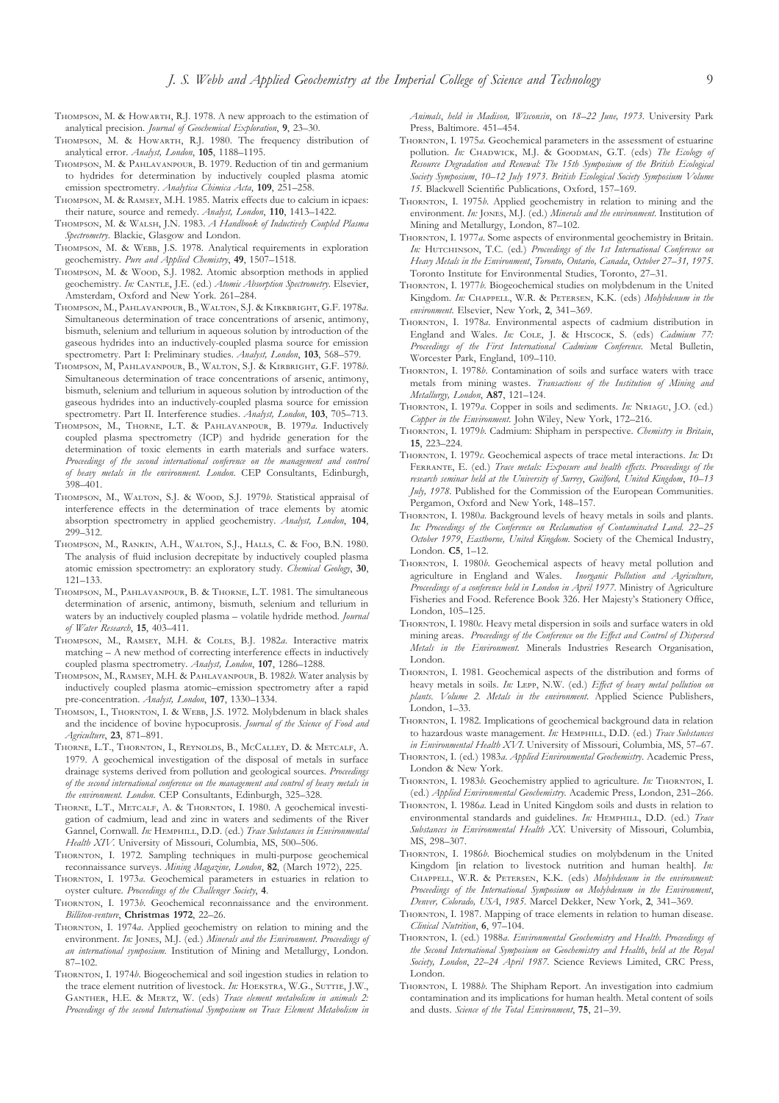- THOMPSON, M. & HOWARTH, R.J. 1978. A new approach to the estimation of analytical precision. *Journal of Geochemical Exploration*, **9**, 23–30.
- THOMPSON, M. & HOWARTH, R.J. 1980. The frequency distribution of analytical error. *Analyst, London*, **105**, 1188–1195.
- THOMPSON, M. & PAHLAVANPOUR, B. 1979. Reduction of tin and germanium to hydrides for determination by inductively coupled plasma atomic emission spectrometry. *Analytica Chimica Acta*, **109**, 251–258.
- THOMPSON, M. & RAMSEY, M.H. 1985. Matrix effects due to calcium in icpaes: their nature, source and remedy. *Analyst, London*, **110**, 1413–1422.
- THOMPSON, M. & WALSH, J.N. 1983. *A Handbook of Inductively Coupled Plasma Spectrometry*. Blackie, Glasgow and London.
- THOMPSON, M. & WEBB, J.S. 1978. Analytical requirements in exploration geochemistry. *Pure and Applied Chemistry*, **49**, 1507–1518.
- THOMPSON, M. & WOOD, S.J. 1982. Atomic absorption methods in applied geochemistry. *In:* CANTLE, J.E. (ed.) *Atomic Absorption Spectrometry*. Elsevier, Amsterdam, Oxford and New York. 261–284.
- THOMPSON, M., PAHLAVANPOUR, B., WALTON, S.J. & KIRKBRIGHT, G.F. 1978a. Simultaneous determination of trace concentrations of arsenic, antimony, bismuth, selenium and tellurium in aqueous solution by introduction of the gaseous hydrides into an inductively-coupled plasma source for emission spectrometry. Part I: Preliminary studies. *Analyst, London*, **103**, 568–579.
- THOMPSON, M, PAHLAVANPOUR, B., WALTON, S.J. & KIRBRIGHT, G.F. 1978b. Simultaneous determination of trace concentrations of arsenic, antimony, bismuth, selenium and tellurium in aqueous solution by introduction of the gaseous hydrides into an inductively-coupled plasma source for emission spectrometry. Part II. Interference studies. *Analyst, London*, **103**, 705–713.
- THOMPSON, M., THORNE, L.T. & PAHLAVANPOUR, B. 1979a. Inductively coupled plasma spectrometry (ICP) and hydride generation for the determination of toxic elements in earth materials and surface waters. *Proceedings of the second international conference on the management and control of heavy metals in the environment. London*. CEP Consultants, Edinburgh, 398–401.
- THOMPSON, M., WALTON, S.J. & WOOD, S.J. 1979*b*. Statistical appraisal of interference effects in the determination of trace elements by atomic absorption spectrometry in applied geochemistry. *Analyst, London*, **104**, 299–312.
- THOMPSON, M., RANKIN, A.H., WALTON, S.J., HALLS, C. & FOO, B.N. 1980. The analysis of fluid inclusion decrepitate by inductively coupled plasma atomic emission spectrometry: an exploratory study. *Chemical Geology*, **30**, 121–133.
- THOMPSON, M., PAHLAVANPOUR, B. & THORNE, L.T. 1981. The simultaneous determination of arsenic, antimony, bismuth, selenium and tellurium in waters by an inductively coupled plasma – volatile hydride method. *Journal of Water Research*, **15**, 403–411.
- THOMPSON, M., RAMSEY, M.H. & COLES, B.J. 1982a. Interactive matrix matching – A new method of correcting interference effects in inductively coupled plasma spectrometry. *Analyst, London*, **107**, 1286–1288.
- THOMPSON, M., RAMSEY, M.H. & PAHLAVANPOUR, B. 1982*b*. Water analysis by inductively coupled plasma atomic–emission spectrometry after a rapid pre-concentration. *Analyst, London*, **107**, 1330–1334.
- THOMSON, I., THORNTON, I. & WEBB, J.S. 1972. Molybdenum in black shales and the incidence of bovine hypocuprosis. *Journal of the Science of Food and Agriculture*, **23**, 871–891.
- THORNE, L.T., THORNTON, I., REYNOLDS, B., MCCALLEY, D. & METCALF, A. 1979. A geochemical investigation of the disposal of metals in surface drainage systems derived from pollution and geological sources. *Proceedings of the second international conference on the management and control of heavy metals in the environment. London*. CEP Consultants, Edinburgh, 325–328.
- THORNE, L.T., METCALF, A. & THORNTON, I. 1980. A geochemical investigation of cadmium, lead and zinc in waters and sediments of the River Gannel, Cornwall. *In:* HEMPHILL, D.D. (ed.) *Trace Substances in Environmental Health XIV*. University of Missouri, Columbia, MS, 500–506.
- THORNTON, I. 1972. Sampling techniques in multi-purpose geochemical reconnaissance surveys. *Mining Magazine, London*, **82**, (March 1972), 225.
- THORNTON, I. 1973*a*. Geochemical parameters in estuaries in relation to oyster culture. *Proceedings of the Challenger Society*, **4**.
- THORNTON, I. 1973*b*. Geochemical reconnaissance and the environment. *Billiton-venture*, **Christmas 1972**, 22–26.
- THORNTON, I. 1974*a*. Applied geochemistry on relation to mining and the environment. In: JONES, M.J. (ed.) *Minerals and the Environment*. Proceedings of *an international symposium.* Institution of Mining and Metallurgy, London. 87–102.
- THORNTON, I. 1974*b*. Biogeochemical and soil ingestion studies in relation to the trace element nutrition of livestock. *In*: HOEKSTRA, W.G., SUTTIE, J.W., GANTHER, H.E. & MERTZ, W. (eds) *Trace element metabolism in animals 2*: *Proceedings of the second International Symposium on Trace Element Metabolism in*

*Animals*, *held in Madison, Wisconsin*, on *18–22 June, 1973*. University Park Press, Baltimore. 451–454.

- THORNTON, I. 1975*a*. Geochemical parameters in the assessment of estuarine pollution. *In:* CHADWICK, M.J. & GOODMAN, G.T. (eds) The Ecology of *Resource Degradation and Renewal: The 15th Symposium of the British Ecological Society Symposium*, *10–12 July 1973*. *British Ecological Society Symposium Volume 15*. Blackwell Scientific Publications, Oxford, 157–169.
- THORNTON, I. 1975*b*. Applied geochemistry in relation to mining and the environment. *In:* JONES, M.J. (ed.) *Minerals and the environment*. Institution of Mining and Metallurgy, London, 87–102.
- THORNTON, I. 1977*a*. Some aspects of environmental geochemistry in Britain. In: HUTCHINSON, T.C. (ed.) Proceedings of the 1st International Conference on *Heavy Metals in the Environment*, *Toronto, Ontario, Canada*, *October 27–31, 1975*. Toronto Institute for Environmental Studies, Toronto, 27–31.
- THORNTON, I. 1977*b*. Biogeochemical studies on molybdenum in the United Kingdom. *In:* CHAPPELL, W.R. & PETERSEN, K.K. (eds) *Molybdenum in the environment*. Elsevier, New York, **2**, 341–369.
- THORNTON, I. 1978*a*. Environmental aspects of cadmium distribution in England and Wales. *In:* COLE, J. & HISCOCK, S. (eds) *Cadmium* 77: *Proceedings of the First International Cadmium Conference.* Metal Bulletin, Worcester Park, England, 109–110.
- THORNTON, I. 1978*b*. Contamination of soils and surface waters with trace metals from mining wastes. *Transactions of the Institution of Mining and Metallurgy, London*, **A87**, 121–124.
- THORNTON, I. 1979*a*. Copper in soils and sediments. *In:* NRIAGU, J.O. (ed.) *Copper in the Environment*. John Wiley, New York, 172–216.
- THORNTON, I. 1979*b*. Cadmium: Shipham in perspective. *Chemistry in Britain*, **15**, 223–224.
- THORNTON, I. 1979 $c$ . Geochemical aspects of trace metal interactions. *In*: DI FERRANTE, E. (ed.) *Trace metals: Exposure and health effects*. *Proceedings of the research seminar held at the University of Surrey*, *Guilford, United Kingdom*, *10–13 July, 1978*. Published for the Commission of the European Communities. Pergamon, Oxford and New York, 148–157.
- THORNTON, I. 1980*a*. Background levels of heavy metals in soils and plants. *In: Proceedings of the Conference on Reclamation of Contaminated Land. 22–25 October 1979*, *Eastborne, United Kingdom*. Society of the Chemical Industry, London. **C5**, 1–12.
- THORNTON, I. 1980*b*. Geochemical aspects of heavy metal pollution and agriculture in England and Wales. *Inorganic Pollution and Agriculture, Proceedings of a conference held in London in April 1977*. Ministry of Agriculture Fisheries and Food. Reference Book 326. Her Majesty's Stationery Office, London, 105–125.
- THORNTON, I. 1980 $c$ . Heavy metal dispersion in soils and surface waters in old mining areas. *Proceedings of the Conference on the Effect and Control of Dispersed Metals in the Environment.* Minerals Industries Research Organisation, London.
- THORNTON, I. 1981. Geochemical aspects of the distribution and forms of heavy metals in soils. *In:* LEPP, N.W. (ed.) *Effect of heavy metal pollution on plants. Volume 2. Metals in the environment*. Applied Science Publishers, London, 1–33.
- THORNTON, I. 1982. Implications of geochemical background data in relation to hazardous waste management. *In*: HEMPHILL, D.D. (ed.) *Trace Substances in Environmental Health XVI*. University of Missouri, Columbia, MS, 57–67.
- THORNTON, I. (ed.) 1983*a. Applied Environmental Geochemistry*. Academic Press, London & New York.
- THORNTON, I. 1983*b*. Geochemistry applied to agriculture. *In*: THORNTON, I. (ed.) *Applied Environmental Geochemistry*. Academic Press, London, 231–266.
- THORNTON, I. 1986*a*. Lead in United Kingdom soils and dusts in relation to environmental standards and guidelines. *In*: HEMPHILL, D.D. (ed.) *Trace Substances in Environmental Health XX*. University of Missouri, Columbia, MS, 298–307.
- THORNTON, I. 1986*b*. Biochemical studies on molybdenum in the United Kingdom [in relation to livestock nutrition and human health]. *In:* CHAPPELL, W.R. & PETERSEN, K.K. (eds) *Molybdenum in the environment*: *Proceedings of the International Symposium on Molybdenum in the Environment*, *Denver, Colorado, USA*, *1985*. Marcel Dekker, New York, **2**, 341–369.
- THORNTON, I. 1987. Mapping of trace elements in relation to human disease. *Clinical Nutrition*, **6**, 97–104.
- THORNTON, I. (ed.) 1988*a. Environmental Geochemistry and Health. Proceedings of the Second International Symposium on Geochemistry and Health*, *held at the Royal Society, London*, *22–24 April 1987*. Science Reviews Limited, CRC Press, London.
- THORNTON, I. 1988*b*. The Shipham Report. An investigation into cadmium contamination and its implications for human health. Metal content of soils and dusts. *Science of the Total Environment*, **75**, 21–39.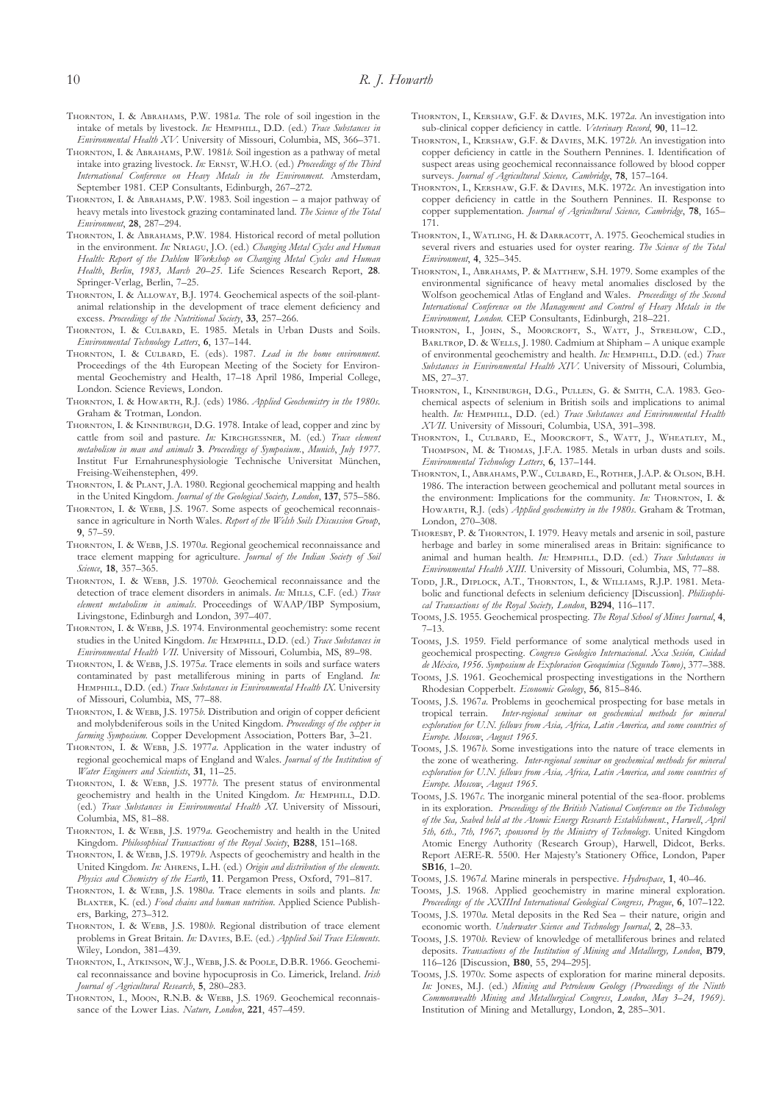- THORNTON, I. & ABRAHAMS, P.W. 1981*a*. The role of soil ingestion in the intake of metals by livestock. *In*: HEMPHILL, D.D. (ed.) *Trace Substances in Environmental Health XV*. University of Missouri, Columbia, MS, 366–371.
- THORNTON, I. & ABRAHAMS, P.W. 1981*b*. Soil ingestion as a pathway of metal intake into grazing livestock. *In*: ERNST, W.H.O. (ed.) *Proceedings of the Third International Conference on Heavy Metals in the Environment.* Amsterdam, September 1981. CEP Consultants, Edinburgh, 267–272.
- THORNTON, I. & ABRAHAMS, P.W. 1983. Soil ingestion a major pathway of heavy metals into livestock grazing contaminated land. *The Science of the Total Environment*, **28**, 287–294.
- THORNTON, I. & ABRAHAMS, P.W. 1984. Historical record of metal pollution in the environment. *In*: NRIAGU, J.O. (ed.) *Changing Metal Cycles and Human Health: Report of the Dahlem Workshop on Changing Metal Cycles and Human Health*, *Berlin*, *1983, March 20–25*. Life Sciences Research Report, **28**. Springer-Verlag, Berlin, 7–25.
- THORNTON, I. & ALLOWAY, B.J. 1974. Geochemical aspects of the soil-plantanimal relationship in the development of trace element deficiency and excess. *Proceedings of the Nutritional Society*, **33**, 257–266.
- THORNTON, I. & CULBARD, E. 1985. Metals in Urban Dusts and Soils. *Environmental Technology Letters*, **6**, 137–144.
- THORNTON, I. & CULBARD, E. (eds). 1987. *Lead in the home environment*. Proceedings of the 4th European Meeting of the Society for Environmental Geochemistry and Health, 17–18 April 1986, Imperial College, London. Science Reviews, London.
- THORNTON, I. & HOWARTH, R.J. (eds) 1986. *Applied Geochemistry in the 1980s*. Graham & Trotman, London.
- THORNTON, I. & KINNIBURGH, D.G. 1978. Intake of lead, copper and zinc by cattle from soil and pasture. *In:* KIRCHGESSNER, M. (ed.) *Trace element metabolism in man and animals* **3**. *Proceedings of Symposium.*, *Munich*, *July 1977*. Institut Fur Ernahrunesphysiologie Technische Universitat München, Freising-Weihenstephen, 499.
- THORNTON, I. & PLANT, J.A. 1980. Regional geochemical mapping and health in the United Kingdom. *Journal of the Geological Society, London*, **137**, 575–586.
- THORNTON, I. & WEBB, J.S. 1967. Some aspects of geochemical reconnaissance in agriculture in North Wales. *Report of the Welsh Soils Discussion Group*, **9**, 57–59.
- THORNTON, I. & WEBB, J.S. 1970*a*. Regional geochemical reconnaissance and trace element mapping for agriculture. *Journal of the Indian Society of Soil Science*, **18**, 357–365.
- THORNTON, I. & WEBB, J.S. 1970*b*. Geochemical reconnaissance and the detection of trace element disorders in animals. *In*: MILLS, C.F. (ed.) *Trace element metabolism in animals*. Proceedings of WAAP/IBP Symposium, Livingstone, Edinburgh and London, 397–407.
- THORNTON, I. & WEBB, J.S. 1974. Environmental geochemistry: some recent studies in the United Kingdom. *In:* HEMPHILL, D.D. (ed.) *Trace Substances in Environmental Health VII*. University of Missouri, Columbia, MS, 89–98.
- THORNTON, I. & WEBB, J.S. 1975*a*. Trace elements in soils and surface waters contaminated by past metalliferous mining in parts of England. *In:* HEMPHILL, D.D. (ed.) *Trace Substances in Environmental Health IX*. University of Missouri, Columbia, MS, 77–88.
- THORNTON, I. & WEBB, J.S. 1975*b*. Distribution and origin of copper deficient and molybdeniferous soils in the United Kingdom. *Proceedings of the copper in farming Symposium.* Copper Development Association, Potters Bar, 3–21.
- THORNTON, I. & WEBB, J.S. 1977*a*. Application in the water industry of regional geochemical maps of England and Wales. *Journal of the Institution of Water Engineers and Scientists*, **31**, 11–25.
- THORNTON, I. & WEBB, J.S. 1977*b*. The present status of environmental geochemistry and health in the United Kingdom. *In:* HEMPHILL, D.D. (ed.) *Trace Substances in Environmental Health XI*. University of Missouri, Columbia, MS, 81–88.
- THORNTON, I. & WEBB, J.S. 1979a. Geochemistry and health in the United Kingdom. *Philosophical Transactions of the Royal Society*, **B288**, 151–168.
- THORNTON, I. & WEBB, J.S. 1979*b*. Aspects of geochemistry and health in the United Kingdom. In: AHRENS, L.H. (ed.) Origin and distribution of the elements. *Physics and Chemistry of the Earth*, **11**. Pergamon Press, Oxford, 791–817.
- THORNTON, I. & WEBB, J.S. 1980a. Trace elements in soils and plants. In: BLAXTER, K. (ed.) Food chains and human nutrition. Applied Science Publishers, Barking, 273–312.
- THORNTON, I. & WEBB, J.S. 1980*b*. Regional distribution of trace element problems in Great Britain. *In*: DAVIES, B.E. (ed.) *Applied Soil Trace Elements*. Wiley, London, 381–439.
- THORNTON, I., ATKINSON, W.J., WEBB, J.S. & POOLE, D.B.R. 1966. Geochemical reconnaissance and bovine hypocuprosis in Co. Limerick, Ireland. *Irish Journal of Agricultural Research*, **5**, 280–283.
- THORNTON, I., MOON, R.N.B. & WEBB, J.S. 1969. Geochemical reconnaissance of the Lower Lias. *Nature, London*, **221**, 457–459.
- THORNTON, I., KERSHAW, G.F. & DAVIES, M.K. 1972a. An investigation into sub-clinical copper deficiency in cattle. *Veterinary Record*, **90**, 11–12.
- THORNTON, I., KERSHAW, G.F. & DAVIES, M.K. 1972*b*. An investigation into copper deficiency in cattle in the Southern Pennines. I. Identification of suspect areas using geochemical reconnaissance followed by blood copper surveys. *Journal of Agricultural Science, Cambridge*, **78**, 157–164.
- THORNTON, I., KERSHAW, G.F. & DAVIES, M.K. 1972c. An investigation into copper deficiency in cattle in the Southern Pennines. II. Response to copper supplementation. *Journal of Agricultural Science, Cambridge*, **78**, 165– 171.
- THORNTON, I., WATLING, H. & DARRACOTT, A. 1975. Geochemical studies in several rivers and estuaries used for oyster rearing. *The Science of the Total Environment*, **4**, 325–345.
- THORNTON, I., ABRAHAMS, P. & MATTHEW, S.H. 1979. Some examples of the environmental significance of heavy metal anomalies disclosed by the Wolfson geochemical Atlas of England and Wales. *Proceedings of the Second International Conference on the Management and Control of Heavy Metals in the Environment, London.* CEP Consultants, Edinburgh, 218–221.
- THORNTON, I., JOHN, S., MOORCROFT, S., WATT, J., STREHLOW, C.D., BARLTROP, D. & WELLS, J. 1980. Cadmium at Shipham – A unique example of environmental geochemistry and health. *In*: HEMPHILL, D.D. (ed.) *Trace Substances in Environmental Health XIV*. University of Missouri, Columbia, MS, 27–37.
- THORNTON, I., KINNIBURGH, D.G., PULLEN, G. & SMITH, C.A. 1983. Geochemical aspects of selenium in British soils and implications to animal health. *In:* HEMPHILL, D.D. (ed.) *Trace Substances and Environmental Health XVII*. University of Missouri, Columbia, USA, 391–398.
- THORNTON, I., CULBARD, E., MOORCROFT, S., WATT, J., WHEATLEY, M., THOMPSON, M. & THOMAS, J.F.A. 1985. Metals in urban dusts and soils. *Environmental Technology Letters*, **6**, 137–144.
- THORNTON, I., ABRAHAMS, P.W., CULBARD, E., ROTHER, J.A.P. & OLSON, B.H. 1986. The interaction between geochemical and pollutant metal sources in the environment: Implications for the community. *In*: THORNTON, I. & HOWARTH, R.J. (eds) *Applied geochemistry in the 1980s*. Graham & Trotman, London, 270–308.
- THORESBY, P. & THORNTON, I. 1979. Heavy metals and arsenic in soil, pasture herbage and barley in some mineralised areas in Britain: significance to animal and human health. *In*: HEMPHILL, D.D. (ed.) *Trace Substances in Environmental Health XIII*. University of Missouri, Columbia, MS, 77–88.
- TODD, J.R., DIPLOCK, A.T., THORNTON, I., & WILLIAMS, R.J.P. 1981. Metabolic and functional defects in selenium deficiency [Discussion]. *Philisophical Transactions of the Royal Society, London*, **B294**, 116–117.
- Tooms, J.S. 1955. Geochemical prospecting. *The Royal School of Mines Journal*, 4, 7–13.
- Tooms, J.S. 1959. Field performance of some analytical methods used in geochemical prospecting. *Congreso Geologico Internacional. Xxa Sesión, Cuidad de México, 1956. Symposium de Exploracion Geoquímica (Segundo Tomo)*, 377–388.
- Tooms, J.S. 1961. Geochemical prospecting investigations in the Northern Rhodesian Copperbelt. *Economic Geology*, **56**, 815–846.
- Tooms, J.S. 1967*a*. Problems in geochemical prospecting for base metals in tropical terrain. *Inter-regional seminar on geochemical methods for mineral exploration for U.N. fellows from Asia, Africa, Latin America, and some countries of Europe. Moscow*, *August 1965*.
- Tooms, J.S. 1967*b*. Some investigations into the nature of trace elements in the zone of weathering. *Inter-regional seminar on geochemical methods for mineral exploration for U.N. fellows from Asia, Africa, Latin America, and some countries of Europe. Moscow*, *August 1965*.
- Tooms, J.S. 1967*c*. The inorganic mineral potential of the sea-floor. problems in its exploration. *Proceedings of the British National Conference on the Technology of the Sea, Seabed held at the Atomic Energy Research Establishment.*, *Harwell*, *April 5th, 6th., 7th, 1967*; *sponsored by the Ministry of Technology*. United Kingdom Atomic Energy Authority (Research Group), Harwell, Didcot, Berks. Report AERE-R. 5500. Her Majesty's Stationery Office, London, Paper **SB16**, 1–20.
- Tooms, J.S. 1967*d*. Marine minerals in perspective. *Hydrospace*, 1, 40–46.
- Tooms, J.S. 1968. Applied geochemistry in marine mineral exploration. *Proceedings of the XXIIIrd International Geological Congress, Prague*, **6**, 107–122.
- Tooms, J.S. 1970*a*. Metal deposits in the Red Sea their nature, origin and economic worth. *Underwater Science and Technology Journal*, **2**, 28–33.
- Tooms, J.S. 1970*b*. Review of knowledge of metalliferous brines and related deposits. *Transactions of the Institution of Mining and Metallurgy, London*, **B79**, 116–126 [Discussion, **B80**, 55, 294–295].
- Tooms, J.S. 1970 $c$ . Some aspects of exploration for marine mineral deposits. In: JONES, M.J. (ed.) *Mining and Petroleum Geology (Proceedings of the Ninth Commonwealth Mining and Metallurgical Congress*, *London*, *May 3–24, 1969)*. Institution of Mining and Metallurgy, London, **2**, 285–301.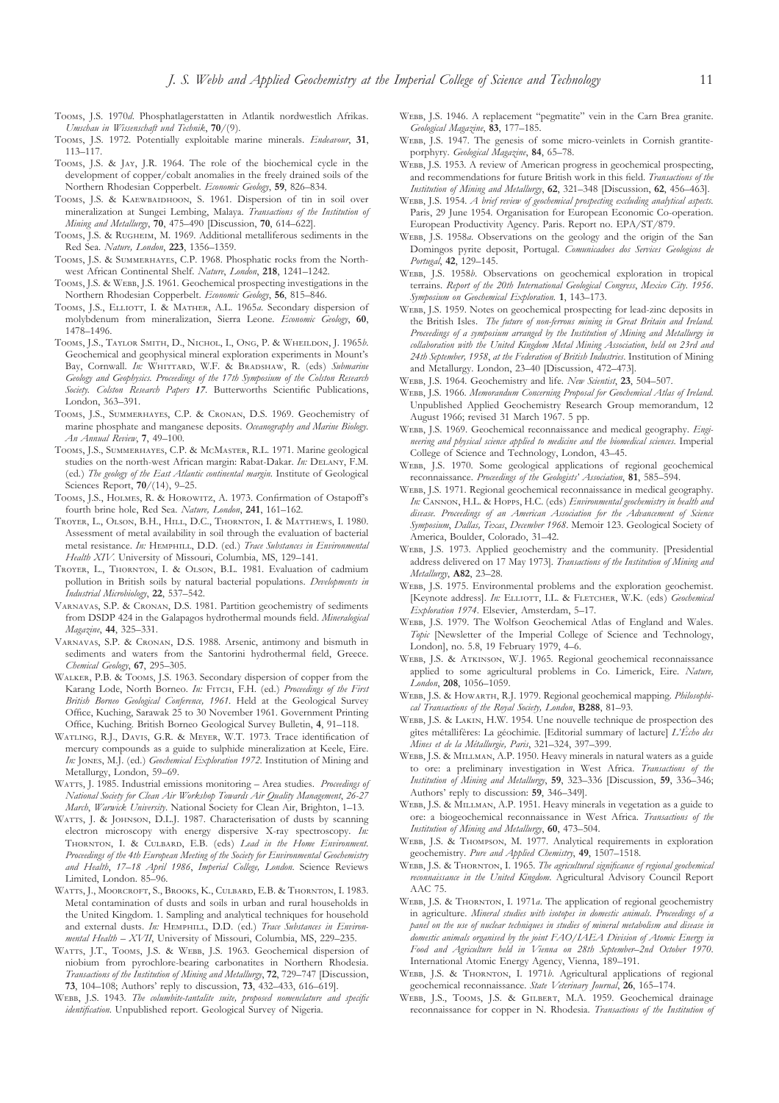- Tooms, J.S. 1970*d*. Phosphatlagerstatten in Atlantik nordwestlich Afrikas. *Umschau in Wissenschaft und Technik*, **70**/(9).
- Tooms, J.S. 1972. Potentially exploitable marine minerals. *Endeavour*, 31, 113–117.
- Tooms, J.S. & JAY, J.R. 1964. The role of the biochemical cycle in the development of copper/cobalt anomalies in the freely drained soils of the Northern Rhodesian Copperbelt. *Economic Geology*, **59**, 826–834.
- TOOMS, J.S. & KAEWBAIDHOON, S. 1961. Dispersion of tin in soil over mineralization at Sungei Lembing, Malaya. *Transactions of the Institution of Mining and Metallurgy*, **70**, 475–490 [Discussion, **70**, 614–622].
- Tooms, J.S. & RUGHEIM, M. 1969. Additional metalliferous sediments in the Red Sea. *Nature, London*, **223**, 1356–1359.
- TOOMS, J.S. & SUMMERHAYES, C.P. 1968. Phosphatic rocks from the Northwest African Continental Shelf. *Nature*, *London*, **218**, 1241–1242.
- TOOMS, J.S. & WEBB, J.S. 1961. Geochemical prospecting investigations in the Northern Rhodesian Copperbelt. *Economic Geology*, **56**, 815–846.
- Tooms, J.S., ELLIOTT, I. & MATHER, A.L. 1965a. Secondary dispersion of molybdenum from mineralization, Sierra Leone. *Economic Geology*, **60**, 1478–1496.
- TOOMS, J.S., TAYLOR SMITH, D., NICHOL, I., ONG, P. & WHEILDON, J. 1965*b.* Geochemical and geophysical mineral exploration experiments in Mount's Bay, Cornwall. *In:* WHITTARD, W.F. & BRADSHAW, R. (eds) Submarine *Geology and Geophysics. Proceedings of the 17th Symposium of the Colston Research Society. Colston Research Papers 17*. Butterworths Scientific Publications, London, 363–391.
- TOOMS, J.S., SUMMERHAYES, C.P. & CRONAN, D.S. 1969. Geochemistry of marine phosphate and manganese deposits. *Oceanography and Marine Biology. An Annual Review*, **7**, 49–100.
- TOOMS, J.S., SUMMERHAYES, C.P. & MCMASTER, R.L. 1971. Marine geological studies on the north-west African margin: Rabat-Dakar. In: DELANY, F.M. (ed.) *The geology of the East Atlantic continental margin*. Institute of Geological Sciences Report, **70**/(14), 9–25.
- TOOMS, J.S., HOLMES, R. & HOROWITZ, A. 1973. Confirmation of Ostapoff's fourth brine hole, Red Sea. *Nature, London*, **241**, 161–162.
- TROYER, L., OLSON, B.H., HILL, D.C., THORNTON, I. & MATTHEWS, I. 1980. Assessment of metal availability in soil through the evaluation of bacterial metal resistance. *In*: HEMPHILL, D.D. (ed.) *Trace Substances in Environmental Health XIV*. University of Missouri, Columbia, MS, 129–141.
- TROYER, L., THORNTON, I. & OLSON, B.L. 1981. Evaluation of cadmium pollution in British soils by natural bacterial populations. *Developments in Industrial Microbiology*, **22**, 537–542.
- VARNAVAS, S.P. & CRONAN, D.S. 1981. Partition geochemistry of sediments from DSDP 424 in the Galapagos hydrothermal mounds field. *Mineralogical Magazine*, **44**, 325–331.
- VARNAVAS, S.P. & CRONAN, D.S. 1988. Arsenic, antimony and bismuth in sediments and waters from the Santorini hydrothermal field, Greece. *Chemical Geology*, **67**, 295–305.
- WALKER, P.B. & Tooms, J.S. 1963. Secondary dispersion of copper from the Karang Lode, North Borneo. *In:* FITCH, F.H. (ed.) *Proceedings of the First British Borneo Geological Conference, 1961.* Held at the Geological Survey Office, Kuching, Sarawak 25 to 30 November 1961. Government Printing Office, Kuching. British Borneo Geological Survey Bulletin, **4**, 91–118.
- WATLING, R.J., DAVIS, G.R. & MEYER, W.T. 1973. Trace identification of mercury compounds as a guide to sulphide mineralization at Keele, Eire. *In:* JONES, M.J. (ed.) *Geochemical Exploration 1972*. Institution of Mining and Metallurgy, London, 59–69.
- WATTS, I. 1985. Industrial emissions monitoring Area studies. *Proceedings of National Society for Clean Air Workshop Towards Air Quality Management*, *26-27 March*, *Warwick University*. National Society for Clean Air, Brighton, 1–13.
- WATTS, J. & JOHNSON, D.L.J. 1987. Characterisation of dusts by scanning electron microscopy with energy dispersive X-ray spectroscopy. *In:* THORNTON, I. & CULBARD, E.B. (eds) *Lead in the Home Environment*. *Proceedings of the 4th European Meeting of the Society for Environmental Geochemistry and Health*, *17–18 April 1986*, *Imperial College, London*. Science Reviews Limited, London. 85–96.
- WATTS, J., MOORCROFT, S., BROOKS, K., CULBARD, E.B. & THORNTON, I. 1983. Metal contamination of dusts and soils in urban and rural households in the United Kingdom. 1. Sampling and analytical techniques for household and external dusts. *In*: HEMPHILL, D.D. (ed.) *Trace Substances in Environmental Health – XVII*, University of Missouri, Columbia, MS, 229–235.
- WATTS, J.T., TOOMS, J.S. & WEBB, J.S. 1963. Geochemical dispersion of niobium from pyrochlore-bearing carbonatites in Northern Rhodesia. *Transactions of the Institution of Mining and Metallurgy*, **72**, 729–747 [Discussion, **73**, 104–108; Authors' reply to discussion, **73**, 432–433, 616–619].
- WEBB, J.S. 1943. *The columbite-tantalite suite, proposed nomenclature and specific identification*. Unpublished report. Geological Survey of Nigeria.
- WEBB, J.S. 1946. A replacement "pegmatite" vein in the Carn Brea granite. *Geological Magazine*, **83**, 177–185.
- WEBB, J.S. 1947. The genesis of some micro-veinlets in Cornish grantiteporphyry. *Geological Magazine*, **84**, 65–78.
- WEBB, J.S. 1953. A review of American progress in geochemical prospecting, and recommendations for future British work in this field. *Transactions of the Institution of Mining and Metallurgy*, **62**, 321–348 [Discussion, **62**, 456–463].
- W, J.S. 1954. *A brief review of geochemical prospecting excluding analytical aspects.* Paris, 29 June 1954. Organisation for European Economic Co-operation. European Productivity Agency. Paris. Report no. EPA/ST/879.
- WEBB, J.S. 1958*a*. Observations on the geology and the origin of the San Domingos pyrite deposit, Portugal. *Comunicadoes dos Services Geologicos de Portugal*, **42**, 129–145.
- WEBB, J.S. 1958*b*. Observations on geochemical exploration in tropical terrains. *Report of the 20th International Geological Congress*, *Mexico City*. *1956*. *Symposium on Geochemical Exploration.* **1**, 143–173.
- WEBB, J.S. 1959. Notes on geochemical prospecting for lead-zinc deposits in the British Isles. *The future of non-ferrous mining in Great Britain and Ireland. Proceedings of a symposium arranged by the Institution of Mining and Metallurgy in collaboration with the United Kingdom Metal Mining Association*, *held on 23rd and 24th September, 1958*, *at the Federation of British Industries*. Institution of Mining and Metallurgy. London, 23–40 [Discussion, 472–473].
- W, J.S. 1964. Geochemistry and life. *New Scientist*, **23**, 504–507.
- W, J.S. 1966. *Memorandum Concerning Proposal for Geochemical Atlas of Ireland*. Unpublished Applied Geochemistry Research Group memorandum, 12 August 1966; revised 31 March 1967. 5 pp.
- WEBB, J.S. 1969. Geochemical reconnaissance and medical geography. *Engineering and physical science applied to medicine and the biomedical sciences*. Imperial College of Science and Technology, London, 43–45.
- WEBB, J.S. 1970. Some geological applications of regional geochemical reconnaissance. *Proceedings of the Geologists' Association*, **81**, 585–594.
- WEBB, J.S. 1971. Regional geochemical reconnaissance in medical geography. In: CANNON, H.L. & HOPPS, H.C. (eds) *Environmental geochemistry in health and disease. Proceedings of an American Association for the Advancement of Science Symposium*, *Dallas, Texas*, *December 1968*. Memoir 123. Geological Society of America, Boulder, Colorado, 31–42.
- WEBB, J.S. 1973. Applied geochemistry and the community. [Presidential address delivered on 17 May 1973]. *Transactions of the Institution of Mining and Metallurgy*, **A82**, 23–28.
- WEBB, J.S. 1975. Environmental problems and the exploration geochemist. [Keynote address]. *In:* ELLIOTT, I.L. & FLETCHER, W.K. (eds) *Geochemical Exploration 1974*. Elsevier, Amsterdam, 5–17.
- WEBB, J.S. 1979. The Wolfson Geochemical Atlas of England and Wales. *Topic* [Newsletter of the Imperial College of Science and Technology, London], no. 5.8, 19 February 1979, 4–6.
- WEBB, J.S. & ATKINSON, W.J. 1965. Regional geochemical reconnaissance applied to some agricultural problems in Co. Limerick, Eire. *Nature, London*, **208**, 1056–1059.
- WEBB, I.S. & HOWARTH, R.J. 1979. Regional geochemical mapping. *Philosophical Transactions of the Royal Society, London*, **B288**, 81–93.
- WEBB, J.S. & LAKIN, H.W. 1954. Une nouvelle technique de prospection des gîtes métallifères: La géochimie. [Editorial summary of lacture] *L'Écho des Mines et de la Métallurgie, Paris*, 321–324, 397–399.
- WEBB, J.S. & MILLMAN, A.P. 1950. Heavy minerals in natural waters as a guide to ore: a preliminary investigation in West Africa. *Transactions of the Institution of Mining and Metallurgy*, **59**, 323–336 [Discussion, **59**, 336–346; Authors' reply to discussion: **59**, 346–349].
- WEBB, J.S. & MILLMAN, A.P. 1951. Heavy minerals in vegetation as a guide to ore: a biogeochemical reconnaissance in West Africa. *Transactions of the Institution of Mining and Metallurgy*, **60**, 473–504.
- WEBB, J.S. & THOMPSON, M. 1977. Analytical requirements in exploration geochemistry. *Pure and Applied Chemistry*, **49**, 1507–1518.
- WEBB, J.S. & THORNTON, I. 1965. *The agricultural significance of regional geochemical reconnaissance in the United Kingdom*. Agricultural Advisory Council Report AAC 75.
- WEBB, J.S. & THORNTON, I. 1971*a*. The application of regional geochemistry in agriculture. *Mineral studies with isotopes in domestic animals. Proceedings of a panel on the use of nuclear techniques in studies of mineral metabolism and disease in domestic animals organised by the joint FAO/IAEA Division of Atomic Energy in Food and Agriculture held in Vienna on 28th September–2nd October 1970*. International Atomic Energy Agency, Vienna, 189–191.
- WEBB, J.S. & THORNTON, I. 1971*b*. Agricultural applications of regional geochemical reconnaissance. *State Veterinary Journal*, **26**, 165–174.
- WEBB, J.S., TOOMS, J.S. & GILBERT, M.A. 1959. Geochemical drainage reconnaissance for copper in N. Rhodesia. *Transactions of the Institution of*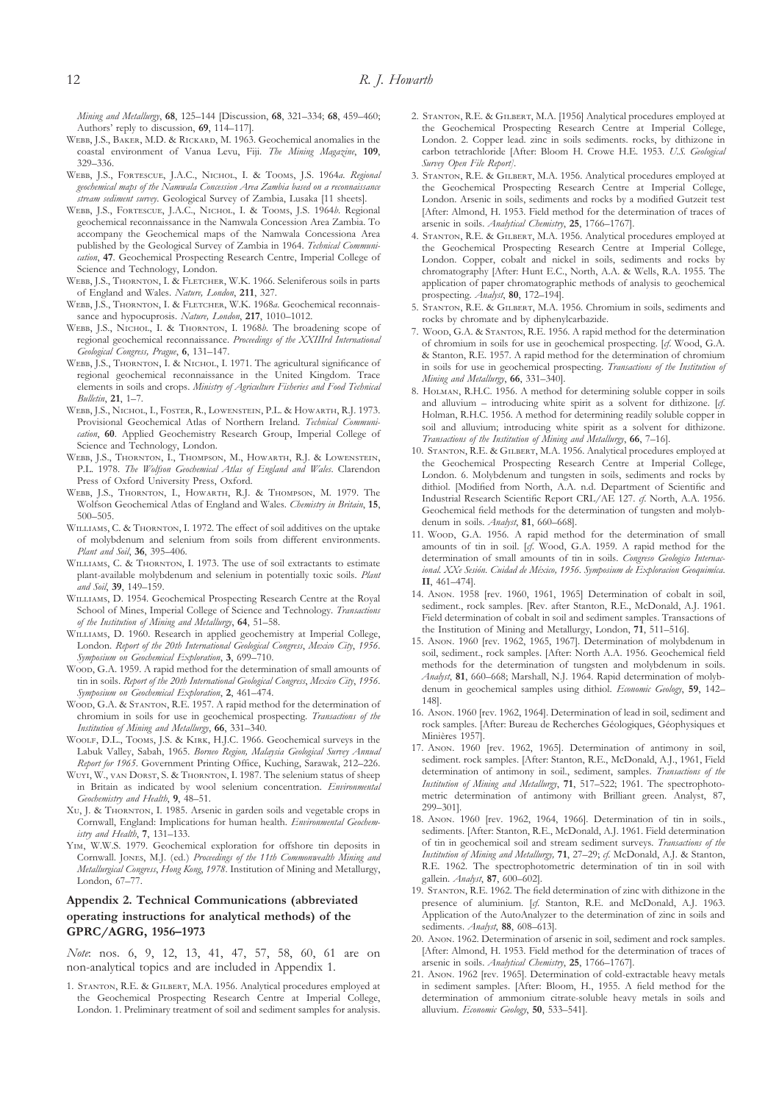*Mining and Metallurgy*, **68**, 125–144 [Discussion, **68**, 321–334; **68**, 459–460; Authors' reply to discussion, **69**, 114–117].

- WEBB, J.S., BAKER, M.D. & RICKARD, M. 1963. Geochemical anomalies in the coastal environment of Vanua Levu, Fiji. *The Mining Magazine*, **109**, 329–336.
- WEBB, J.S., FORTESCUE, J.A.C., NICHOL, I. & TOOMS, J.S. 1964*a*. Regional *geochemical maps of the Namwala Concession Area Zambia based on a reconnaissance stream sediment survey*. Geological Survey of Zambia, Lusaka [11 sheets].
- WEBB, J.S., FORTESCUE, J.A.C., NICHOL, I. & TOOMS, J.S. 1964*b*. Regional geochemical reconnaissance in the Namwala Concession Area Zambia. To accompany the Geochemical maps of the Namwala Concessiona Area published by the Geological Survey of Zambia in 1964. *Technical Communication*, **47**. Geochemical Prospecting Research Centre, Imperial College of Science and Technology, London.
- WEBB, J.S., THORNTON, I. & FLETCHER, W.K. 1966. Seleniferous soils in parts of England and Wales. *Nature, London*, **211**, 327.
- WEBB, J.S., THORNTON, I. & FLETCHER, W.K. 1968a. Geochemical reconnaissance and hypocuprosis. *Nature, London*, **217**, 1010–1012.
- WEBB, J.S., NICHOL, I. & THORNTON, I. 1968*b*. The broadening scope of regional geochemical reconnaissance. *Proceedings of the XXIIIrd International Geological Congress, Prague*, **6**, 131–147.
- WEBB, J.S., THORNTON, I. & NICHOL, I. 1971. The agricultural significance of regional geochemical reconnaissance in the United Kingdom. Trace elements in soils and crops. *Ministry of Agriculture Fisheries and Food Technical Bulletin*, **21**, 1–7.
- WEBB, J.S., NICHOL, I., FOSTER, R., LOWENSTEIN, P.L. & HOWARTH, R.J. 1973. Provisional Geochemical Atlas of Northern Ireland. *Technical Communication*, **60**. Applied Geochemistry Research Group, Imperial College of Science and Technology, London.
- WEBB, J.S., THORNTON, I., THOMPSON, M., HOWARTH, R.J. & LOWENSTEIN, P.L. 1978. *The Wolfson Geochemical Atlas of England and Wales*. Clarendon Press of Oxford University Press, Oxford.
- WEBB, J.S., THORNTON, I., HOWARTH, R.J. & THOMPSON, M. 1979. The Wolfson Geochemical Atlas of England and Wales. *Chemistry in Britain*, **15**, 500–505.
- WILLIAMS, C. & THORNTON, I. 1972. The effect of soil additives on the uptake of molybdenum and selenium from soils from different environments. *Plant and Soil*, **36**, 395–406.
- WILLIAMS, C. & THORNTON, I. 1973. The use of soil extractants to estimate plant-available molybdenum and selenium in potentially toxic soils. *Plant and Soil*, **39**, 149–159.
- WILLIAMS, D. 1954. Geochemical Prospecting Research Centre at the Royal School of Mines, Imperial College of Science and Technology. *Transactions of the Institution of Mining and Metallurgy*, **64**, 51–58.
- WILLIAMS, D. 1960. Research in applied geochemistry at Imperial College London. *Report of the 20th International Geological Congress*, *Mexico City*, *1956*. *Symposium on Geochemical Exploration*, **3**, 699–710.
- Woop, G.A. 1959. A rapid method for the determination of small amounts of tin in soils. *Report of the 20th International Geological Congress*, *Mexico City*, *1956*. *Symposium on Geochemical Exploration*, **2**, 461–474.
- Woop, G.A. & STANTON, R.E. 1957. A rapid method for the determination of chromium in soils for use in geochemical prospecting. *Transactions of the Institution of Mining and Metallurgy*, **66**, 331–340.
- WOOLF, D.L., TOOMS, J.S. & KIRK, H.J.C. 1966. Geochemical surveys in the Labuk Valley, Sabah, 1965. *Borneo Region, Malaysia Geological Survey Annual Report for 1965*. Government Printing Office, Kuching, Sarawak, 212–226.
- WUYI, W., VAN DORST, S. & THORNTON, I. 1987. The selenium status of sheep in Britain as indicated by wool selenium concentration. *Environmental Geochemistry and Health*, **9**, 48–51.
- XU, J. & THORNTON, I. 1985. Arsenic in garden soils and vegetable crops in Cornwall, England: Implications for human health. *Environmental Geochemistry and Health*, **7**, 131–133.
- YIM, W.W.S. 1979. Geochemical exploration for offshore tin deposits in Cornwall. JONES, M.J. (ed.) *Proceedings of the 11th Commonwealth Mining and Metallurgical Congress*, *Hong Kong*, *1978*. Institution of Mining and Metallurgy, London, 67–77.

# **Appendix 2. Technical Communications (abbreviated operating instructions for analytical methods) of the GPRC/AGRG, 1956–1973**

*Note*: nos. 6, 9, 12, 13, 41, 47, 57, 58, 60, 61 are on non-analytical topics and are included in Appendix 1.

1. STANTON, R.E. & GILBERT, M.A. 1956. Analytical procedures employed at the Geochemical Prospecting Research Centre at Imperial College, London. 1. Preliminary treatment of soil and sediment samples for analysis.

- 2. STANTON, R.E. & GILBERT, M.A. [1956] Analytical procedures employed at the Geochemical Prospecting Research Centre at Imperial College, London. 2. Copper lead. zinc in soils sediments. rocks, by dithizone in carbon tetrachloride [After: Bloom H. Crowe H.E. 1953. *U.S. Geological Survey Open File Report]*.
- 3. STANTON, R.E. & GILBERT, M.A. 1956. Analytical procedures employed at the Geochemical Prospecting Research Centre at Imperial College, London. Arsenic in soils, sediments and rocks by a modified Gutzeit test [After: Almond, H. 1953. Field method for the determination of traces of arsenic in soils. *Analytical Chemistry*, **25**, 1766–1767].
- 4. STANTON, R.E. & GILBERT, M.A. 1956. Analytical procedures employed at the Geochemical Prospecting Research Centre at Imperial College, London. Copper, cobalt and nickel in soils, sediments and rocks by chromatography [After: Hunt E.C., North, A.A. & Wells, R.A. 1955. The application of paper chromatographic methods of analysis to geochemical prospecting. *Analyst*, **80**, 172–194].
- 5. STANTON, R.E. & GILBERT, M.A. 1956. Chromium in soils, sediments and rocks by chromate and by diphenylcarbazide.
- 7. Woon, G.A. & STANTON, R.E. 1956. A rapid method for the determination of chromium in soils for use in geochemical prospecting. [*cf*. Wood, G.A. & Stanton, R.E. 1957. A rapid method for the determination of chromium in soils for use in geochemical prospecting. *Transactions of the Institution of Mining and Metallurgy*, **66**, 331–340].
- 8. HOLMAN, R.H.C. 1956. A method for determining soluble copper in soils and alluvium – introducing white spirit as a solvent for dithizone. [*cf*. Holman, R.H.C. 1956. A method for determining readily soluble copper in soil and alluvium; introducing white spirit as a solvent for dithizone. *Transactions of the Institution of Mining and Metallurgy*, **66**, 7–16].
- 10. STANTON, R.E. & GILBERT, M.A. 1956. Analytical procedures employed at the Geochemical Prospecting Research Centre at Imperial College, London. 6. Molybdenum and tungsten in soils, sediments and rocks by dithiol. [Modified from North, A.A. n.d. Department of Scientific and Industrial Research Scientific Report CRL/AE 127. *cf*. North, A.A. 1956. Geochemical field methods for the determination of tungsten and molybdenum in soils. *Analyst*, **81**, 660–668].
- 11. Woop, G.A. 1956. A rapid method for the determination of small amounts of tin in soil. [*cf*. Wood, G.A. 1959. A rapid method for the determination of small amounts of tin in soils. *Congreso Geologico Internacional. XXe Sesión. Cuidad de México, 1956. Symposium de Exploracion Geoquimíca*. **II**, 461–474].
- 14. ANON. 1958 [rev. 1960, 1961, 1965] Determination of cobalt in soil, sediment., rock samples. [Rev. after Stanton, R.E., McDonald, A.J. 1961. Field determination of cobalt in soil and sediment samples. Transactions of the Institution of Mining and Metallurgy, London, **71**, 511–516].
- 15. ANON. 1960 [rev. 1962, 1965, 1967]. Determination of molybdenum in soil, sediment., rock samples. [After: North A.A. 1956. Geochemical field methods for the determination of tungsten and molybdenum in soils. *Analyst*, **81**, 660–668; Marshall, N.J. 1964. Rapid determination of molybdenum in geochemical samples using dithiol. *Economic Geology*, **59**, 142– 148].
- 16. ANON. 1960 [rev. 1962, 1964]. Determination of lead in soil, sediment and rock samples. [After: Bureau de Recherches Géologiques, Géophysiques et Minières 1957].
- 17. ANON. 1960 [rev. 1962, 1965]. Determination of antimony in soil, sediment. rock samples. [After: Stanton, R.E., McDonald, A.J., 1961, Field determination of antimony in soil., sediment, samples. *Transactions of the Institution of Mining and Metallurgy*, **71**, 517–522; 1961. The spectrophotometric determination of antimony with Brilliant green. Analyst, 87, 299–301].
- 18. ANON. 1960 [rev. 1962, 1964, 1966]. Determination of tin in soils., sediments. [After: Stanton, R.E., McDonald, A.J. 1961. Field determination of tin in geochemical soil and stream sediment surveys. *Transactions of the Institution of Mining and Metallurgy,* **71**, 27–29; *cf*. McDonald, A.J. & Stanton, R.E. 1962. The spectrophotometric determination of tin in soil with gallein. *Analyst*, **87**, 600–602].
- 19. STANTON, R.E. 1962. The field determination of zinc with dithizone in the presence of aluminium. [*cf*. Stanton, R.E. and McDonald, A.J. 1963. Application of the AutoAnalyzer to the determination of zinc in soils and sediments. *Analyst*, **88**, 608–613].
- 20. ANON, 1962. Determination of arsenic in soil, sediment and rock samples. [After: Almond, H. 1953. Field method for the determination of traces of arsenic in soils. *Analytical Chemistry*, **25**, 1766–1767].
- 21. ANON. 1962 [rev. 1965]. Determination of cold-extractable heavy metals in sediment samples. [After: Bloom, H., 1955. A field method for the determination of ammonium citrate-soluble heavy metals in soils and alluvium. *Economic Geology*, **50**, 533–541].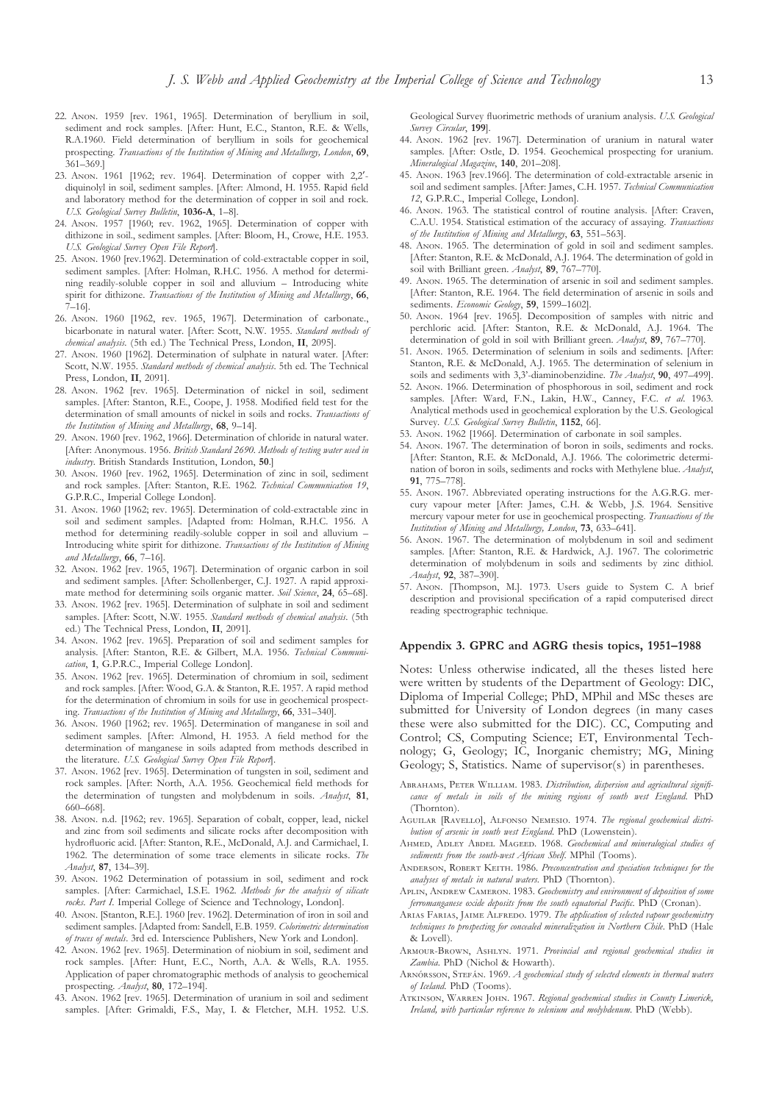- 22. ANON. 1959 [rev. 1961, 1965]. Determination of beryllium in soil, sediment and rock samples. [After: Hunt, E.C., Stanton, R.E. & Wells, R.A.1960. Field determination of beryllium in soils for geochemical prospecting. *Transactions of the Institution of Mining and Metallurgy, London*, **69**, 361–369.]
- 23. ANON. 1961 [1962; rev. 1964]. Determination of copper with 2,2'diquinolyl in soil, sediment samples. [After: Almond, H. 1955. Rapid field and laboratory method for the determination of copper in soil and rock. *U.S. Geological Survey Bulletin*, **1036-A**, 1–8].
- 24. ANON. 1957 [1960; rev. 1962, 1965]. Determination of copper with dithizone in soil., sediment samples. [After: Bloom, H., Crowe, H.E. 1953. *U.S. Geological Survey Open File Report*].
- 25. ANON. 1960 [rev.1962]. Determination of cold-extractable copper in soil, sediment samples. [After: Holman, R.H.C. 1956. A method for determining readily-soluble copper in soil and alluvium – Introducing white spirit for dithizone. *Transactions of the Institution of Mining and Metallurgy*, **66**, 7–16].
- 26. ANON. 1960 [1962, rev. 1965, 1967]. Determination of carbonate., bicarbonate in natural water. [After: Scott, N.W. 1955. *Standard methods of chemical analysis*. (5th ed.) The Technical Press, London, **II**, 2095].
- 27. ANON. 1960 [1962]. Determination of sulphate in natural water. [After: Scott, N.W. 1955. *Standard methods of chemical analysis*. 5th ed. The Technical Press, London, **II**, 2091].
- 28. ANON. 1962 [rev. 1965]. Determination of nickel in soil, sediment samples. [After: Stanton, R.E., Coope, J. 1958. Modified field test for the determination of small amounts of nickel in soils and rocks. *Transactions of the Institution of Mining and Metallurgy*, **68**, 9–14].
- 29. ANON. 1960 [rev. 1962, 1966]. Determination of chloride in natural water. [After: Anonymous. 1956. *British Standard 2690. Methods of testing water used in industry*. British Standards Institution, London, **50**.]
- 30. ANON. 1960 [rev. 1962, 1965]. Determination of zinc in soil, sediment and rock samples. [After: Stanton, R.E. 1962. *Technical Communication 19*, G.P.R.C., Imperial College London].
- 31. ANON. 1960 [1962; rev. 1965]. Determination of cold-extractable zinc in soil and sediment samples. [Adapted from: Holman, R.H.C. 1956. A method for determining readily-soluble copper in soil and alluvium – Introducing white spirit for dithizone. *Transactions of the Institution of Mining and Metallurgy*, **66**, 7–16].
- 32. ANON. 1962 [rev. 1965, 1967]. Determination of organic carbon in soil and sediment samples. [After: Schollenberger, C.J. 1927. A rapid approximate method for determining soils organic matter. *Soil Science*, **24**, 65–68].
- 33. ANON. 1962 [rev. 1965]. Determination of sulphate in soil and sediment samples. [After: Scott, N.W. 1955. *Standard methods of chemical analysis*. (5th ed.) The Technical Press, London, **II**, 2091].
- 34. ANON. 1962 [rev. 1965]. Preparation of soil and sediment samples for analysis. [After: Stanton, R.E. & Gilbert, M.A. 1956. *Technical Communication*, **1**, G.P.R.C., Imperial College London].
- 35. ANON. 1962 [rev. 1965]. Determination of chromium in soil, sediment and rock samples. [After: Wood, G.A. & Stanton, R.E. 1957. A rapid method for the determination of chromium in soils for use in geochemical prospecting. *Transactions of the Institution of Mining and Metallurgy*, **66**, 331–340].
- 36. ANON. 1960 [1962; rev. 1965]. Determination of manganese in soil and sediment samples. [After: Almond, H. 1953. A field method for the determination of manganese in soils adapted from methods described in the literature. *U.S. Geological Survey Open File Report*].
- 37. ANON. 1962 [rev. 1965]. Determination of tungsten in soil, sediment and rock samples. [After: North, A.A. 1956. Geochemical field methods for the determination of tungsten and molybdenum in soils. *Analyst*, **81**, 660–668].
- 38. ANON. n.d. [1962; rev. 1965]. Separation of cobalt, copper, lead, nickel and zinc from soil sediments and silicate rocks after decomposition with hydrofluoric acid. [After: Stanton, R.E., McDonald, A.J. and Carmichael, I. 1962. The determination of some trace elements in silicate rocks. *The Analyst*, **87**, 134–39].
- 39. ANON. 1962 Determination of potassium in soil, sediment and rock samples. [After: Carmichael, I.S.E. 1962. *Methods for the analysis of silicate rocks. Part I*. Imperial College of Science and Technology, London].
- 40. ANON. [Stanton, R.E.]. 1960 [rev. 1962]. Determination of iron in soil and sediment samples. [Adapted from: Sandell, E.B. 1959. *Colorimetric determination of traces of metals*. 3rd ed. Interscience Publishers, New York and London].
- 42. ANON. 1962 [rev. 1965]. Determination of niobium in soil, sediment and rock samples. [After: Hunt, E.C., North, A.A. & Wells, R.A. 1955. Application of paper chromatographic methods of analysis to geochemical prospecting. *Analyst*, **80**, 172–194].
- 43. ANON, 1962 [rev. 1965]. Determination of uranium in soil and sediment samples. [After: Grimaldi, F.S., May, I. & Fletcher, M.H. 1952. U.S.

Geological Survey fluorimetric methods of uranium analysis. *U.S. Geological Survey Circular*, **199**].

- 44. ANON. 1962 [rev. 1967]. Determination of uranium in natural water samples. [After: Ostle, D. 1954. Geochemical prospecting for uranium. *Mineralogical Magazine*, **140**, 201–208].
- 45. ANON. 1963 [rev.1966]. The determination of cold-extractable arsenic in soil and sediment samples. [After: James, C.H. 1957. *Technical Communication 12*, G.P.R.C., Imperial College, London].
- 46. ANON. 1963. The statistical control of routine analysis. [After: Craven, C.A.U. 1954. Statistical estimation of the accuracy of assaying. *Transactions of the Institution of Mining and Metallurgy*, **63**, 551–563].
- 48. ANON. 1965. The determination of gold in soil and sediment samples. [After: Stanton, R.E. & McDonald, A.J. 1964. The determination of gold in soil with Brilliant green. *Analyst*, **89**, 767–770].
- 49. ANON. 1965. The determination of arsenic in soil and sediment samples. [After: Stanton, R.E. 1964. The field determination of arsenic in soils and sediments. *Economic Geology*, **59**, 1599–1602].
- 50. ANON. 1964 [rev. 1965]. Decomposition of samples with nitric and perchloric acid. [After: Stanton, R.E. & McDonald, A.J. 1964. The determination of gold in soil with Brilliant green. *Analyst*, **89**, 767–770].
- 51. ANON. 1965. Determination of selenium in soils and sediments. [After: Stanton, R.E. & McDonald, A.J. 1965. The determination of selenium in soils and sediments with 3,3'-diaminobenzidine. *The Analyst*, **90**, 497–499].
- 52. ANON. 1966. Determination of phosphorous in soil, sediment and rock samples. [After: Ward, F.N., Lakin, H.W., Canney, F.C. *et al*. 1963. Analytical methods used in geochemical exploration by the U.S. Geological Survey. *U.S. Geological Survey Bulletin*, **1152**, 66].
- 53. ANON. 1962 [1966]. Determination of carbonate in soil samples.
- 54. ANON, 1967. The determination of boron in soils, sediments and rocks. [After: Stanton, R.E. & McDonald, A.J. 1966. The colorimetric determination of boron in soils, sediments and rocks with Methylene blue. *Analyst*, **91**, 775–778].
- 55. ANON. 1967. Abbreviated operating instructions for the A.G.R.G. mercury vapour meter [After: James, C.H. & Webb, J.S. 1964. Sensitive mercury vapour meter for use in geochemical prospecting. *Transactions of the Institution of Mining and Metallurgy, London*, **73**, 633–641].
- 56. ANON. 1967. The determination of molybdenum in soil and sediment samples. [After: Stanton, R.E. & Hardwick, A.J. 1967. The colorimetric determination of molybdenum in soils and sediments by zinc dithiol. *Analyst*, **92**, 387–390].
- 57. ANON. [Thompson, M.]. 1973. Users guide to System C. A brief description and provisional specification of a rapid computerised direct reading spectrographic technique.

## **Appendix 3. GPRC and AGRG thesis topics, 1951–1988**

Notes: Unless otherwise indicated, all the theses listed here were written by students of the Department of Geology: DIC, Diploma of Imperial College; PhD, MPhil and MSc theses are submitted for University of London degrees (in many cases these were also submitted for the DIC). CC, Computing and Control; CS, Computing Science; ET, Environmental Technology; G, Geology; IC, Inorganic chemistry; MG, Mining Geology; S, Statistics. Name of supervisor(s) in parentheses.

- ABRAHAMS, PETER WILLIAM. 1983. *Distribution, dispersion and agricultural significance of metals in soils of the mining regions of south west England*. PhD (Thornton).
- AGUILAR [RAVELLO], ALFONSO NEMESIO. 1974. The regional geochemical distri*bution of arsenic in south west England*. PhD (Lowenstein).
- AHMED, ADLEY ABDEL MAGEED. 1968. *Geochemical and mineralogical studies of sediments from the south-west African Shelf*. MPhil (Tooms).
- ANDERSON, ROBERT KEITH. 1986. Preconcentration and speciation techniques for the *analyses of metals in natural waters*. PhD (Thornton).
- APLIN, ANDREW CAMERON. 1983. Geochemistry and environment of deposition of some *ferromanganese oxide deposits from the south equatorial Pacific*. PhD (Cronan).
- ARIAS FARIAS, JAIME ALFREDO. 1979. *The application of selected vapour geochemistry techniques to prospecting for concealed mineralization in Northern Chile*. PhD (Hale & Lovell).
- ARMOUR-BROWN, ASHLYN. 1971. Provincial and regional geochemical studies in *Zambia*. PhD (Nichol & Howarth).
- ARNÓRSSON, STEFÁN. 1969. *A geochemical study of selected elements in thermal waters of Iceland*. PhD (Tooms).
- ATKINSON, WARREN JOHN. 1967. Regional geochemical studies in County Limerick, *Ireland, with particular reference to selenium and molybdenum*. PhD (Webb).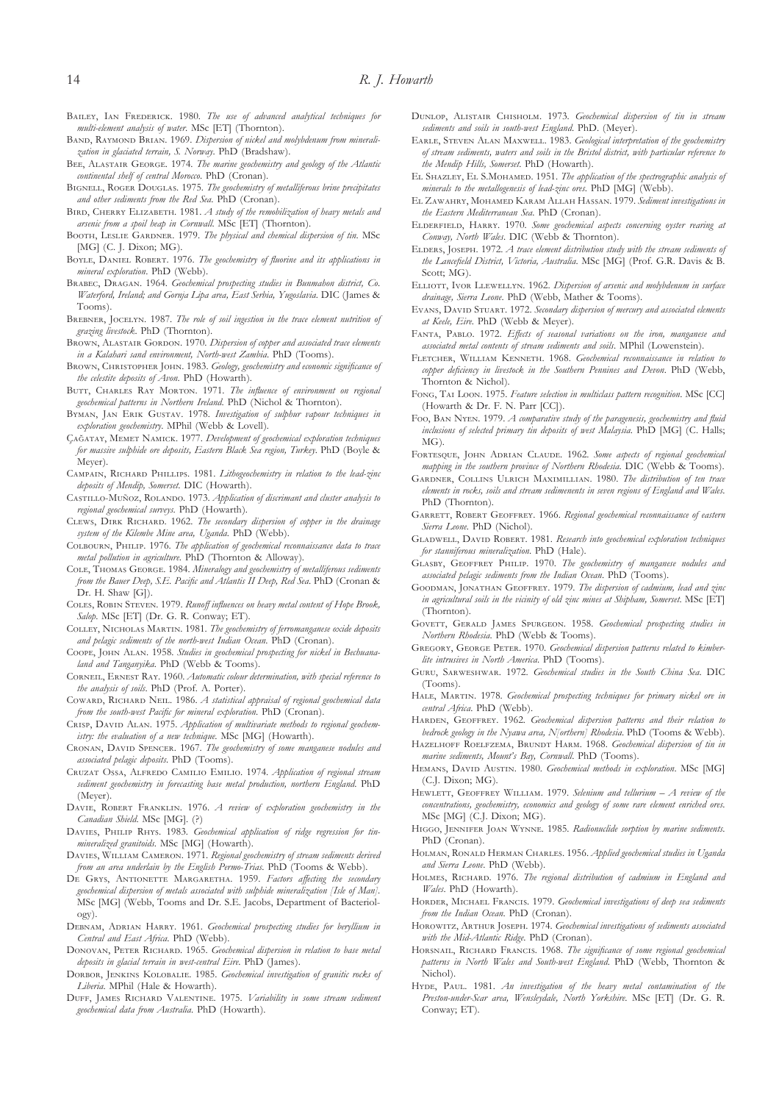- BAILEY, IAN FREDERICK. 1980. *The use of advanced analytical techniques for multi-element analysis of water*. MSc [ET] (Thornton).
- BAND, RAYMOND BRIAN. 1969. *Dispersion of nickel and molybdenum from mineralization in glaciated terrain, S. Norway*. PhD (Bradshaw).
- BEE, ALASTAIR GEORGE. 1974. *The marine geochemistry and geology of the Atlantic continental shelf of central Morocco*. PhD (Cronan).
- BIGNELL, ROGER DOUGLAS. 1975. *The geochemistry of metalliferous brine precipitates and other sediments from the Red Sea*. PhD (Cronan).
- BIRD, CHERRY ELIZABETH. 1981. *A study of the remobilization of heavy metals and arsenic from a spoil heap in Cornwall*. MSc [ET] (Thornton).
- BOOTH, LESLIE GARDNER. 1979. *The physical and chemical dispersion of tin*. MSc [MG] (C. J. Dixon; MG).
- BOYLE, DANIEL ROBERT. 1976. *The geochemistry of fluorine and its applications in mineral exploration*. PhD (Webb).
- BRABEC, DRAGAN. 1964. *Geochemical prospecting studies in Bunmahon district, Co. Waterford, Ireland; and Gornja Lipa area, East Serbia, Yugoslavia*. DIC (James & Tooms).
- BREBNER, JOCELYN. 1987. The role of soil ingestion in the trace element nutrition of *grazing livestock*. PhD (Thornton).
- BROWN, ALASTAIR GORDON. 1970. *Dispersion of copper and associated trace elements in a Kalahari sand environment, North-west Zambia*. PhD (Tooms).
- BROWN, CHRISTOPHER JOHN. 1983. *Geology, geochemistry and economic significance of the celestite deposits of Avon*. PhD (Howarth).
- BUTT, CHARLES RAY MORTON. 1971. *The influence of environment on regional geochemical patterns in Northern Ireland*. PhD (Nichol & Thornton).
- BYMAN, JAN ERIK GUSTAV. 1978. Investigation of sulphur vapour techniques in *exploration geochemistry*. MPhil (Webb & Lovell).
- Ç˘, M N. 1977. *Development of geochemical exploration techniques for massive sulphide ore deposits, Eastern Black Sea region, Turkey*. PhD (Boyle & Meyer).
- CAMPAIN, RICHARD PHILLIPS. 1981. *Lithogeochemistry in relation to the lead-zinc deposits of Mendip, Somerset*. DIC (Howarth).
- CASTILLO-MUÑOZ, ROLANDO. 1973. *Application of discrimant and cluster analysis to regional geochemical surveys*. PhD (Howarth).
- CLEWS, DIRK RICHARD. 1962. *The secondary dispersion of copper in the drainage system of the Kilembe Mine area, Uganda*. PhD (Webb).
- COLBOURN, PHILIP. 1976. *The application of geochemical reconnaissance data to trace metal pollution in agriculture*. PhD (Thornton & Alloway).
- COLE, THOMAS GEORGE. 1984. *Mineralogy and geochemistry of metalliferous sediments from the Bauer Deep, S.E. Pacific and Atlantis II Deep, Red Sea*. PhD (Cronan & Dr. H. Shaw [G]).
- COLES, ROBIN STEVEN. 1979. Runoff influences on heavy metal content of Hope Brook, *Salop*. MSc [ET] (Dr. G. R. Conway; ET).
- COLLEY, NICHOLAS MARTIN. 1981. *The geochemistry of ferromanganese oxide deposits and pelagic sediments of the north-west Indian Ocean*. PhD (Cronan).
- COOPE, JOHN ALAN. 1958. Studies in geochemical prospecting for nickel in Bechuana*land and Tanganyika*. PhD (Webb & Tooms).
- CORNEIL, ERNEST RAY. 1960. *Automatic colour determination, with special reference to the analysis of soils*. PhD (Prof. A. Porter).
- COWARD, RICHARD NEIL. 1986. *A statistical appraisal of regional geochemical data from the south-west Pacific for mineral exploration*. PhD (Cronan).
- CRISP, DAVID ALAN. 1975. *Application of multivariate methods to regional geochemistry: the evaluation of a new technique*. MSc [MG] (Howarth).
- CRONAN, DAVID SPENCER. 1967. *The geochemistry of some manganese nodules and associated pelagic deposits*. PhD (Tooms).
- CRUZAT OSSA, ALFREDO CAMILIO EMILIO. 1974. *Application of regional stream sediment geochemistry in forecasting base metal production, northern England*. PhD (Meyer).
- DAVIE, ROBERT FRANKLIN. 1976. *A review of exploration geochemistry in the Canadian Shield*. MSc [MG]. (?)
- DAVIES, PHILIP RHYS. 1983. *Geochemical application of ridge regression for tinmineralized granitoids*. MSc [MG] (Howarth).
- DAVIES, WILLIAM CAMERON. 1971. *Regional geochemistry of stream sediments derived from an area underlain by the English Permo-Trias*. PhD (Tooms & Webb).
- DE GRYS, ANTIONETTE MARGARETHA. 1959. Factors affecting the secondary *geochemical dispersion of metals associated with sulphide mineralization [Isle of Man]*. MSc [MG] (Webb, Tooms and Dr. S.E. Jacobs, Department of Bacteriology).
- DEBNAM, ADRIAN HARRY. 1961. *Geochemical prospecting studies for beryllium in Central and East Africa*. PhD (Webb).
- DONOVAN, PETER RICHARD. 1965. *Geochemical dispersion in relation to base metal deposits in glacial terrain in west-central Eire*. PhD (James).
- DORBOR, JENKINS KOLOBALIE. 1985. *Geochemical investigation of granitic rocks of Liberia*. MPhil (Hale & Howarth).
- DUFF, JAMES RICHARD VALENTINE. 1975. *Variability in some stream sediment geochemical data from Australia*. PhD (Howarth).
- DUNLOP, ALISTAIR CHISHOLM. 1973. *Geochemical dispersion of tin in stream sediments and soils in south-west England*. PhD. (Meyer).
- EARLE, STEVEN ALAN MAXWELL, 1983. *Geological interpretation of the geochemistry of stream sediments, waters and soils in the Bristol district, with particular reference to the Mendip Hills, Somerset*. PhD (Howarth).
- EL SHAZLEY, EL S.MOHAMED. 1951. *The application of the spectrographic analysis of minerals to the metallogenesis of lead-zinc ores*. PhD [MG] (Webb).
- EL ZAWAHRY, MOHAMED KARAM ALLAH HASSAN. 1979. Sediment investigations in *the Eastern Mediterranean Sea*. PhD (Cronan).
- E, H. 1970. *Some geochemical aspects concerning oyster rearing at Conway, North Wales*. DIC (Webb & Thornton).
- ELDERS, JOSEPH. 1972. *A trace element distribution study with the stream sediments of the Lancefield District, Victoria, Australia*. MSc [MG] (Prof. G.R. Davis & B. Scott: MG).
- ELLIOTT, IVOR LLEWELLYN. 1962. *Dispersion of arsenic and molybdenum in surface drainage, Sierra Leone*. PhD (Webb, Mather & Tooms).
- EVANS, DAVID STUART. 1972. *Secondary dispersion of mercury and associated elements at Keele, Eire*. PhD (Webb & Meyer).
- FANTA, PABLO. 1972. *Effects of seasonal variations on the iron, manganese and associated metal contents of stream sediments and soils*. MPhil (Lowenstein).
- FLETCHER, WILLIAM KENNETH, 1968. *Geochemical reconnaissance in relation to copper deficiency in livestock in the Southern Pennines and Devon*. PhD (Webb, Thornton & Nichol).
- FONG, TAI LOON. 1975. *Feature selection in multiclass pattern recognition*. MSc [CC] (Howarth & Dr. F. N. Parr [CC]).
- Foo, BAN NYEN. 1979. *A comparative study of the paragenesis, geochemistry and fluid inclusions of selected primary tin deposits of west Malaysia*. PhD [MG] (C. Halls; MG).
- FORTESQUE, JOHN ADRIAN CLAUDE. 1962. Some aspects of regional geochemical *mapping in the southern province of Northern Rhodesia*. DIC (Webb & Tooms).
- GARDNER, COLLINS ULRICH MAXIMILLIAN. 1980. *The distribution of ten trace elements in rocks, soils and stream sedimenents in seven regions of England and Wales*. PhD (Thornton).
- GARRETT, ROBERT GEOFFREY. 1966. Regional geochemical reconnaissance of eastern *Sierra Leone*. PhD (Nichol).
- GLADWELL, DAVID ROBERT. 1981. *Research into geochemical exploration techniques for stanniferous mineralization*. PhD (Hale).
- GLASBY, GEOFFREY PHILIP. 1970. The geochemistry of manganese nodules and *associated pelagic sediments from the Indian Ocean*. PhD (Tooms).
- GOODMAN, JONATHAN GEOFFREY. 1979. *The dispersion of cadmium, lead and zinc in agricultural soils in the vicinity of old zinc mines at Shipham, Somerset*. MSc [ET] (Thornton).
- GOVETT, GERALD JAMES SPURGEON. 1958. Geochemical prospecting studies in *Northern Rhodesia*. PhD (Webb & Tooms).
- GREGORY, GEORGE PETER. 1970. Geochemical dispersion patterns related to kimber*lite intrusives in North America*. PhD (Tooms).
- GURU, SARWESHWAR. 1972. *Geochemical studies in the South China Sea*. DIC (Tooms).
- HALE, MARTIN. 1978. *Geochemical prospecting techniques for primary nickel ore in central Africa*. PhD (Webb).
- HARDEN, GEOFFREY. 1962. *Geochemical dispersion patterns and their relation to bedrock geology in the Nyawa area, N[orthern] Rhodesia*. PhD (Tooms & Webb).

HAZELHOFF ROELFZEMA, BRUNDT HARM. 1968. *Geochemical dispersion of tin in marine sediments, Mount's Bay, Cornwall*. PhD (Tooms).

- HEMANS, DAVID AUSTIN. 1980. *Geochemical methods in exploration*. MSc [MG] (C.J. Dixon; MG).
- HEWLETT, GEOFFREY WILLIAM. 1979. *Selenium and tellurium A review of the concentrations, geochemistry, economics and geology of some rare element enriched ores*. MSc [MG] (C.J. Dixon; MG).
- HIGGO, JENNIFER JOAN WYNNE. 1985. *Radionuclide sorption by marine sediments*. PhD (Cronan).
- HOLMAN, RONALD HERMAN CHARLES. 1956. *Applied geochemical studies in Uganda and Sierra Leone*. PhD (Webb).
- HOLMES, RICHARD. 1976. *The regional distribution of cadmium in England and Wales*. PhD (Howarth).
- HORDER, MICHAEL FRANCIS. 1979. *Geochemical investigations of deep sea sediments from the Indian Ocean*. PhD (Cronan).
- HOROWITZ, ARTHUR JOSEPH. 1974. *Geochemical investigations of sediments associated with the Mid-Atlantic Ridge*. PhD (Cronan).
- HORSNAIL, RICHARD FRANCIS. 1968. *The significance of some regional geochemical patterns in North Wales and South-west England*. PhD (Webb, Thornton & Nichol).
- HYDE, PAUL, 1981. *An investigation of the heavy metal contamination of the Preston-under-Scar area, Wensleydale, North Yorkshire*. MSc [ET] (Dr. G. R. Conway; ET).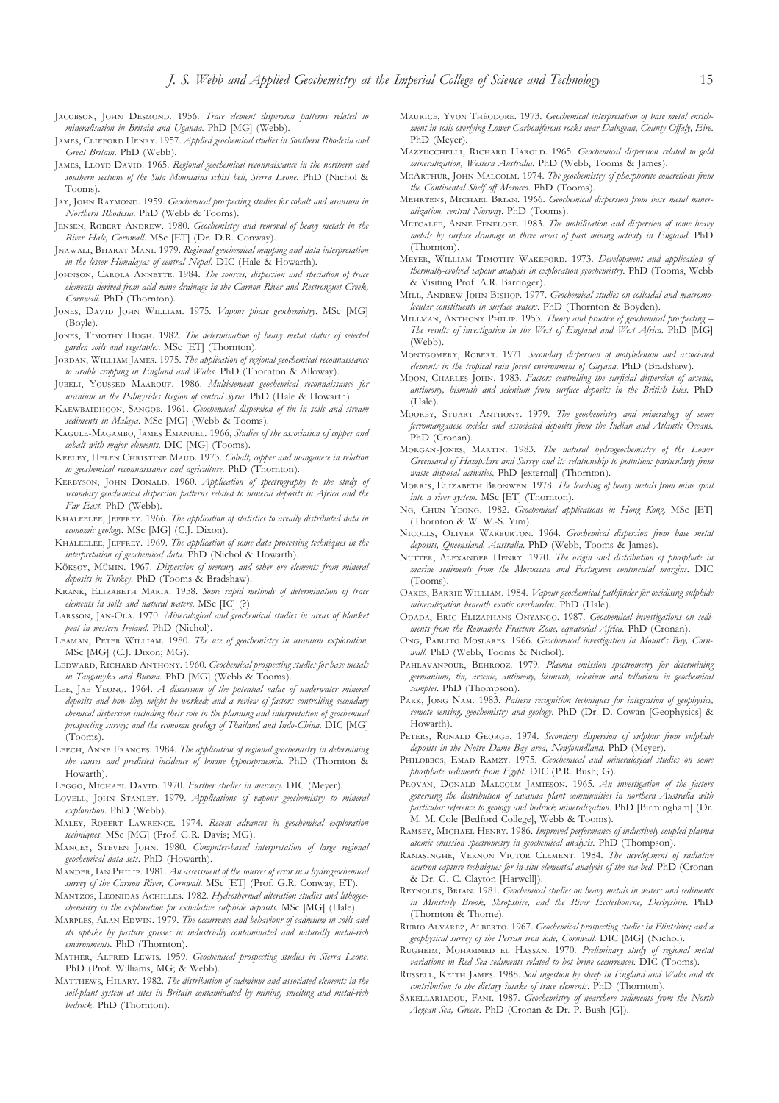- JACOBSON, JOHN DESMOND. 1956. *Trace element dispersion patterns related to mineralisation in Britain and Uganda*. PhD [MG] (Webb).
- JAMES, CLIFFORD HENRY. 1957. *Applied geochemical studies in Southern Rhodesia and Great Britain*. PhD (Webb).
- JAMES, LLOYD DAVID. 1965. Regional geochemical reconnaissance in the northern and *southern sections of the Sula Mountains schist belt, Sierra Leone*. PhD (Nichol & Tooms).
- JAY, JOHN RAYMOND. 1959. *Geochemical prospecting studies for cobalt and uranium in Northern Rhodesia*. PhD (Webb & Tooms).
- JENSEN, ROBERT ANDREW. 1980. *Geochemistry and removal of heavy metals in the River Hale, Cornwall*. MSc [ET] (Dr. D.R. Conway).
- JNAWALI, BHARAT MANI. 1979. Regional geochemical mapping and data interpretation *in the lesser Himalayas of central Nepal*. DIC (Hale & Howarth).
- JOHNSON, CAROLA ANNETTE. 1984. *The sources, dispersion and speciation of trace elements derived from acid mine drainage in the Carnon River and Restronguet Creek, Cornwall*. PhD (Thornton).
- JONES, DAVID JOHN WILLIAM. 1975. *Vapour phase geochemistry*. MSc [MG] (Boyle).
- JONES, TIMOTHY HUGH. 1982. *The determination of heavy metal status of selected garden soils and vegetables*. MSc [ET] (Thornton).
- JORDAN, WILLIAM JAMES. 1975. *The application of regional geochemical reconnaissance to arable cropping in England and Wales*. PhD (Thornton & Alloway).
- JUBELI, YOUSSED MAAROUF. 1986. *Multielement geochemical reconnaissance for uranium in the Palmyrides Region of central Syria*. PhD (Hale & Howarth).
- KAEWBAIDHOON, SANGOB. 1961. *Geochemical dispersion of tin in soils and stream sediments in Malaya*. MSc [MG] (Webb & Tooms).
- KAGULE-MAGAMBO, JAMES EMANUEL. 1966, Studies of the association of copper and *cobalt with major elements*. DIC [MG] (Tooms).
- KEELEY, HELEN CHRISTINE MAUD. 1973. Cobalt, copper and manganese in relation *to geochemical reconnaissance and agriculture*. PhD (Thornton).
- KERBYSON, JOHN DONALD. 1960. *Application of spectrography to the study of secondary geochemical dispersion patterns related to mineral deposits in Africa and the Far East*. PhD (Webb).
- KHALEELEE, JEFFREY. 1966. *The application of statistics to areally distributed data in economic geology*. MSc [MG] (C.J. Dixon).
- KHALEELEE, JEFFREY. 1969. *The application of some data processing techniques in the interpretation of geochemical data*. PhD (Nichol & Howarth).
- Köksoy, Mümin. 1967. *Dispersion of mercury and other ore elements from mineral deposits in Turkey*. PhD (Tooms & Bradshaw).
- KRANK, ELIZABETH MARIA. 1958. Some rapid methods of determination of trace *elements in soils and natural waters*. MSc [IC] (?)
- LARSSON, JAN-OLA. 1970. *Mineralogical and geochemical studies in areas of blanket peat in western Ireland*. PhD (Nichol).
- LEAMAN, PETER WILLIAM. 1980. *The use of geochemistry in uranium exploration*. MSc [MG] (C.J. Dixon; MG).
- LEDWARD, RICHARD ANTHONY. 1960. *Geochemical prospecting studies for base metals in Tanganyka and Burma*. PhD [MG] (Webb & Tooms).
- LEE, JAE YEONG. 1964. *A discussion of the potential value of underwater mineral deposits and how they might be worked; and a review of factors controlling secondary chemical dispersion including their role in the planning and interpretation of geochemical prospecting survey; and the economic geology of Thailand and Indo-China*. DIC [MG] (Tooms).
- LEECH, ANNE FRANCES. 1984. *The application of regional geochemistry in determining the causes and predicted incidence of bovine hypocupraemia*. PhD (Thornton & Howarth).
- LEGGO, MICHAEL DAVID. 1970. *Further studies in mercury*. DIC (Meyer).
- LOVELL, JOHN STANLEY. 1979. *Applications of vapour geochemistry to mineral exploration*. PhD (Webb).
- MALEY, ROBERT LAWRENCE. 1974. Recent advances in geochemical exploration *techniques*. MSc [MG] (Prof. G.R. Davis; MG).
- MANCEY, STEVEN JOHN. 1980. Computer-based interpretation of large regional *geochemical data sets*. PhD (Howarth).
- MANDER, IAN PHILIP. 1981. An assessment of the sources of error in a hydrogeochemical *survey of the Carnon River, Cornwall*. MSc [ET] (Prof. G.R. Conway; ET).
- MANTZOS, LEONIDAS ACHILLES. 1982. Hydrothermal alteration studies and lithogeo*chemistry in the exploration for exhalative sulphide deposits*. MSc [MG] (Hale).
- MARPLES, ALAN EDWIN. 1979. *The occurrence and behaviour of cadmium in soils and its uptake by pasture grasses in industrially contaminated and naturally metal-rich environments*. PhD (Thornton).
- MATHER, ALFRED LEWIS. 1959. *Geochemical prospecting studies in Sierra Leone*. PhD (Prof. Williams, MG; & Webb).
- MATTHEWS, HILARY. 1982. *The distribution of cadmium and associated elements in the soil-plant system at sites in Britain contaminated by mining, smelting and metal-rich bedrock*. PhD (Thornton).
- MAURICE, YVON THÉODORE. 1973. Geochemical interpretation of base metal enrich*ment in soils overlying Lower Carboniferous rocks near Dalngean, County Offaly, Eire*. PhD (Meyer).
- MAZZUCCHELLI, RICHARD HAROLD. 1965. *Geochemical dispersion related to gold mineralization, Western Australia*. PhD (Webb, Tooms & James).
- MCARTHUR, JOHN MALCOLM. 1974. *The geochemistry of phosphorite concretions from the Continental Shelf off Morocco*. PhD (Tooms).
- MEHRTENS, MICHAEL BRIAN, 1966. *Geochemical dispersion from base metal mineralization, central Norway*. PhD (Tooms).
- METCALFE, ANNE PENELOPE. 1983. *The mobilisation and dispersion of some heavy metals by surface drainage in three areas of past mining activity in England*. PhD (Thornton).
- MEYER, WILLIAM TIMOTHY WAKEFORD. 1973. *Development and application of thermally-evolved vapour analysis in exploration geochemistry*. PhD (Tooms, Webb & Visiting Prof. A.R. Barringer).
- MILL, ANDREW JOHN BISHOP. 1977. Geochemical studies on colloidal and macromo*lecular constituents in surface waters*. PhD (Thornton & Boyden).
- MILLMAN, ANTHONY PHILIP. 1953. *Theory and practice of geochemical prospecting* -*The results of investigation in the West of England and West Africa*. PhD [MG] (Webb).
- MONTGOMERY, ROBERT. 1971. Secondary dispersion of molybdenum and associated *elements in the tropical rain forest environment of Guyana*. PhD (Bradshaw).
- MOON, CHARLES JOHN. 1983. Factors controlling the surficial dispersion of arsenic, *antimony, bismuth and selenium from surface deposits in the British Isles*. PhD (Hale).
- MOORBY, STUART ANTHONY. 1979. The geochemistry and mineralogy of some *ferromanganese oxides and associated deposits from the Indian and Atlantic Oceans*. PhD (Cronan).
- MORGAN-JONES, MARTIN. 1983. The natural hydrogeochemistry of the Lower *Greensand of Hampshire and Surrey and its relationship to pollution: particularly from waste disposal activities*. PhD [external] (Thornton).
- MORRIS, ELIZABETH BRONWEN. 1978. The leaching of heavy metals from mine spoil *into a river system*. MSc [ET] (Thornton).
- NG, CHUN YEONG. 1982. *Geochemical applications in Hong Kong*. MSc [ET] (Thornton & W. W.-S. Yim).
- NICOLLS, OLIVER WARBURTON. 1964. *Geochemical dispersion from base metal deposits, Queensland, Australia*. PhD (Webb, Tooms & James).
- NUTTER, ALEXANDER HENRY. 1970. *The origin and distribution of phosphate in marine sediments from the Morocccan and Portuguese continental margins*. DIC (Tooms).
- OAKES, BARRIE WILLIAM. 1984. *Vapour geochemical pathfinder for oxidising sulphide mineralization beneath exotic overburden*. PhD (Hale).
- ODADA, ERIC ELIZAPHANS ONYANGO. 1987. Geochemical investigations on sedi*ments from the Romanche Fracture Zone, equatorial Africa*. PhD (Cronan).
- ONG, PABLITO MOSLARES. 1966. Geochemical investigation in Mount's Bay, Corn*wall*. PhD (Webb, Tooms & Nichol).
- PAHLAVANPOUR, BEHROOZ. 1979. Plasma emission spectrometry for determining *germanium, tin, arsenic, antimony, bismuth, selenium and tellurium in geochemical samples*. PhD (Thompson).
- PARK, JONG NAM. 1983. Pattern recognition techniques for integration of geophysics, *remote sensing, geochemistry and geology*. PhD (Dr. D. Cowan [Geophysics] & Howarth).
- PETERS, RONALD GEORGE. 1974. Secondary dispersion of sulphur from sulphide *deposits in the Notre Dame Bay area, Newfoundland*. PhD (Meyer).
- PHILOBBOS, EMAD RAMZY. 1975. *Geochemical and mineralogical studies on some phosphate sediments from Egypt*. DIC (P.R. Bush; G).
- PROVAN, DONALD MALCOLM JAMIESON. 1965. An investigation of the factors *governing the distribution of savanna plant communities in northern Australia with particular reference to geology and bedrock mineralization*. PhD [Birmingham] (Dr. M. M. Cole [Bedford College], Webb & Tooms).
- RAMSEY, MICHAEL HENRY. 1986. *Improved performance of inductively coupled plasma atomic emission spectrometry in geochemical analysis*. PhD (Thompson).
- RANASINGHE, VERNON VICTOR CLEMENT. 1984. The development of radiative *neutron capture techniques for in-situ elemental analysis of the sea-bed*. PhD (Cronan & Dr. G. C. Clayton [Harwell]).
- R, B. 1981. *Geochemical studies on heavy metals in waters and sediments in Minsterly Brook, Shropshire, and the River Ecclesbourne, Derbyshire*. PhD (Thornton & Thorne).
- RUBIO ALVAREZ, ALBERTO. 1967. *Geochemical prospecting studies in Flintshire; and a geophysical survey of the Perran iron lode, Cornwall*. DIC [MG] (Nichol).
- RUGHEIM, MOHAMMED EL HASSAN. 1970. Preliminary study of regional metal *variations in Red Sea sediments related to hot brine occurrences*. DIC (Tooms).
- RUSSELL, KEITH JAMES. 1988. Soil ingestion by sheep in England and Wales and its *contribution to the dietary intake of trace elements*. PhD (Thornton).
- SAKELLARIADOU, FANI. 1987. *Geochemistry of nearshore sediments from the North Aegean Sea, Greece*. PhD (Cronan & Dr. P. Bush [G]).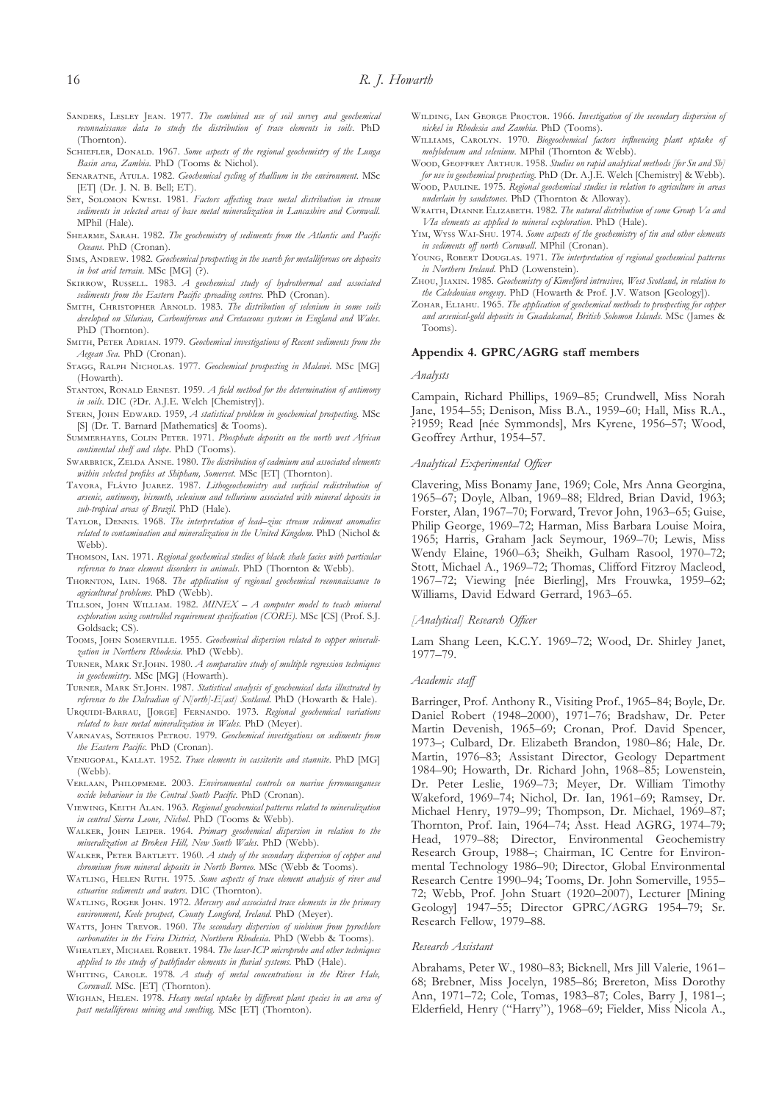- SANDERS, LESLEY JEAN. 1977. *The combined use of soil survey and geochemical reconnaissance data to study the distribution of trace elements in soils*. PhD (Thornton).
- SCHIEFLER, DONALD. 1967. Some aspects of the regional geochemistry of the Lunga *Basin area, Zambia*. PhD (Tooms & Nichol).
- SENARATNE, ATULA. 1982. *Geochemical cycling of thallium in the environment*. MSc [ET] (Dr. J. N. B. Bell; ET).
- SEY, SOLOMON KWESI. 1981. *Factors affecting trace metal distribution in stream sediments in selected areas of base metal mineralization in Lancashire and Cornwall*. MPhil (Hale).
- SHEARME, SARAH. 1982. *The geochemistry of sediments from the Atlantic and Pacific Oceans*. PhD (Cronan).
- SIMS, ANDREW. 1982. *Geochemical prospecting in the search for metalliferous ore deposits in hot arid terrain*. MSc [MG] (?).
- SKIRROW, RUSSELL. 1983. *A geochemical study of hydrothermal and associated sediments from the Eastern Pacific spreading centres*. PhD (Cronan).
- SMITH, CHRISTOPHER ARNOLD, 1983. *The distribution of selenium in some soils developed on Silurian, Carboniferous and Cretaceous systems in England and Wales*. PhD (Thornton).
- SMITH, PETER ADRIAN. 1979. *Geochemical investigations of Recent sediments from the Aegean Sea*. PhD (Cronan).
- STAGG, RALPH NICHOLAS. 1977. *Geochemical prospecting in Malawi*. MSc [MG] (Howarth).
- STANTON, RONALD ERNEST. 1959. *A field method for the determination of antimony in soils*. DIC (?Dr. A.J.E. Welch [Chemistry]).
- STERN, JOHN EDWARD. 1959, *A statistical problem in geochemical prospecting*. MSc [S] (Dr. T. Barnard [Mathematics] & Tooms).
- SUMMERHAYES, COLIN PETER. 1971. *Phosphate deposits on the north west African continental shelf and slope*. PhD (Tooms).
- SWARBRICK, ZELDA ANNE, 1980. *The distribution of cadmium and associated elements within selected profiles at Shipham, Somerset*. MSc [ET] (Thornton).
- TAVORA, FLÁVIO JUAREZ. 1987. *Lithogeochemistry and surficial redistribution of arsenic, antimony, bismuth, selenium and tellurium associated with mineral deposits in sub-tropical areas of Brazil*. PhD (Hale).
- TAYLOR, DENNIS. 1968. *The interpretation of lead–zinc stream sediment anomalies related to contamination and mineralization in the United Kingdom*. PhD (Nichol & Webb).
- THOMSON, IAN. 1971. *Regional geochemical studies of black shale facies with particular reference to trace element disorders in animals*. PhD (Thornton & Webb).
- THORNTON, IAIN. 1968. *The application of regional geochemical reconnaissance to agricultural problems*. PhD (Webb).
- TILLSON, JOHN WILLIAM. 1982. *MINEX A computer model to teach mineral exploration using controlled requirement specification (CORE)*. MSc [CS] (Prof. S.J. Goldsack; CS).
- TOOMS, JOHN SOMERVILLE, 1955. Geochemical dispersion related to copper minerali*zation in Northern Rhodesia*. PhD (Webb).
- TURNER, MARK ST.JOHN. 1980. *A comparative study of multiple regression techniques in geochemistry*. MSc [MG] (Howarth).
- TURNER, MARK ST.JOHN. 1987. Statistical analysis of geochemical data illustrated by *reference to the Dalradian of N[orth]-E[ast] Scotland*. PhD (Howarth & Hale).
- URQUIDI-BARRAU, [JORGE] FERNANDO. 1973. Regional geochemical variations *related to base metal mineralization in Wales*. PhD (Meyer).
- VARNAVAS, SOTERIOS PETROU. 1979. *Geochemical investigations on sediments from the Eastern Pacific*. PhD (Cronan).
- VENUGOPAL, KALLAT. 1952. *Trace elements in cassiterite and stannite*. PhD [MG] (Webb).
- VERLAAN, PHILOPMEME. 2003. *Environmental controls on marine ferromanganese oxide behaviour in the Central South Pacific*. PhD (Cronan).
- VIEWING, KEITH ALAN. 1963. Regional geochemical patterns related to mineralization *in central Sierra Leone, Nichol*. PhD (Tooms & Webb).
- WALKER, JOHN LEIPER. 1964. Primary geochemical dispersion in relation to the *mineralization at Broken Hill, New South Wales*. PhD (Webb).
- WALKER, PETER BARTLETT. 1960. *A study of the secondary dispersion of copper and chromium from mineral deposits in North Borneo*. MSc (Webb & Tooms).
- WATLING, HELEN RUTH. 1975. Some aspects of trace element analysis of river and *estuarine sediments and waters*. DIC (Thornton).
- WATLING, ROGER JOHN. 1972. *Mercury and associated trace elements in the primary environment, Keele prospect, County Longford, Ireland*. PhD (Meyer).
- WATTS, JOHN TREVOR. 1960. *The secondary dispersion of niobium from pyrochlore carbonatites in the Feira District, Northern Rhodesia*. PhD (Webb & Tooms).
- WHEATLEY, MICHAEL ROBERT. 1984. *The laser-ICP microprobe and other techniques applied to the study of pathfinder elements in fluvial systems*. PhD (Hale).
- WHITING, CAROLE. 1978. *A study of metal concentrations in the River Hale*, *Cornwall*. MSc. [ET] (Thornton).
- W, H. 1978. *Heavy metal uptake by different plant species in an area of past metalliferous mining and smelting*. MSc [ET] (Thornton).
- WILDING, IAN GEORGE PROCTOR. 1966. *Investigation of the secondary dispersion of nickel in Rhodesia and Zambia*. PhD (Tooms).
- WILLIAMS, CAROLYN. 1970. *Biogeochemical factors influencing plant uptake of molybdenum and selenium*. MPhil (Thornton & Webb).
- WOOD, GEOFFREY ARTHUR. 1958. *Studies on rapid analytical methods [for Sn and Sb] for use in geochemical prospecting*. PhD (Dr. A.J.E. Welch [Chemistry] & Webb).
- W, P. 1975. *Regional geochemical studies in relation to agriculture in areas underlain by sandstones*. PhD (Thornton & Alloway).
- WRAITH, DIANNE ELIZABETH. 1982. *The natural distribution of some Group Va and VIa elements as applied to mineral exploration*. PhD (Hale).
- YIM, WYSS WAI-SHU. 1974. Some aspects of the geochemistry of tin and other elements *in sediments off north Cornwall*. MPhil (Cronan).
- YOUNG, ROBERT DOUGLAS. 1971. *The interpretation of regional geochemical patterns in Northern Ireland*. PhD (Lowenstein).
- ZHOU, JIAXIN. 1985. *Geochemistry of Kimelford intrusives, West Scotland, in relation to the Caledonian orogeny*. PhD (Howarth & Prof. J.V. Watson [Geology]).
- ZOHAR, ELIAHU. 1965. *The application of geochemical methods to prospecting for copper and arsenical-gold deposits in Guadalcanal, British Solomon Islands*. MSc (James & Tooms).

## Appendix 4. GPRC/AGRG staff members

#### *Analysts*

Campain, Richard Phillips, 1969–85; Crundwell, Miss Norah Jane, 1954–55; Denison, Miss B.A., 1959–60; Hall, Miss R.A., ?1959; Read [née Symmonds], Mrs Kyrene, 1956–57; Wood, Geoffrey Arthur, 1954–57.

## *Analytical Experimental Officer*

Clavering, Miss Bonamy Jane, 1969; Cole, Mrs Anna Georgina, 1965–67; Doyle, Alban, 1969–88; Eldred, Brian David, 1963; Forster, Alan, 1967–70; Forward, Trevor John, 1963–65; Guise, Philip George, 1969–72; Harman, Miss Barbara Louise Moira, 1965; Harris, Graham Jack Seymour, 1969–70; Lewis, Miss Wendy Elaine, 1960–63; Sheikh, Gulham Rasool, 1970–72; Stott, Michael A., 1969–72; Thomas, Clifford Fitzroy Macleod, 1967–72; Viewing [née Bierling], Mrs Frouwka, 1959–62; Williams, David Edward Gerrard, 1963–65.

## *[Analytical] Research Officer*

Lam Shang Leen, K.C.Y. 1969–72; Wood, Dr. Shirley Janet, 1977–79.

## *Academic staff*

Barringer, Prof. Anthony R., Visiting Prof., 1965–84; Boyle, Dr. Daniel Robert (1948–2000), 1971–76; Bradshaw, Dr. Peter Martin Devenish, 1965–69; Cronan, Prof. David Spencer, 1973–; Culbard, Dr. Elizabeth Brandon, 1980–86; Hale, Dr. Martin, 1976–83; Assistant Director, Geology Department 1984–90; Howarth, Dr. Richard John, 1968–85; Lowenstein, Dr. Peter Leslie, 1969–73; Meyer, Dr. William Timothy Wakeford, 1969–74; Nichol, Dr. Ian, 1961–69; Ramsey, Dr. Michael Henry, 1979–99; Thompson, Dr. Michael, 1969–87; Thornton, Prof. Iain, 1964–74; Asst. Head AGRG, 1974–79; Head, 1979–88; Director, Environmental Geochemistry Research Group, 1988–; Chairman, IC Centre for Environmental Technology 1986–90; Director, Global Environmental Research Centre 1990–94; Tooms, Dr. John Somerville, 1955– 72; Webb, Prof. John Stuart (1920–2007), Lecturer [Mining Geology] 1947–55; Director GPRC/AGRG 1954–79; Sr. Research Fellow, 1979–88.

## *Research Assistant*

Abrahams, Peter W., 1980–83; Bicknell, Mrs Jill Valerie, 1961– 68; Brebner, Miss Jocelyn, 1985–86; Brereton, Miss Dorothy Ann, 1971–72; Cole, Tomas, 1983–87; Coles, Barry J, 1981–; Elderfield, Henry ("Harry"), 1968–69; Fielder, Miss Nicola A.,